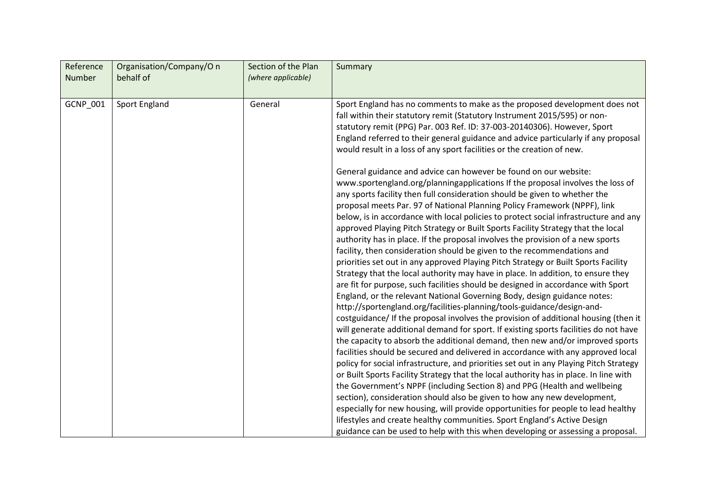| Reference<br><b>Number</b> | Organisation/Company/O n<br>behalf of | Section of the Plan<br>(where applicable) | Summary                                                                                                                                                                                                                                                                                                                                                                                                                                                                                                                                                                                                                                                                                                                                                                                                                                                                                                                                                                                                                                                                                                                                                                                                                                                                                                                                                                                                                                                                                                                                                                  |
|----------------------------|---------------------------------------|-------------------------------------------|--------------------------------------------------------------------------------------------------------------------------------------------------------------------------------------------------------------------------------------------------------------------------------------------------------------------------------------------------------------------------------------------------------------------------------------------------------------------------------------------------------------------------------------------------------------------------------------------------------------------------------------------------------------------------------------------------------------------------------------------------------------------------------------------------------------------------------------------------------------------------------------------------------------------------------------------------------------------------------------------------------------------------------------------------------------------------------------------------------------------------------------------------------------------------------------------------------------------------------------------------------------------------------------------------------------------------------------------------------------------------------------------------------------------------------------------------------------------------------------------------------------------------------------------------------------------------|
| GCNP_001                   | Sport England                         | General                                   | Sport England has no comments to make as the proposed development does not<br>fall within their statutory remit (Statutory Instrument 2015/595) or non-<br>statutory remit (PPG) Par. 003 Ref. ID: 37-003-20140306). However, Sport<br>England referred to their general guidance and advice particularly if any proposal<br>would result in a loss of any sport facilities or the creation of new.<br>General guidance and advice can however be found on our website:<br>www.sportengland.org/planningapplications If the proposal involves the loss of<br>any sports facility then full consideration should be given to whether the<br>proposal meets Par. 97 of National Planning Policy Framework (NPPF), link<br>below, is in accordance with local policies to protect social infrastructure and any<br>approved Playing Pitch Strategy or Built Sports Facility Strategy that the local<br>authority has in place. If the proposal involves the provision of a new sports<br>facility, then consideration should be given to the recommendations and<br>priorities set out in any approved Playing Pitch Strategy or Built Sports Facility<br>Strategy that the local authority may have in place. In addition, to ensure they<br>are fit for purpose, such facilities should be designed in accordance with Sport<br>England, or the relevant National Governing Body, design guidance notes:<br>http://sportengland.org/facilities-planning/tools-guidance/design-and-<br>costguidance/ If the proposal involves the provision of additional housing (then it |
|                            |                                       |                                           | will generate additional demand for sport. If existing sports facilities do not have<br>the capacity to absorb the additional demand, then new and/or improved sports<br>facilities should be secured and delivered in accordance with any approved local<br>policy for social infrastructure, and priorities set out in any Playing Pitch Strategy                                                                                                                                                                                                                                                                                                                                                                                                                                                                                                                                                                                                                                                                                                                                                                                                                                                                                                                                                                                                                                                                                                                                                                                                                      |
|                            |                                       |                                           | or Built Sports Facility Strategy that the local authority has in place. In line with<br>the Government's NPPF (including Section 8) and PPG (Health and wellbeing                                                                                                                                                                                                                                                                                                                                                                                                                                                                                                                                                                                                                                                                                                                                                                                                                                                                                                                                                                                                                                                                                                                                                                                                                                                                                                                                                                                                       |
|                            |                                       |                                           | section), consideration should also be given to how any new development,<br>especially for new housing, will provide opportunities for people to lead healthy                                                                                                                                                                                                                                                                                                                                                                                                                                                                                                                                                                                                                                                                                                                                                                                                                                                                                                                                                                                                                                                                                                                                                                                                                                                                                                                                                                                                            |
|                            |                                       |                                           | lifestyles and create healthy communities. Sport England's Active Design<br>guidance can be used to help with this when developing or assessing a proposal.                                                                                                                                                                                                                                                                                                                                                                                                                                                                                                                                                                                                                                                                                                                                                                                                                                                                                                                                                                                                                                                                                                                                                                                                                                                                                                                                                                                                              |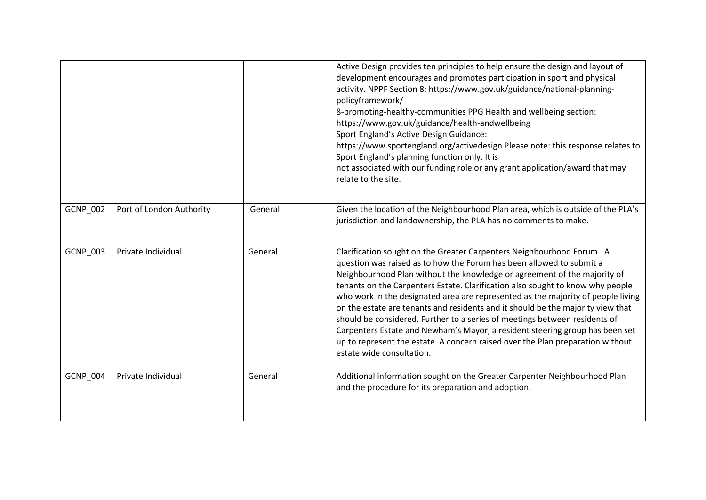|          |                          |         | Active Design provides ten principles to help ensure the design and layout of<br>development encourages and promotes participation in sport and physical<br>activity. NPPF Section 8: https://www.gov.uk/guidance/national-planning-<br>policyframework/<br>8-promoting-healthy-communities PPG Health and wellbeing section:<br>https://www.gov.uk/guidance/health-andwellbeing<br>Sport England's Active Design Guidance:<br>https://www.sportengland.org/activedesign Please note: this response relates to<br>Sport England's planning function only. It is<br>not associated with our funding role or any grant application/award that may<br>relate to the site.                                                                                          |
|----------|--------------------------|---------|-----------------------------------------------------------------------------------------------------------------------------------------------------------------------------------------------------------------------------------------------------------------------------------------------------------------------------------------------------------------------------------------------------------------------------------------------------------------------------------------------------------------------------------------------------------------------------------------------------------------------------------------------------------------------------------------------------------------------------------------------------------------|
| GCNP_002 | Port of London Authority | General | Given the location of the Neighbourhood Plan area, which is outside of the PLA's<br>jurisdiction and landownership, the PLA has no comments to make.                                                                                                                                                                                                                                                                                                                                                                                                                                                                                                                                                                                                            |
| GCNP_003 | Private Individual       | General | Clarification sought on the Greater Carpenters Neighbourhood Forum. A<br>question was raised as to how the Forum has been allowed to submit a<br>Neighbourhood Plan without the knowledge or agreement of the majority of<br>tenants on the Carpenters Estate. Clarification also sought to know why people<br>who work in the designated area are represented as the majority of people living<br>on the estate are tenants and residents and it should be the majority view that<br>should be considered. Further to a series of meetings between residents of<br>Carpenters Estate and Newham's Mayor, a resident steering group has been set<br>up to represent the estate. A concern raised over the Plan preparation without<br>estate wide consultation. |
| GCNP_004 | Private Individual       | General | Additional information sought on the Greater Carpenter Neighbourhood Plan<br>and the procedure for its preparation and adoption.                                                                                                                                                                                                                                                                                                                                                                                                                                                                                                                                                                                                                                |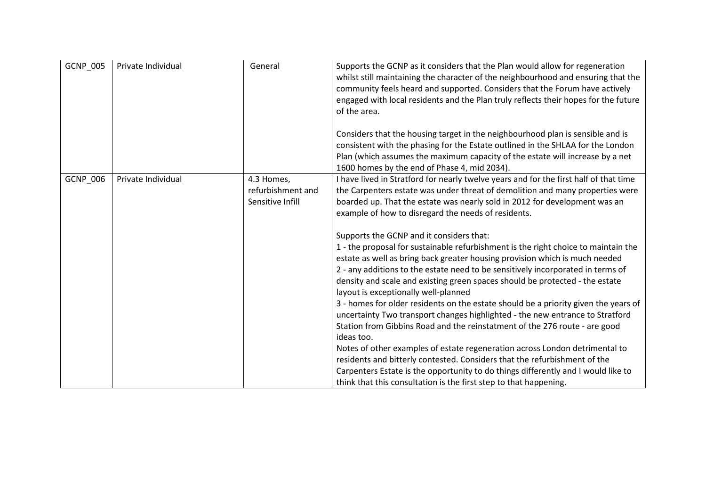| GCNP_005 | Private Individual | General           | Supports the GCNP as it considers that the Plan would allow for regeneration<br>whilst still maintaining the character of the neighbourhood and ensuring that the<br>community feels heard and supported. Considers that the Forum have actively<br>engaged with local residents and the Plan truly reflects their hopes for the future<br>of the area. |
|----------|--------------------|-------------------|---------------------------------------------------------------------------------------------------------------------------------------------------------------------------------------------------------------------------------------------------------------------------------------------------------------------------------------------------------|
|          |                    |                   | Considers that the housing target in the neighbourhood plan is sensible and is<br>consistent with the phasing for the Estate outlined in the SHLAA for the London<br>Plan (which assumes the maximum capacity of the estate will increase by a net<br>1600 homes by the end of Phase 4, mid 2034).                                                      |
| GCNP_006 | Private Individual | 4.3 Homes,        | I have lived in Stratford for nearly twelve years and for the first half of that time                                                                                                                                                                                                                                                                   |
|          |                    | refurbishment and | the Carpenters estate was under threat of demolition and many properties were                                                                                                                                                                                                                                                                           |
|          |                    | Sensitive Infill  | boarded up. That the estate was nearly sold in 2012 for development was an                                                                                                                                                                                                                                                                              |
|          |                    |                   | example of how to disregard the needs of residents.                                                                                                                                                                                                                                                                                                     |
|          |                    |                   |                                                                                                                                                                                                                                                                                                                                                         |
|          |                    |                   | Supports the GCNP and it considers that:                                                                                                                                                                                                                                                                                                                |
|          |                    |                   | 1 - the proposal for sustainable refurbishment is the right choice to maintain the                                                                                                                                                                                                                                                                      |
|          |                    |                   | estate as well as bring back greater housing provision which is much needed                                                                                                                                                                                                                                                                             |
|          |                    |                   | 2 - any additions to the estate need to be sensitively incorporated in terms of                                                                                                                                                                                                                                                                         |
|          |                    |                   | density and scale and existing green spaces should be protected - the estate                                                                                                                                                                                                                                                                            |
|          |                    |                   | layout is exceptionally well-planned                                                                                                                                                                                                                                                                                                                    |
|          |                    |                   | 3 - homes for older residents on the estate should be a priority given the years of                                                                                                                                                                                                                                                                     |
|          |                    |                   | uncertainty Two transport changes highlighted - the new entrance to Stratford                                                                                                                                                                                                                                                                           |
|          |                    |                   | Station from Gibbins Road and the reinstatment of the 276 route - are good                                                                                                                                                                                                                                                                              |
|          |                    |                   | ideas too.                                                                                                                                                                                                                                                                                                                                              |
|          |                    |                   | Notes of other examples of estate regeneration across London detrimental to                                                                                                                                                                                                                                                                             |
|          |                    |                   | residents and bitterly contested. Considers that the refurbishment of the                                                                                                                                                                                                                                                                               |
|          |                    |                   | Carpenters Estate is the opportunity to do things differently and I would like to                                                                                                                                                                                                                                                                       |
|          |                    |                   | think that this consultation is the first step to that happening.                                                                                                                                                                                                                                                                                       |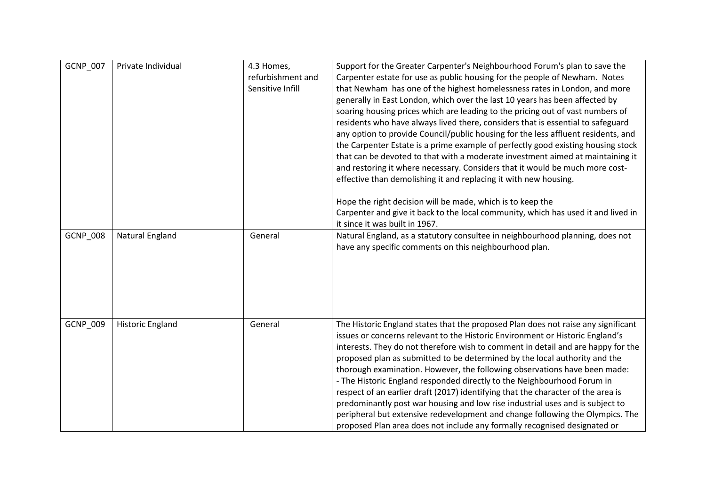| GCNP_007        | Private Individual      | 4.3 Homes,<br>refurbishment and<br>Sensitive Infill | Support for the Greater Carpenter's Neighbourhood Forum's plan to save the<br>Carpenter estate for use as public housing for the people of Newham. Notes<br>that Newham has one of the highest homelessness rates in London, and more<br>generally in East London, which over the last 10 years has been affected by<br>soaring housing prices which are leading to the pricing out of vast numbers of<br>residents who have always lived there, considers that is essential to safeguard<br>any option to provide Council/public housing for the less affluent residents, and<br>the Carpenter Estate is a prime example of perfectly good existing housing stock<br>that can be devoted to that with a moderate investment aimed at maintaining it<br>and restoring it where necessary. Considers that it would be much more cost-<br>effective than demolishing it and replacing it with new housing.<br>Hope the right decision will be made, which is to keep the<br>Carpenter and give it back to the local community, which has used it and lived in<br>it since it was built in 1967. |
|-----------------|-------------------------|-----------------------------------------------------|-----------------------------------------------------------------------------------------------------------------------------------------------------------------------------------------------------------------------------------------------------------------------------------------------------------------------------------------------------------------------------------------------------------------------------------------------------------------------------------------------------------------------------------------------------------------------------------------------------------------------------------------------------------------------------------------------------------------------------------------------------------------------------------------------------------------------------------------------------------------------------------------------------------------------------------------------------------------------------------------------------------------------------------------------------------------------------------------------|
| <b>GCNP_008</b> | <b>Natural England</b>  | General                                             | Natural England, as a statutory consultee in neighbourhood planning, does not<br>have any specific comments on this neighbourhood plan.                                                                                                                                                                                                                                                                                                                                                                                                                                                                                                                                                                                                                                                                                                                                                                                                                                                                                                                                                       |
| GCNP_009        | <b>Historic England</b> | General                                             | The Historic England states that the proposed Plan does not raise any significant<br>issues or concerns relevant to the Historic Environment or Historic England's<br>interests. They do not therefore wish to comment in detail and are happy for the<br>proposed plan as submitted to be determined by the local authority and the<br>thorough examination. However, the following observations have been made:<br>- The Historic England responded directly to the Neighbourhood Forum in<br>respect of an earlier draft (2017) identifying that the character of the area is<br>predominantly post war housing and low rise industrial uses and is subject to<br>peripheral but extensive redevelopment and change following the Olympics. The<br>proposed Plan area does not include any formally recognised designated or                                                                                                                                                                                                                                                               |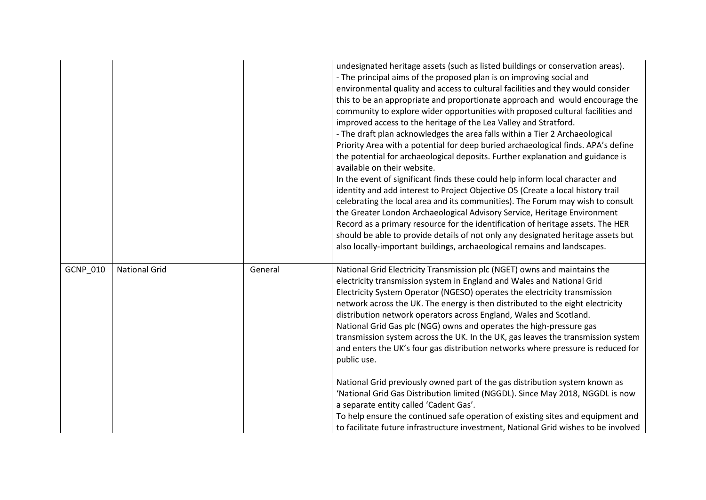|          |                      |         | undesignated heritage assets (such as listed buildings or conservation areas).<br>- The principal aims of the proposed plan is on improving social and<br>environmental quality and access to cultural facilities and they would consider<br>this to be an appropriate and proportionate approach and would encourage the<br>community to explore wider opportunities with proposed cultural facilities and<br>improved access to the heritage of the Lea Valley and Stratford.<br>- The draft plan acknowledges the area falls within a Tier 2 Archaeological<br>Priority Area with a potential for deep buried archaeological finds. APA's define<br>the potential for archaeological deposits. Further explanation and guidance is<br>available on their website.<br>In the event of significant finds these could help inform local character and<br>identity and add interest to Project Objective O5 (Create a local history trail<br>celebrating the local area and its communities). The Forum may wish to consult<br>the Greater London Archaeological Advisory Service, Heritage Environment<br>Record as a primary resource for the identification of heritage assets. The HER<br>should be able to provide details of not only any designated heritage assets but<br>also locally-important buildings, archaeological remains and landscapes. |
|----------|----------------------|---------|-----------------------------------------------------------------------------------------------------------------------------------------------------------------------------------------------------------------------------------------------------------------------------------------------------------------------------------------------------------------------------------------------------------------------------------------------------------------------------------------------------------------------------------------------------------------------------------------------------------------------------------------------------------------------------------------------------------------------------------------------------------------------------------------------------------------------------------------------------------------------------------------------------------------------------------------------------------------------------------------------------------------------------------------------------------------------------------------------------------------------------------------------------------------------------------------------------------------------------------------------------------------------------------------------------------------------------------------------------------|
| GCNP_010 | <b>National Grid</b> | General | National Grid Electricity Transmission plc (NGET) owns and maintains the<br>electricity transmission system in England and Wales and National Grid<br>Electricity System Operator (NGESO) operates the electricity transmission<br>network across the UK. The energy is then distributed to the eight electricity<br>distribution network operators across England, Wales and Scotland.<br>National Grid Gas plc (NGG) owns and operates the high-pressure gas<br>transmission system across the UK. In the UK, gas leaves the transmission system<br>and enters the UK's four gas distribution networks where pressure is reduced for<br>public use.<br>National Grid previously owned part of the gas distribution system known as<br>'National Grid Gas Distribution limited (NGGDL). Since May 2018, NGGDL is now<br>a separate entity called 'Cadent Gas'.<br>To help ensure the continued safe operation of existing sites and equipment and<br>to facilitate future infrastructure investment, National Grid wishes to be involved                                                                                                                                                                                                                                                                                                                 |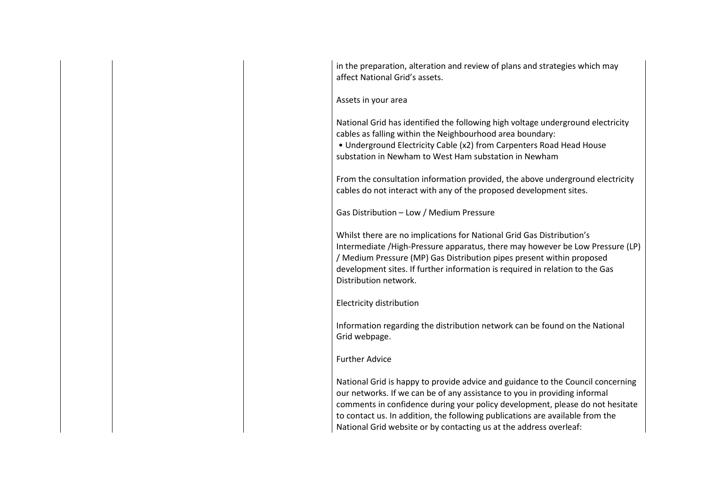in the preparation, alteration and review of plans and strategies which may affect National Grid's assets.

Assets in your area

National Grid has identified the following high voltage underground electricity cables as falling within the Neighbourhood area boundary: • Underground Electricity Cable (x2) from Carpenters Road Head House substation in Newham to West Ham substation in Newham

From the consultation information provided, the above underground electricity cables do not interact with any of the proposed development sites.

Gas Distribution – Low / Medium Pressure

Whilst there are no implications for National Grid Gas Distribution's Intermediate /High-Pressure apparatus, there may however be Low Pressure (LP) / Medium Pressure (MP) Gas Distribution pipes present within proposed development sites. If further information is required in relation to the Gas Distribution network.

Electricity distribution

Information regarding the distribution network can be found on the National Grid webpage.

## Further Advice

National Grid is happy to provide advice and guidance to the Council concerning our networks. If we can be of any assistance to you in providing informal comments in confidence during your policy development, please do not hesitate to contact us. In addition, the following publications are available from the National Grid website or by contacting us at the address overleaf: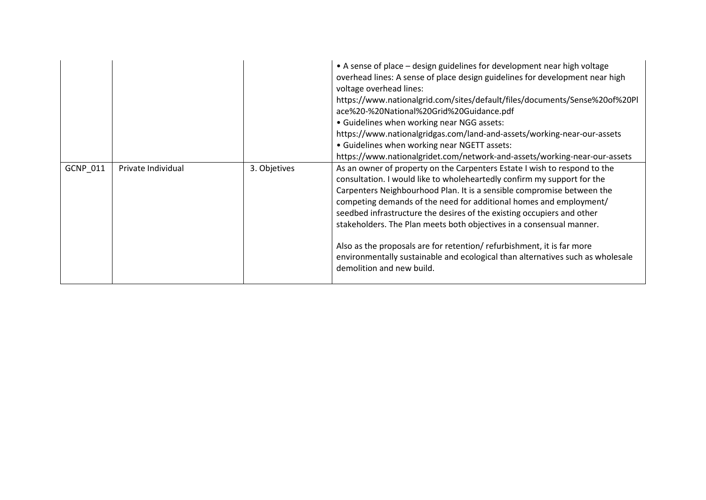|          |                    |              | • A sense of place – design guidelines for development near high voltage<br>overhead lines: A sense of place design guidelines for development near high<br>voltage overhead lines:<br>https://www.nationalgrid.com/sites/default/files/documents/Sense%20of%20Pl<br>ace%20-%20National%20Grid%20Guidance.pdf<br>• Guidelines when working near NGG assets:<br>https://www.nationalgridgas.com/land-and-assets/working-near-our-assets<br>• Guidelines when working near NGETT assets:<br>https://www.nationalgridet.com/network-and-assets/working-near-our-assets                                                                            |
|----------|--------------------|--------------|------------------------------------------------------------------------------------------------------------------------------------------------------------------------------------------------------------------------------------------------------------------------------------------------------------------------------------------------------------------------------------------------------------------------------------------------------------------------------------------------------------------------------------------------------------------------------------------------------------------------------------------------|
| GCNP_011 | Private Individual | 3. Objetives | As an owner of property on the Carpenters Estate I wish to respond to the<br>consultation. I would like to wholeheartedly confirm my support for the<br>Carpenters Neighbourhood Plan. It is a sensible compromise between the<br>competing demands of the need for additional homes and employment/<br>seedbed infrastructure the desires of the existing occupiers and other<br>stakeholders. The Plan meets both objectives in a consensual manner.<br>Also as the proposals are for retention/refurbishment, it is far more<br>environmentally sustainable and ecological than alternatives such as wholesale<br>demolition and new build. |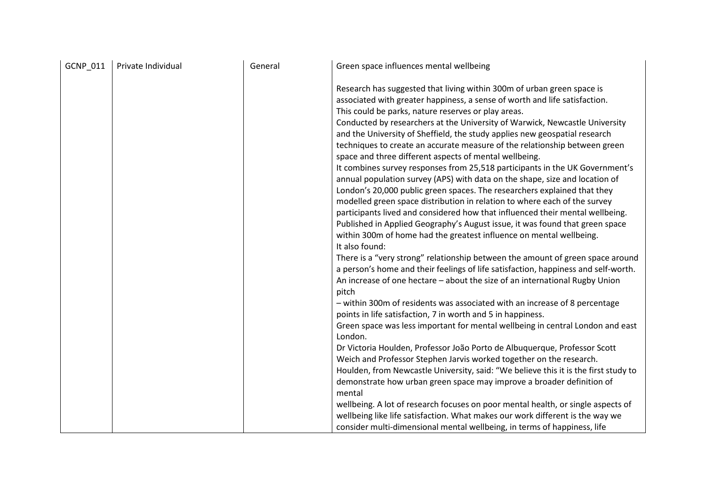| GCNP_011 | Private Individual | General | Green space influences mental wellbeing                                                                                                                                                                                                                                                                                                                                                                                                                                                                                                                                                                                                                                                                                                                                                                                                                                                                                                                                                                                                                                                                                                                                                                                                                                                                                                                                                                                                                                                                                                                                                                                                                                                                                                                          |
|----------|--------------------|---------|------------------------------------------------------------------------------------------------------------------------------------------------------------------------------------------------------------------------------------------------------------------------------------------------------------------------------------------------------------------------------------------------------------------------------------------------------------------------------------------------------------------------------------------------------------------------------------------------------------------------------------------------------------------------------------------------------------------------------------------------------------------------------------------------------------------------------------------------------------------------------------------------------------------------------------------------------------------------------------------------------------------------------------------------------------------------------------------------------------------------------------------------------------------------------------------------------------------------------------------------------------------------------------------------------------------------------------------------------------------------------------------------------------------------------------------------------------------------------------------------------------------------------------------------------------------------------------------------------------------------------------------------------------------------------------------------------------------------------------------------------------------|
|          |                    |         | Research has suggested that living within 300m of urban green space is<br>associated with greater happiness, a sense of worth and life satisfaction.<br>This could be parks, nature reserves or play areas.<br>Conducted by researchers at the University of Warwick, Newcastle University<br>and the University of Sheffield, the study applies new geospatial research<br>techniques to create an accurate measure of the relationship between green<br>space and three different aspects of mental wellbeing.<br>It combines survey responses from 25,518 participants in the UK Government's<br>annual population survey (APS) with data on the shape, size and location of<br>London's 20,000 public green spaces. The researchers explained that they<br>modelled green space distribution in relation to where each of the survey<br>participants lived and considered how that influenced their mental wellbeing.<br>Published in Applied Geography's August issue, it was found that green space<br>within 300m of home had the greatest influence on mental wellbeing.<br>It also found:<br>There is a "very strong" relationship between the amount of green space around<br>a person's home and their feelings of life satisfaction, happiness and self-worth.<br>An increase of one hectare - about the size of an international Rugby Union<br>pitch<br>- within 300m of residents was associated with an increase of 8 percentage<br>points in life satisfaction, 7 in worth and 5 in happiness.<br>Green space was less important for mental wellbeing in central London and east<br>London.<br>Dr Victoria Houlden, Professor João Porto de Albuquerque, Professor Scott<br>Weich and Professor Stephen Jarvis worked together on the research. |
|          |                    |         | Houlden, from Newcastle University, said: "We believe this it is the first study to                                                                                                                                                                                                                                                                                                                                                                                                                                                                                                                                                                                                                                                                                                                                                                                                                                                                                                                                                                                                                                                                                                                                                                                                                                                                                                                                                                                                                                                                                                                                                                                                                                                                              |
|          |                    |         | demonstrate how urban green space may improve a broader definition of<br>mental                                                                                                                                                                                                                                                                                                                                                                                                                                                                                                                                                                                                                                                                                                                                                                                                                                                                                                                                                                                                                                                                                                                                                                                                                                                                                                                                                                                                                                                                                                                                                                                                                                                                                  |
|          |                    |         | wellbeing. A lot of research focuses on poor mental health, or single aspects of                                                                                                                                                                                                                                                                                                                                                                                                                                                                                                                                                                                                                                                                                                                                                                                                                                                                                                                                                                                                                                                                                                                                                                                                                                                                                                                                                                                                                                                                                                                                                                                                                                                                                 |
|          |                    |         | wellbeing like life satisfaction. What makes our work different is the way we                                                                                                                                                                                                                                                                                                                                                                                                                                                                                                                                                                                                                                                                                                                                                                                                                                                                                                                                                                                                                                                                                                                                                                                                                                                                                                                                                                                                                                                                                                                                                                                                                                                                                    |
|          |                    |         | consider multi-dimensional mental wellbeing, in terms of happiness, life                                                                                                                                                                                                                                                                                                                                                                                                                                                                                                                                                                                                                                                                                                                                                                                                                                                                                                                                                                                                                                                                                                                                                                                                                                                                                                                                                                                                                                                                                                                                                                                                                                                                                         |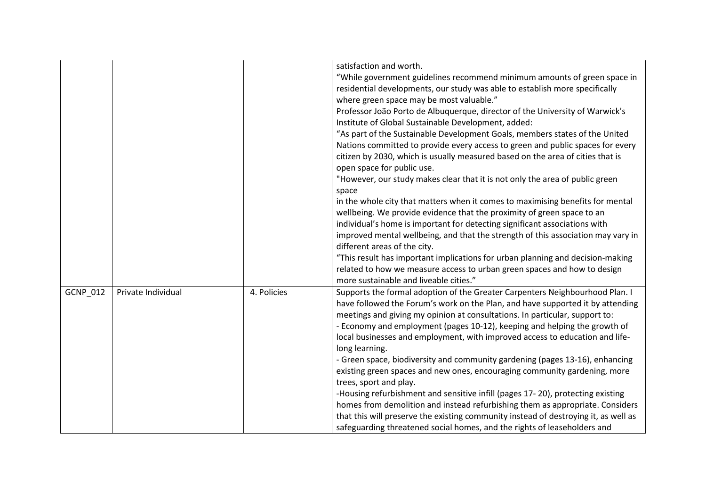|                 |                    |             | satisfaction and worth.<br>"While government guidelines recommend minimum amounts of green space in<br>residential developments, our study was able to establish more specifically<br>where green space may be most valuable."<br>Professor João Porto de Albuquerque, director of the University of Warwick's<br>Institute of Global Sustainable Development, added:<br>"As part of the Sustainable Development Goals, members states of the United<br>Nations committed to provide every access to green and public spaces for every<br>citizen by 2030, which is usually measured based on the area of cities that is<br>open space for public use.<br>"However, our study makes clear that it is not only the area of public green<br>space<br>in the whole city that matters when it comes to maximising benefits for mental<br>wellbeing. We provide evidence that the proximity of green space to an<br>individual's home is important for detecting significant associations with<br>improved mental wellbeing, and that the strength of this association may vary in<br>different areas of the city.<br>"This result has important implications for urban planning and decision-making<br>related to how we measure access to urban green spaces and how to design<br>more sustainable and liveable cities." |
|-----------------|--------------------|-------------|-----------------------------------------------------------------------------------------------------------------------------------------------------------------------------------------------------------------------------------------------------------------------------------------------------------------------------------------------------------------------------------------------------------------------------------------------------------------------------------------------------------------------------------------------------------------------------------------------------------------------------------------------------------------------------------------------------------------------------------------------------------------------------------------------------------------------------------------------------------------------------------------------------------------------------------------------------------------------------------------------------------------------------------------------------------------------------------------------------------------------------------------------------------------------------------------------------------------------------------------------------------------------------------------------------------------------|
| <b>GCNP 012</b> | Private Individual | 4. Policies | Supports the formal adoption of the Greater Carpenters Neighbourhood Plan. I<br>have followed the Forum's work on the Plan, and have supported it by attending<br>meetings and giving my opinion at consultations. In particular, support to:<br>- Economy and employment (pages 10-12), keeping and helping the growth of<br>local businesses and employment, with improved access to education and life-<br>long learning.<br>- Green space, biodiversity and community gardening (pages 13-16), enhancing<br>existing green spaces and new ones, encouraging community gardening, more<br>trees, sport and play.<br>-Housing refurbishment and sensitive infill (pages 17-20), protecting existing<br>homes from demolition and instead refurbishing them as appropriate. Considers<br>that this will preserve the existing community instead of destroying it, as well as<br>safeguarding threatened social homes, and the rights of leaseholders and                                                                                                                                                                                                                                                                                                                                                             |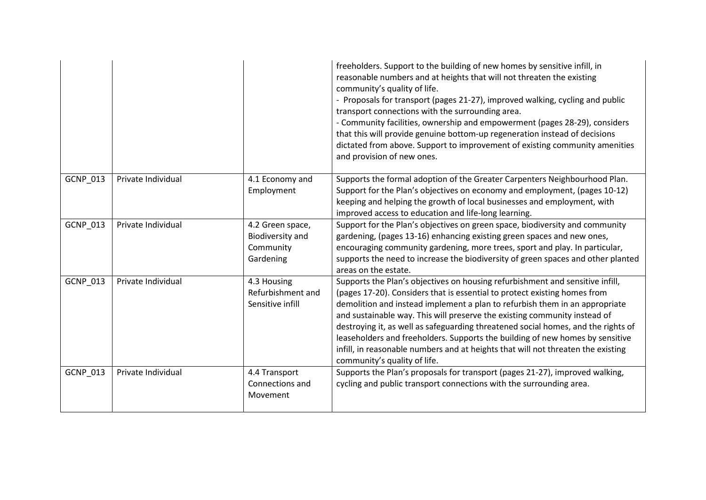|                 |                    |                                                                       | freeholders. Support to the building of new homes by sensitive infill, in<br>reasonable numbers and at heights that will not threaten the existing<br>community's quality of life.<br>- Proposals for transport (pages 21-27), improved walking, cycling and public<br>transport connections with the surrounding area.<br>- Community facilities, ownership and empowerment (pages 28-29), considers<br>that this will provide genuine bottom-up regeneration instead of decisions<br>dictated from above. Support to improvement of existing community amenities<br>and provision of new ones.                 |
|-----------------|--------------------|-----------------------------------------------------------------------|------------------------------------------------------------------------------------------------------------------------------------------------------------------------------------------------------------------------------------------------------------------------------------------------------------------------------------------------------------------------------------------------------------------------------------------------------------------------------------------------------------------------------------------------------------------------------------------------------------------|
| <b>GCNP 013</b> | Private Individual | 4.1 Economy and<br>Employment                                         | Supports the formal adoption of the Greater Carpenters Neighbourhood Plan.<br>Support for the Plan's objectives on economy and employment, (pages 10-12)<br>keeping and helping the growth of local businesses and employment, with<br>improved access to education and life-long learning.                                                                                                                                                                                                                                                                                                                      |
| GCNP_013        | Private Individual | 4.2 Green space,<br><b>Biodiversity and</b><br>Community<br>Gardening | Support for the Plan's objectives on green space, biodiversity and community<br>gardening, (pages 13-16) enhancing existing green spaces and new ones,<br>encouraging community gardening, more trees, sport and play. In particular,<br>supports the need to increase the biodiversity of green spaces and other planted<br>areas on the estate.                                                                                                                                                                                                                                                                |
| GCNP_013        | Private Individual | 4.3 Housing<br>Refurbishment and<br>Sensitive infill                  | Supports the Plan's objectives on housing refurbishment and sensitive infill,<br>(pages 17-20). Considers that is essential to protect existing homes from<br>demolition and instead implement a plan to refurbish them in an appropriate<br>and sustainable way. This will preserve the existing community instead of<br>destroying it, as well as safeguarding threatened social homes, and the rights of<br>leaseholders and freeholders. Supports the building of new homes by sensitive<br>infill, in reasonable numbers and at heights that will not threaten the existing<br>community's quality of life. |
| GCNP_013        | Private Individual | 4.4 Transport<br>Connections and<br>Movement                          | Supports the Plan's proposals for transport (pages 21-27), improved walking,<br>cycling and public transport connections with the surrounding area.                                                                                                                                                                                                                                                                                                                                                                                                                                                              |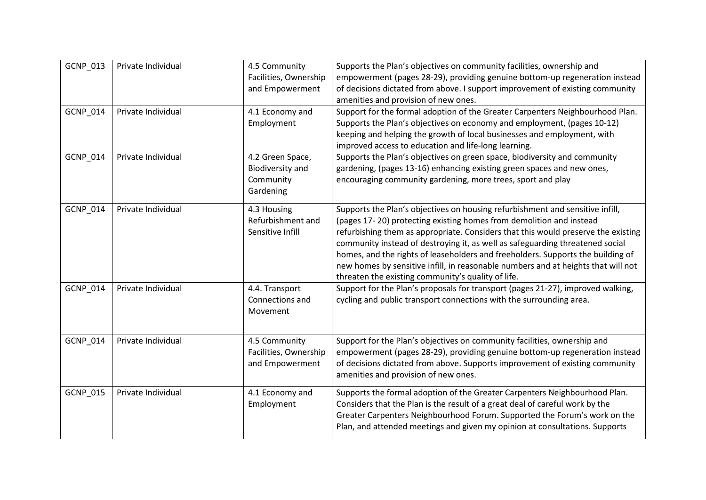| GCNP_013 | Private Individual | 4.5 Community<br>Facilities, Ownership<br>and Empowerment             | Supports the Plan's objectives on community facilities, ownership and<br>empowerment (pages 28-29), providing genuine bottom-up regeneration instead<br>of decisions dictated from above. I support improvement of existing community<br>amenities and provision of new ones.                                                                                                                                                                                                                                                                            |
|----------|--------------------|-----------------------------------------------------------------------|----------------------------------------------------------------------------------------------------------------------------------------------------------------------------------------------------------------------------------------------------------------------------------------------------------------------------------------------------------------------------------------------------------------------------------------------------------------------------------------------------------------------------------------------------------|
| GCNP_014 | Private Individual | 4.1 Economy and<br>Employment                                         | Support for the formal adoption of the Greater Carpenters Neighbourhood Plan.<br>Supports the Plan's objectives on economy and employment, (pages 10-12)<br>keeping and helping the growth of local businesses and employment, with<br>improved access to education and life-long learning.                                                                                                                                                                                                                                                              |
| GCNP_014 | Private Individual | 4.2 Green Space,<br><b>Biodiversity and</b><br>Community<br>Gardening | Supports the Plan's objectives on green space, biodiversity and community<br>gardening, (pages 13-16) enhancing existing green spaces and new ones,<br>encouraging community gardening, more trees, sport and play                                                                                                                                                                                                                                                                                                                                       |
| GCNP_014 | Private Individual | 4.3 Housing<br>Refurbishment and<br>Sensitive Infill                  | Supports the Plan's objectives on housing refurbishment and sensitive infill,<br>(pages 17-20) protecting existing homes from demolition and instead<br>refurbishing them as appropriate. Considers that this would preserve the existing<br>community instead of destroying it, as well as safeguarding threatened social<br>homes, and the rights of leaseholders and freeholders. Supports the building of<br>new homes by sensitive infill, in reasonable numbers and at heights that will not<br>threaten the existing community's quality of life. |
| GCNP_014 | Private Individual | 4.4. Transport<br>Connections and<br>Movement                         | Support for the Plan's proposals for transport (pages 21-27), improved walking,<br>cycling and public transport connections with the surrounding area.                                                                                                                                                                                                                                                                                                                                                                                                   |
| GCNP_014 | Private Individual | 4.5 Community<br>Facilities, Ownership<br>and Empowerment             | Support for the Plan's objectives on community facilities, ownership and<br>empowerment (pages 28-29), providing genuine bottom-up regeneration instead<br>of decisions dictated from above. Supports improvement of existing community<br>amenities and provision of new ones.                                                                                                                                                                                                                                                                          |
| GCNP_015 | Private Individual | 4.1 Economy and<br>Employment                                         | Supports the formal adoption of the Greater Carpenters Neighbourhood Plan.<br>Considers that the Plan is the result of a great deal of careful work by the<br>Greater Carpenters Neighbourhood Forum. Supported the Forum's work on the<br>Plan, and attended meetings and given my opinion at consultations. Supports                                                                                                                                                                                                                                   |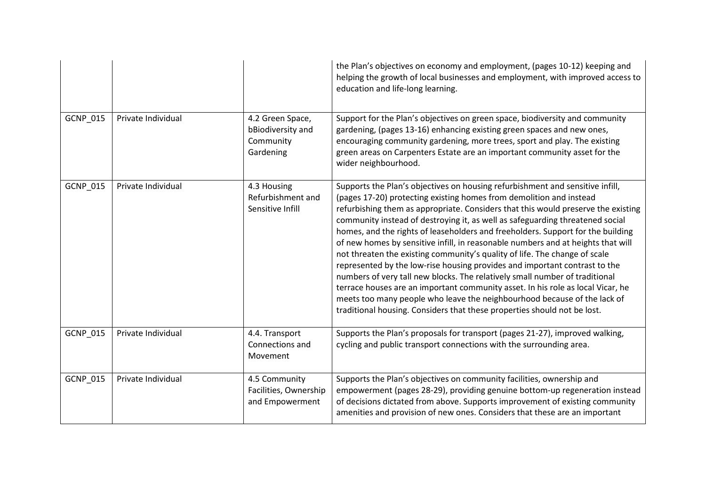|          |                    |                                                                 | the Plan's objectives on economy and employment, (pages 10-12) keeping and<br>helping the growth of local businesses and employment, with improved access to<br>education and life-long learning.                                                                                                                                                                                                                                                                                                                                                                                                                                                                                                                                                                                                                                                                                                                                                                                       |
|----------|--------------------|-----------------------------------------------------------------|-----------------------------------------------------------------------------------------------------------------------------------------------------------------------------------------------------------------------------------------------------------------------------------------------------------------------------------------------------------------------------------------------------------------------------------------------------------------------------------------------------------------------------------------------------------------------------------------------------------------------------------------------------------------------------------------------------------------------------------------------------------------------------------------------------------------------------------------------------------------------------------------------------------------------------------------------------------------------------------------|
| GCNP_015 | Private Individual | 4.2 Green Space,<br>bBiodiversity and<br>Community<br>Gardening | Support for the Plan's objectives on green space, biodiversity and community<br>gardening, (pages 13-16) enhancing existing green spaces and new ones,<br>encouraging community gardening, more trees, sport and play. The existing<br>green areas on Carpenters Estate are an important community asset for the<br>wider neighbourhood.                                                                                                                                                                                                                                                                                                                                                                                                                                                                                                                                                                                                                                                |
| GCNP_015 | Private Individual | 4.3 Housing<br>Refurbishment and<br>Sensitive Infill            | Supports the Plan's objectives on housing refurbishment and sensitive infill,<br>(pages 17-20) protecting existing homes from demolition and instead<br>refurbishing them as appropriate. Considers that this would preserve the existing<br>community instead of destroying it, as well as safeguarding threatened social<br>homes, and the rights of leaseholders and freeholders. Support for the building<br>of new homes by sensitive infill, in reasonable numbers and at heights that will<br>not threaten the existing community's quality of life. The change of scale<br>represented by the low-rise housing provides and important contrast to the<br>numbers of very tall new blocks. The relatively small number of traditional<br>terrace houses are an important community asset. In his role as local Vicar, he<br>meets too many people who leave the neighbourhood because of the lack of<br>traditional housing. Considers that these properties should not be lost. |
| GCNP_015 | Private Individual | 4.4. Transport<br>Connections and<br>Movement                   | Supports the Plan's proposals for transport (pages 21-27), improved walking,<br>cycling and public transport connections with the surrounding area.                                                                                                                                                                                                                                                                                                                                                                                                                                                                                                                                                                                                                                                                                                                                                                                                                                     |
| GCNP_015 | Private Individual | 4.5 Community<br>Facilities, Ownership<br>and Empowerment       | Supports the Plan's objectives on community facilities, ownership and<br>empowerment (pages 28-29), providing genuine bottom-up regeneration instead<br>of decisions dictated from above. Supports improvement of existing community<br>amenities and provision of new ones. Considers that these are an important                                                                                                                                                                                                                                                                                                                                                                                                                                                                                                                                                                                                                                                                      |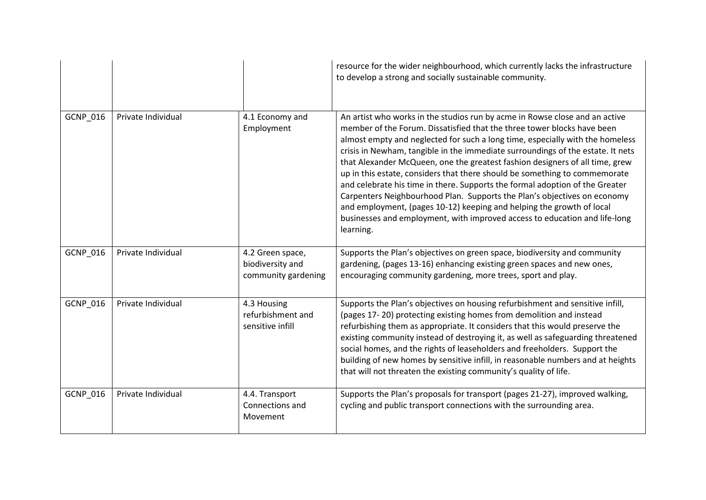|          |                    |                                                             | resource for the wider neighbourhood, which currently lacks the infrastructure<br>to develop a strong and socially sustainable community.                                                                                                                                                                                                                                                                                                                                                                                                                                                                                                                                                                                                                                                                                |
|----------|--------------------|-------------------------------------------------------------|--------------------------------------------------------------------------------------------------------------------------------------------------------------------------------------------------------------------------------------------------------------------------------------------------------------------------------------------------------------------------------------------------------------------------------------------------------------------------------------------------------------------------------------------------------------------------------------------------------------------------------------------------------------------------------------------------------------------------------------------------------------------------------------------------------------------------|
| GCNP_016 | Private Individual | 4.1 Economy and<br>Employment                               | An artist who works in the studios run by acme in Rowse close and an active<br>member of the Forum. Dissatisfied that the three tower blocks have been<br>almost empty and neglected for such a long time, especially with the homeless<br>crisis in Newham, tangible in the immediate surroundings of the estate. It nets<br>that Alexander McQueen, one the greatest fashion designers of all time, grew<br>up in this estate, considers that there should be something to commemorate<br>and celebrate his time in there. Supports the formal adoption of the Greater<br>Carpenters Neighbourhood Plan. Supports the Plan's objectives on economy<br>and employment, (pages 10-12) keeping and helping the growth of local<br>businesses and employment, with improved access to education and life-long<br>learning. |
| GCNP_016 | Private Individual | 4.2 Green space,<br>biodiversity and<br>community gardening | Supports the Plan's objectives on green space, biodiversity and community<br>gardening, (pages 13-16) enhancing existing green spaces and new ones,<br>encouraging community gardening, more trees, sport and play.                                                                                                                                                                                                                                                                                                                                                                                                                                                                                                                                                                                                      |
| GCNP_016 | Private Individual | 4.3 Housing<br>refurbishment and<br>sensitive infill        | Supports the Plan's objectives on housing refurbishment and sensitive infill,<br>(pages 17-20) protecting existing homes from demolition and instead<br>refurbishing them as appropriate. It considers that this would preserve the<br>existing community instead of destroying it, as well as safeguarding threatened<br>social homes, and the rights of leaseholders and freeholders. Support the<br>building of new homes by sensitive infill, in reasonable numbers and at heights<br>that will not threaten the existing community's quality of life.                                                                                                                                                                                                                                                               |
| GCNP_016 | Private Individual | 4.4. Transport<br>Connections and<br>Movement               | Supports the Plan's proposals for transport (pages 21-27), improved walking,<br>cycling and public transport connections with the surrounding area.                                                                                                                                                                                                                                                                                                                                                                                                                                                                                                                                                                                                                                                                      |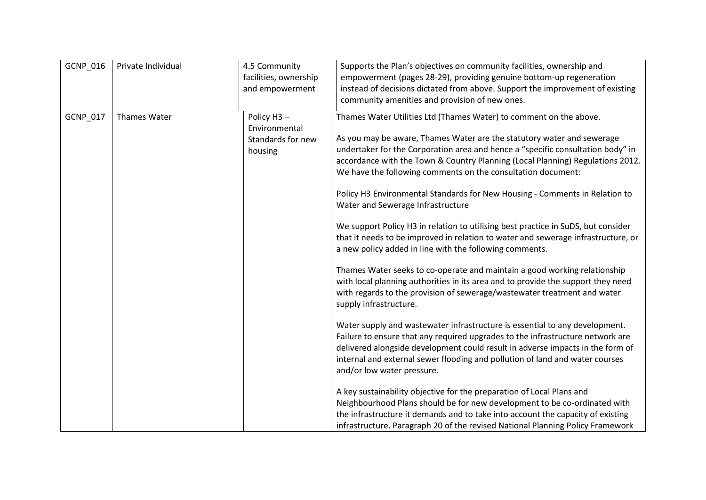| GCNP_016 | Private Individual | 4.5 Community<br>facilities, ownership<br>and empowerment   | Supports the Plan's objectives on community facilities, ownership and<br>empowerment (pages 28-29), providing genuine bottom-up regeneration<br>instead of decisions dictated from above. Support the improvement of existing<br>community amenities and provision of new ones.                                                                                                                                                                                                                                                                                                                                                                                                                                                                                                                                                                                                                                                                                                                                                                                                                  |
|----------|--------------------|-------------------------------------------------------------|--------------------------------------------------------------------------------------------------------------------------------------------------------------------------------------------------------------------------------------------------------------------------------------------------------------------------------------------------------------------------------------------------------------------------------------------------------------------------------------------------------------------------------------------------------------------------------------------------------------------------------------------------------------------------------------------------------------------------------------------------------------------------------------------------------------------------------------------------------------------------------------------------------------------------------------------------------------------------------------------------------------------------------------------------------------------------------------------------|
| GCNP_017 | Thames Water       | Policy H3-<br>Environmental<br>Standards for new<br>housing | Thames Water Utilities Ltd (Thames Water) to comment on the above.<br>As you may be aware, Thames Water are the statutory water and sewerage<br>undertaker for the Corporation area and hence a "specific consultation body" in<br>accordance with the Town & Country Planning (Local Planning) Regulations 2012.<br>We have the following comments on the consultation document:<br>Policy H3 Environmental Standards for New Housing - Comments in Relation to<br>Water and Sewerage Infrastructure<br>We support Policy H3 in relation to utilising best practice in SuDS, but consider<br>that it needs to be improved in relation to water and sewerage infrastructure, or<br>a new policy added in line with the following comments.<br>Thames Water seeks to co-operate and maintain a good working relationship<br>with local planning authorities in its area and to provide the support they need<br>with regards to the provision of sewerage/wastewater treatment and water<br>supply infrastructure.<br>Water supply and wastewater infrastructure is essential to any development. |
|          |                    |                                                             | Failure to ensure that any required upgrades to the infrastructure network are<br>delivered alongside development could result in adverse impacts in the form of<br>internal and external sewer flooding and pollution of land and water courses<br>and/or low water pressure.<br>A key sustainability objective for the preparation of Local Plans and<br>Neighbourhood Plans should be for new development to be co-ordinated with<br>the infrastructure it demands and to take into account the capacity of existing<br>infrastructure. Paragraph 20 of the revised National Planning Policy Framework                                                                                                                                                                                                                                                                                                                                                                                                                                                                                        |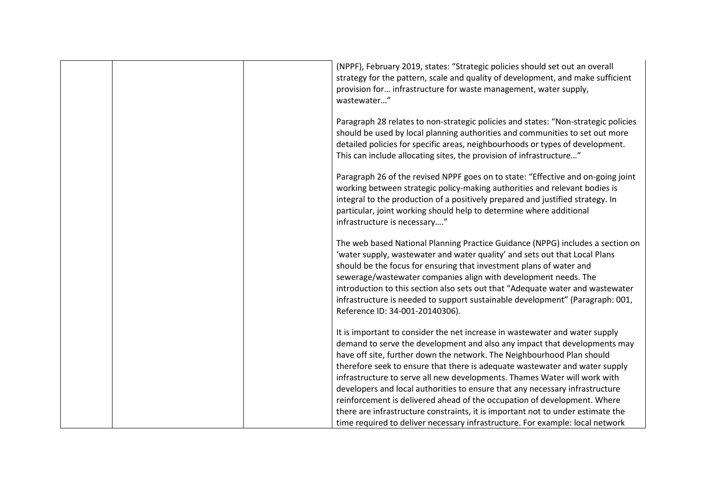| (NPPF), February 2019, states: "Strategic policies should set out an overall<br>strategy for the pattern, scale and quality of development, and make sufficient<br>provision for infrastructure for waste management, water supply,<br>wastewater"                                                                                                                                                                                                                                                                                                                                                                                                                                                                             |
|--------------------------------------------------------------------------------------------------------------------------------------------------------------------------------------------------------------------------------------------------------------------------------------------------------------------------------------------------------------------------------------------------------------------------------------------------------------------------------------------------------------------------------------------------------------------------------------------------------------------------------------------------------------------------------------------------------------------------------|
| Paragraph 28 relates to non-strategic policies and states: "Non-strategic policies<br>should be used by local planning authorities and communities to set out more<br>detailed policies for specific areas, neighbourhoods or types of development.<br>This can include allocating sites, the provision of infrastructure"                                                                                                                                                                                                                                                                                                                                                                                                     |
| Paragraph 26 of the revised NPPF goes on to state: "Effective and on-going joint<br>working between strategic policy-making authorities and relevant bodies is<br>integral to the production of a positively prepared and justified strategy. In<br>particular, joint working should help to determine where additional<br>infrastructure is necessary"                                                                                                                                                                                                                                                                                                                                                                        |
| The web based National Planning Practice Guidance (NPPG) includes a section on<br>'water supply, wastewater and water quality' and sets out that Local Plans<br>should be the focus for ensuring that investment plans of water and<br>sewerage/wastewater companies align with development needs. The<br>introduction to this section also sets out that "Adequate water and wastewater<br>infrastructure is needed to support sustainable development" (Paragraph: 001,<br>Reference ID: 34-001-20140306).                                                                                                                                                                                                                   |
| It is important to consider the net increase in wastewater and water supply<br>demand to serve the development and also any impact that developments may<br>have off site, further down the network. The Neighbourhood Plan should<br>therefore seek to ensure that there is adequate wastewater and water supply<br>infrastructure to serve all new developments. Thames Water will work with<br>developers and local authorities to ensure that any necessary infrastructure<br>reinforcement is delivered ahead of the occupation of development. Where<br>there are infrastructure constraints, it is important not to under estimate the<br>time required to deliver necessary infrastructure. For example: local network |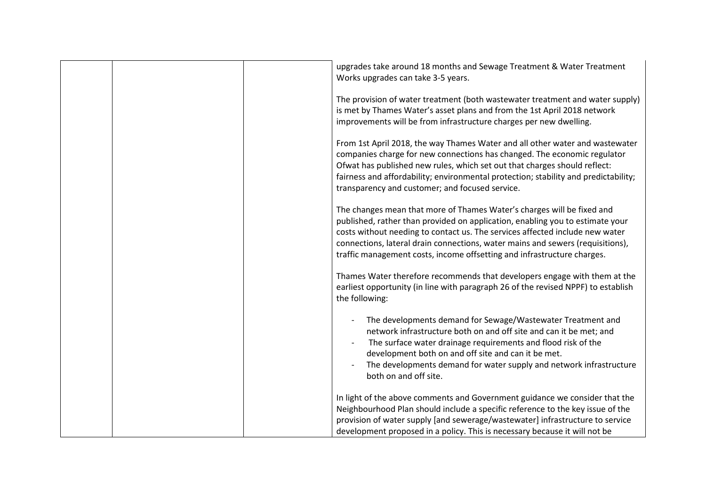| upgrades take around 18 months and Sewage Treatment & Water Treatment<br>Works upgrades can take 3-5 years.                                                                                                                                                                                                                                                                                          |
|------------------------------------------------------------------------------------------------------------------------------------------------------------------------------------------------------------------------------------------------------------------------------------------------------------------------------------------------------------------------------------------------------|
| The provision of water treatment (both wastewater treatment and water supply)<br>is met by Thames Water's asset plans and from the 1st April 2018 network<br>improvements will be from infrastructure charges per new dwelling.                                                                                                                                                                      |
| From 1st April 2018, the way Thames Water and all other water and wastewater<br>companies charge for new connections has changed. The economic regulator<br>Ofwat has published new rules, which set out that charges should reflect:<br>fairness and affordability; environmental protection; stability and predictability;<br>transparency and customer; and focused service.                      |
| The changes mean that more of Thames Water's charges will be fixed and<br>published, rather than provided on application, enabling you to estimate your<br>costs without needing to contact us. The services affected include new water<br>connections, lateral drain connections, water mains and sewers (requisitions),<br>traffic management costs, income offsetting and infrastructure charges. |
| Thames Water therefore recommends that developers engage with them at the<br>earliest opportunity (in line with paragraph 26 of the revised NPPF) to establish<br>the following:                                                                                                                                                                                                                     |
| The developments demand for Sewage/Wastewater Treatment and<br>network infrastructure both on and off site and can it be met; and<br>The surface water drainage requirements and flood risk of the<br>development both on and off site and can it be met.<br>The developments demand for water supply and network infrastructure<br>both on and off site.                                            |
| In light of the above comments and Government guidance we consider that the<br>Neighbourhood Plan should include a specific reference to the key issue of the<br>provision of water supply [and sewerage/wastewater] infrastructure to service<br>development proposed in a policy. This is necessary because it will not be                                                                         |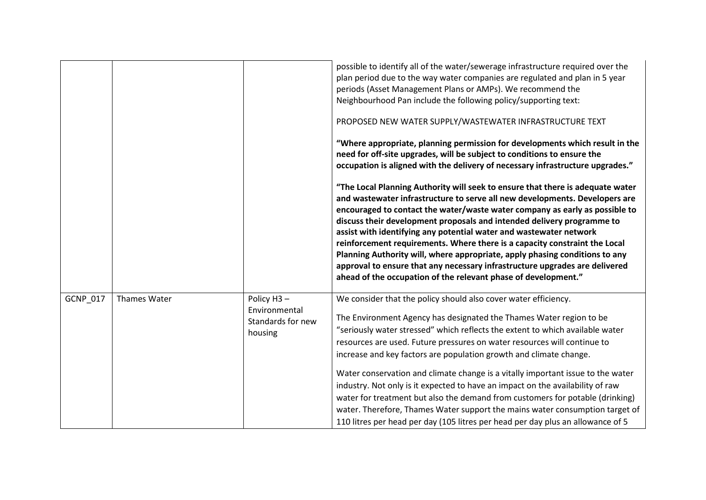|                 |              |                                                                          | possible to identify all of the water/sewerage infrastructure required over the<br>plan period due to the way water companies are regulated and plan in 5 year<br>periods (Asset Management Plans or AMPs). We recommend the<br>Neighbourhood Pan include the following policy/supporting text:<br>PROPOSED NEW WATER SUPPLY/WASTEWATER INFRASTRUCTURE TEXT<br>"Where appropriate, planning permission for developments which result in the<br>need for off-site upgrades, will be subject to conditions to ensure the<br>occupation is aligned with the delivery of necessary infrastructure upgrades."<br>"The Local Planning Authority will seek to ensure that there is adequate water<br>and wastewater infrastructure to serve all new developments. Developers are<br>encouraged to contact the water/waste water company as early as possible to<br>discuss their development proposals and intended delivery programme to<br>assist with identifying any potential water and wastewater network<br>reinforcement requirements. Where there is a capacity constraint the Local<br>Planning Authority will, where appropriate, apply phasing conditions to any<br>approval to ensure that any necessary infrastructure upgrades are delivered<br>ahead of the occupation of the relevant phase of development." |
|-----------------|--------------|--------------------------------------------------------------------------|------------------------------------------------------------------------------------------------------------------------------------------------------------------------------------------------------------------------------------------------------------------------------------------------------------------------------------------------------------------------------------------------------------------------------------------------------------------------------------------------------------------------------------------------------------------------------------------------------------------------------------------------------------------------------------------------------------------------------------------------------------------------------------------------------------------------------------------------------------------------------------------------------------------------------------------------------------------------------------------------------------------------------------------------------------------------------------------------------------------------------------------------------------------------------------------------------------------------------------------------------------------------------------------------------------------------|
| <b>GCNP 017</b> | Thames Water | Policy H <sub>3</sub> -<br>Environmental<br>Standards for new<br>housing | We consider that the policy should also cover water efficiency.<br>The Environment Agency has designated the Thames Water region to be<br>"seriously water stressed" which reflects the extent to which available water<br>resources are used. Future pressures on water resources will continue to<br>increase and key factors are population growth and climate change.<br>Water conservation and climate change is a vitally important issue to the water<br>industry. Not only is it expected to have an impact on the availability of raw<br>water for treatment but also the demand from customers for potable (drinking)<br>water. Therefore, Thames Water support the mains water consumption target of<br>110 litres per head per day (105 litres per head per day plus an allowance of 5                                                                                                                                                                                                                                                                                                                                                                                                                                                                                                                     |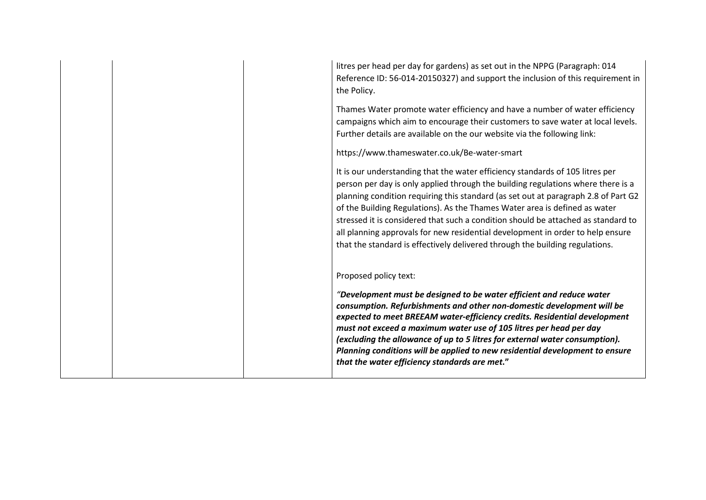| litres per head per day for gardens) as set out in the NPPG (Paragraph: 014<br>Reference ID: 56-014-20150327) and support the inclusion of this requirement in<br>the Policy.                                                                                                                                                                                                                                                                                                                                                                                                                |
|----------------------------------------------------------------------------------------------------------------------------------------------------------------------------------------------------------------------------------------------------------------------------------------------------------------------------------------------------------------------------------------------------------------------------------------------------------------------------------------------------------------------------------------------------------------------------------------------|
| Thames Water promote water efficiency and have a number of water efficiency<br>campaigns which aim to encourage their customers to save water at local levels.<br>Further details are available on the our website via the following link:                                                                                                                                                                                                                                                                                                                                                   |
| https://www.thameswater.co.uk/Be-water-smart                                                                                                                                                                                                                                                                                                                                                                                                                                                                                                                                                 |
| It is our understanding that the water efficiency standards of 105 litres per<br>person per day is only applied through the building regulations where there is a<br>planning condition requiring this standard (as set out at paragraph 2.8 of Part G2<br>of the Building Regulations). As the Thames Water area is defined as water<br>stressed it is considered that such a condition should be attached as standard to<br>all planning approvals for new residential development in order to help ensure<br>that the standard is effectively delivered through the building regulations. |
| Proposed policy text:                                                                                                                                                                                                                                                                                                                                                                                                                                                                                                                                                                        |
| "Development must be designed to be water efficient and reduce water<br>consumption. Refurbishments and other non-domestic development will be<br>expected to meet BREEAM water-efficiency credits. Residential development<br>must not exceed a maximum water use of 105 litres per head per day<br>(excluding the allowance of up to 5 litres for external water consumption).<br>Planning conditions will be applied to new residential development to ensure<br>that the water efficiency standards are met."                                                                            |
|                                                                                                                                                                                                                                                                                                                                                                                                                                                                                                                                                                                              |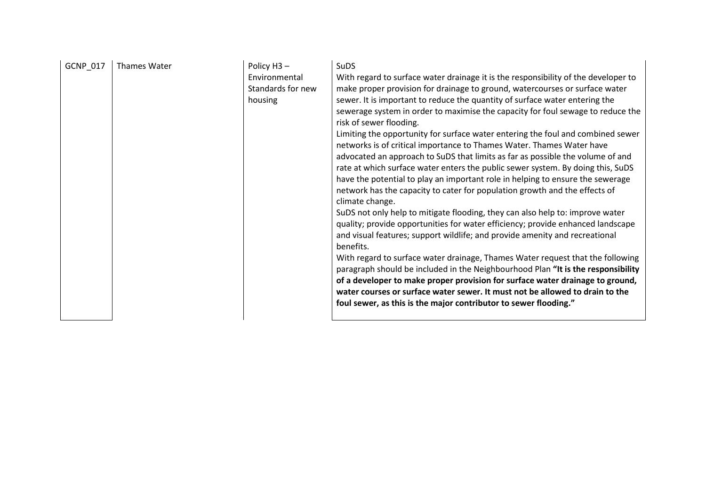| GCNP_017<br>Policy H3-<br>Thames Water<br>Environmental<br>Standards for new<br>housing | <b>SuDS</b><br>With regard to surface water drainage it is the responsibility of the developer to<br>make proper provision for drainage to ground, watercourses or surface water<br>sewer. It is important to reduce the quantity of surface water entering the<br>sewerage system in order to maximise the capacity for foul sewage to reduce the<br>risk of sewer flooding.<br>Limiting the opportunity for surface water entering the foul and combined sewer<br>networks is of critical importance to Thames Water. Thames Water have<br>advocated an approach to SuDS that limits as far as possible the volume of and<br>rate at which surface water enters the public sewer system. By doing this, SuDS<br>have the potential to play an important role in helping to ensure the sewerage<br>network has the capacity to cater for population growth and the effects of<br>climate change.<br>SuDS not only help to mitigate flooding, they can also help to: improve water<br>quality; provide opportunities for water efficiency; provide enhanced landscape<br>and visual features; support wildlife; and provide amenity and recreational<br>benefits.<br>With regard to surface water drainage, Thames Water request that the following<br>paragraph should be included in the Neighbourhood Plan "It is the responsibility<br>of a developer to make proper provision for surface water drainage to ground,<br>water courses or surface water sewer. It must not be allowed to drain to the<br>foul sewer, as this is the major contributor to sewer flooding." |
|-----------------------------------------------------------------------------------------|------------------------------------------------------------------------------------------------------------------------------------------------------------------------------------------------------------------------------------------------------------------------------------------------------------------------------------------------------------------------------------------------------------------------------------------------------------------------------------------------------------------------------------------------------------------------------------------------------------------------------------------------------------------------------------------------------------------------------------------------------------------------------------------------------------------------------------------------------------------------------------------------------------------------------------------------------------------------------------------------------------------------------------------------------------------------------------------------------------------------------------------------------------------------------------------------------------------------------------------------------------------------------------------------------------------------------------------------------------------------------------------------------------------------------------------------------------------------------------------------------------------------------------------------------------------------------|
|-----------------------------------------------------------------------------------------|------------------------------------------------------------------------------------------------------------------------------------------------------------------------------------------------------------------------------------------------------------------------------------------------------------------------------------------------------------------------------------------------------------------------------------------------------------------------------------------------------------------------------------------------------------------------------------------------------------------------------------------------------------------------------------------------------------------------------------------------------------------------------------------------------------------------------------------------------------------------------------------------------------------------------------------------------------------------------------------------------------------------------------------------------------------------------------------------------------------------------------------------------------------------------------------------------------------------------------------------------------------------------------------------------------------------------------------------------------------------------------------------------------------------------------------------------------------------------------------------------------------------------------------------------------------------------|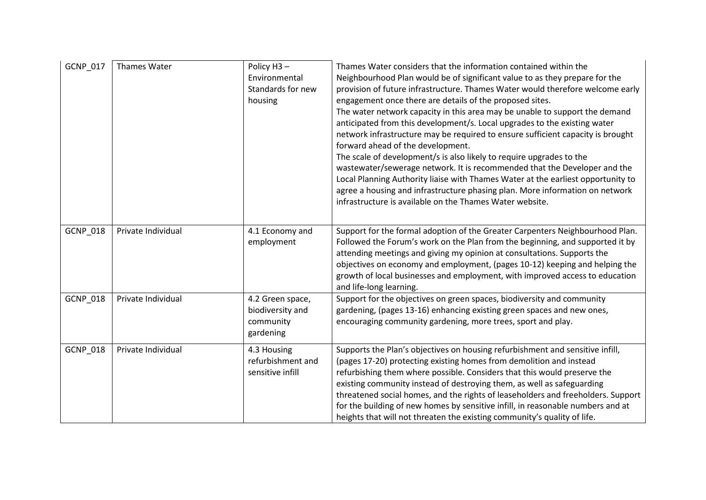| GCNP_017        | Thames Water       | Policy H3-<br>Environmental<br>Standards for new<br>housing    | Thames Water considers that the information contained within the<br>Neighbourhood Plan would be of significant value to as they prepare for the<br>provision of future infrastructure. Thames Water would therefore welcome early<br>engagement once there are details of the proposed sites.<br>The water network capacity in this area may be unable to support the demand<br>anticipated from this development/s. Local upgrades to the existing water<br>network infrastructure may be required to ensure sufficient capacity is brought<br>forward ahead of the development.<br>The scale of development/s is also likely to require upgrades to the<br>wastewater/sewerage network. It is recommended that the Developer and the<br>Local Planning Authority liaise with Thames Water at the earliest opportunity to<br>agree a housing and infrastructure phasing plan. More information on network<br>infrastructure is available on the Thames Water website. |
|-----------------|--------------------|----------------------------------------------------------------|------------------------------------------------------------------------------------------------------------------------------------------------------------------------------------------------------------------------------------------------------------------------------------------------------------------------------------------------------------------------------------------------------------------------------------------------------------------------------------------------------------------------------------------------------------------------------------------------------------------------------------------------------------------------------------------------------------------------------------------------------------------------------------------------------------------------------------------------------------------------------------------------------------------------------------------------------------------------|
| <b>GCNP 018</b> | Private Individual | 4.1 Economy and<br>employment                                  | Support for the formal adoption of the Greater Carpenters Neighbourhood Plan.<br>Followed the Forum's work on the Plan from the beginning, and supported it by<br>attending meetings and giving my opinion at consultations. Supports the<br>objectives on economy and employment, (pages 10-12) keeping and helping the<br>growth of local businesses and employment, with improved access to education<br>and life-long learning.                                                                                                                                                                                                                                                                                                                                                                                                                                                                                                                                    |
| <b>GCNP_018</b> | Private Individual | 4.2 Green space,<br>biodiversity and<br>community<br>gardening | Support for the objectives on green spaces, biodiversity and community<br>gardening, (pages 13-16) enhancing existing green spaces and new ones,<br>encouraging community gardening, more trees, sport and play.                                                                                                                                                                                                                                                                                                                                                                                                                                                                                                                                                                                                                                                                                                                                                       |
| GCNP_018        | Private Individual | 4.3 Housing<br>refurbishment and<br>sensitive infill           | Supports the Plan's objectives on housing refurbishment and sensitive infill,<br>(pages 17-20) protecting existing homes from demolition and instead<br>refurbishing them where possible. Considers that this would preserve the<br>existing community instead of destroying them, as well as safeguarding<br>threatened social homes, and the rights of leaseholders and freeholders. Support<br>for the building of new homes by sensitive infill, in reasonable numbers and at<br>heights that will not threaten the existing community's quality of life.                                                                                                                                                                                                                                                                                                                                                                                                          |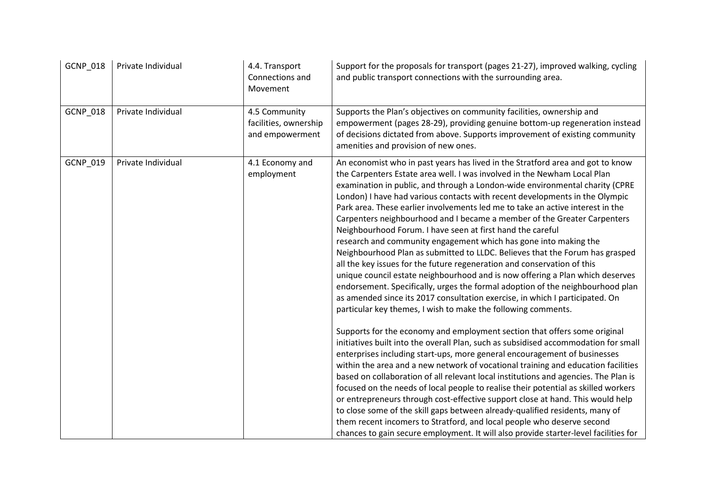| GCNP_018 | Private Individual | 4.4. Transport<br>Connections and<br>Movement             | Support for the proposals for transport (pages 21-27), improved walking, cycling<br>and public transport connections with the surrounding area.                                                                                                                                                                                                                                                                                                                                                                                                                                                                                                                                                                                                                                                                                                                                                                                                                                                                                                                                                                                                                                                                                                                                                                                                                                                                                                                                                                                                                                                                                                                                                                                                                                                                                                                                                                                                                 |
|----------|--------------------|-----------------------------------------------------------|-----------------------------------------------------------------------------------------------------------------------------------------------------------------------------------------------------------------------------------------------------------------------------------------------------------------------------------------------------------------------------------------------------------------------------------------------------------------------------------------------------------------------------------------------------------------------------------------------------------------------------------------------------------------------------------------------------------------------------------------------------------------------------------------------------------------------------------------------------------------------------------------------------------------------------------------------------------------------------------------------------------------------------------------------------------------------------------------------------------------------------------------------------------------------------------------------------------------------------------------------------------------------------------------------------------------------------------------------------------------------------------------------------------------------------------------------------------------------------------------------------------------------------------------------------------------------------------------------------------------------------------------------------------------------------------------------------------------------------------------------------------------------------------------------------------------------------------------------------------------------------------------------------------------------------------------------------------------|
| GCNP_018 | Private Individual | 4.5 Community<br>facilities, ownership<br>and empowerment | Supports the Plan's objectives on community facilities, ownership and<br>empowerment (pages 28-29), providing genuine bottom-up regeneration instead<br>of decisions dictated from above. Supports improvement of existing community<br>amenities and provision of new ones.                                                                                                                                                                                                                                                                                                                                                                                                                                                                                                                                                                                                                                                                                                                                                                                                                                                                                                                                                                                                                                                                                                                                                                                                                                                                                                                                                                                                                                                                                                                                                                                                                                                                                    |
| GCNP_019 | Private Individual | 4.1 Economy and<br>employment                             | An economist who in past years has lived in the Stratford area and got to know<br>the Carpenters Estate area well. I was involved in the Newham Local Plan<br>examination in public, and through a London-wide environmental charity (CPRE<br>London) I have had various contacts with recent developments in the Olympic<br>Park area. These earlier involvements led me to take an active interest in the<br>Carpenters neighbourhood and I became a member of the Greater Carpenters<br>Neighbourhood Forum. I have seen at first hand the careful<br>research and community engagement which has gone into making the<br>Neighbourhood Plan as submitted to LLDC. Believes that the Forum has grasped<br>all the key issues for the future regeneration and conservation of this<br>unique council estate neighbourhood and is now offering a Plan which deserves<br>endorsement. Specifically, urges the formal adoption of the neighbourhood plan<br>as amended since its 2017 consultation exercise, in which I participated. On<br>particular key themes, I wish to make the following comments.<br>Supports for the economy and employment section that offers some original<br>initiatives built into the overall Plan, such as subsidised accommodation for small<br>enterprises including start-ups, more general encouragement of businesses<br>within the area and a new network of vocational training and education facilities<br>based on collaboration of all relevant local institutions and agencies. The Plan is<br>focused on the needs of local people to realise their potential as skilled workers<br>or entrepreneurs through cost-effective support close at hand. This would help<br>to close some of the skill gaps between already-qualified residents, many of<br>them recent incomers to Stratford, and local people who deserve second<br>chances to gain secure employment. It will also provide starter-level facilities for |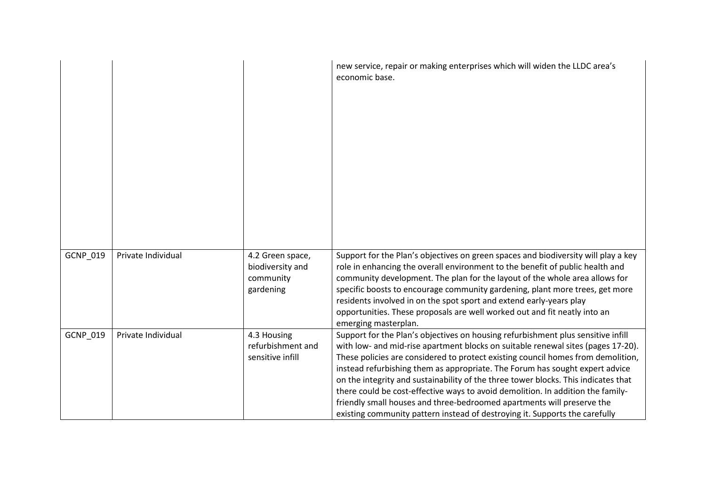|          |                    |                                                                | new service, repair or making enterprises which will widen the LLDC area's<br>economic base.                                                                                                                                                                                                                                                                                                                                                                                                                                                                                                                                                                               |
|----------|--------------------|----------------------------------------------------------------|----------------------------------------------------------------------------------------------------------------------------------------------------------------------------------------------------------------------------------------------------------------------------------------------------------------------------------------------------------------------------------------------------------------------------------------------------------------------------------------------------------------------------------------------------------------------------------------------------------------------------------------------------------------------------|
| GCNP_019 | Private Individual | 4.2 Green space,<br>biodiversity and<br>community<br>gardening | Support for the Plan's objectives on green spaces and biodiversity will play a key<br>role in enhancing the overall environment to the benefit of public health and<br>community development. The plan for the layout of the whole area allows for<br>specific boosts to encourage community gardening, plant more trees, get more<br>residents involved in on the spot sport and extend early-years play<br>opportunities. These proposals are well worked out and fit neatly into an<br>emerging masterplan.                                                                                                                                                             |
| GCNP_019 | Private Individual | 4.3 Housing<br>refurbishment and<br>sensitive infill           | Support for the Plan's objectives on housing refurbishment plus sensitive infill<br>with low- and mid-rise apartment blocks on suitable renewal sites (pages 17-20).<br>These policies are considered to protect existing council homes from demolition,<br>instead refurbishing them as appropriate. The Forum has sought expert advice<br>on the integrity and sustainability of the three tower blocks. This indicates that<br>there could be cost-effective ways to avoid demolition. In addition the family-<br>friendly small houses and three-bedroomed apartments will preserve the<br>existing community pattern instead of destroying it. Supports the carefully |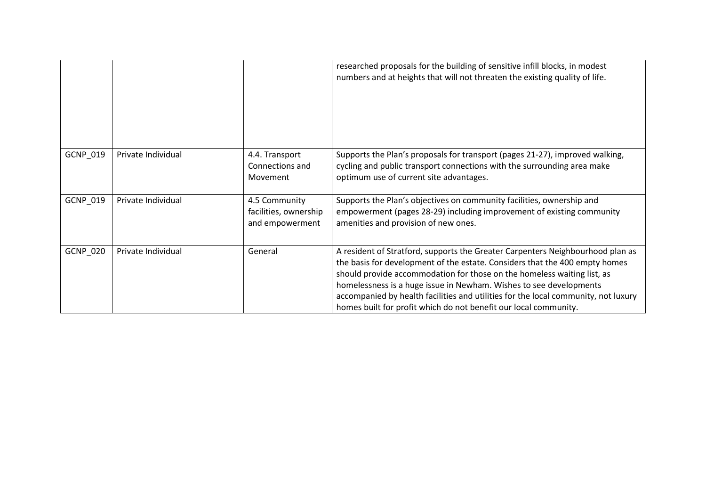|          |                    |                                                           | researched proposals for the building of sensitive infill blocks, in modest<br>numbers and at heights that will not threaten the existing quality of life.                                                                                                                                                                                                                                                                                                               |
|----------|--------------------|-----------------------------------------------------------|--------------------------------------------------------------------------------------------------------------------------------------------------------------------------------------------------------------------------------------------------------------------------------------------------------------------------------------------------------------------------------------------------------------------------------------------------------------------------|
| GCNP_019 | Private Individual | 4.4. Transport<br>Connections and<br>Movement             | Supports the Plan's proposals for transport (pages 21-27), improved walking,<br>cycling and public transport connections with the surrounding area make<br>optimum use of current site advantages.                                                                                                                                                                                                                                                                       |
| GCNP_019 | Private Individual | 4.5 Community<br>facilities, ownership<br>and empowerment | Supports the Plan's objectives on community facilities, ownership and<br>empowerment (pages 28-29) including improvement of existing community<br>amenities and provision of new ones.                                                                                                                                                                                                                                                                                   |
| GCNP_020 | Private Individual | General                                                   | A resident of Stratford, supports the Greater Carpenters Neighbourhood plan as<br>the basis for development of the estate. Considers that the 400 empty homes<br>should provide accommodation for those on the homeless waiting list, as<br>homelessness is a huge issue in Newham. Wishes to see developments<br>accompanied by health facilities and utilities for the local community, not luxury<br>homes built for profit which do not benefit our local community. |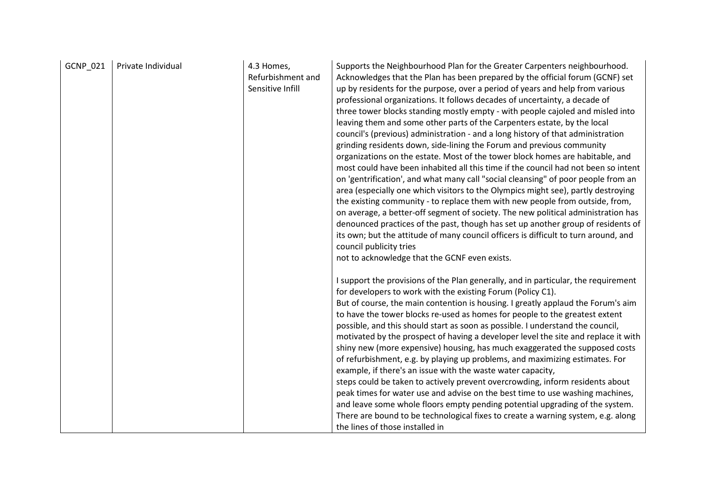| GCNP_021 | Private Individual | 4.3 Homes,<br>Refurbishment and<br>Sensitive Infill | Supports the Neighbourhood Plan for the Greater Carpenters neighbourhood.<br>Acknowledges that the Plan has been prepared by the official forum (GCNF) set<br>up by residents for the purpose, over a period of years and help from various<br>professional organizations. It follows decades of uncertainty, a decade of<br>three tower blocks standing mostly empty - with people cajoled and misled into<br>leaving them and some other parts of the Carpenters estate, by the local<br>council's (previous) administration - and a long history of that administration<br>grinding residents down, side-lining the Forum and previous community<br>organizations on the estate. Most of the tower block homes are habitable, and<br>most could have been inhabited all this time if the council had not been so intent<br>on 'gentrification', and what many call "social cleansing" of poor people from an<br>area (especially one which visitors to the Olympics might see), partly destroying<br>the existing community - to replace them with new people from outside, from,<br>on average, a better-off segment of society. The new political administration has<br>denounced practices of the past, though has set up another group of residents of<br>its own; but the attitude of many council officers is difficult to turn around, and<br>council publicity tries<br>not to acknowledge that the GCNF even exists. |
|----------|--------------------|-----------------------------------------------------|----------------------------------------------------------------------------------------------------------------------------------------------------------------------------------------------------------------------------------------------------------------------------------------------------------------------------------------------------------------------------------------------------------------------------------------------------------------------------------------------------------------------------------------------------------------------------------------------------------------------------------------------------------------------------------------------------------------------------------------------------------------------------------------------------------------------------------------------------------------------------------------------------------------------------------------------------------------------------------------------------------------------------------------------------------------------------------------------------------------------------------------------------------------------------------------------------------------------------------------------------------------------------------------------------------------------------------------------------------------------------------------------------------------------------------|
|          |                    |                                                     | I support the provisions of the Plan generally, and in particular, the requirement<br>for developers to work with the existing Forum (Policy C1).<br>But of course, the main contention is housing. I greatly applaud the Forum's aim<br>to have the tower blocks re-used as homes for people to the greatest extent<br>possible, and this should start as soon as possible. I understand the council,<br>motivated by the prospect of having a developer level the site and replace it with<br>shiny new (more expensive) housing, has much exaggerated the supposed costs<br>of refurbishment, e.g. by playing up problems, and maximizing estimates. For<br>example, if there's an issue with the waste water capacity,<br>steps could be taken to actively prevent overcrowding, inform residents about<br>peak times for water use and advise on the best time to use washing machines,<br>and leave some whole floors empty pending potential upgrading of the system.<br>There are bound to be technological fixes to create a warning system, e.g. along<br>the lines of those installed in                                                                                                                                                                                                                                                                                                                              |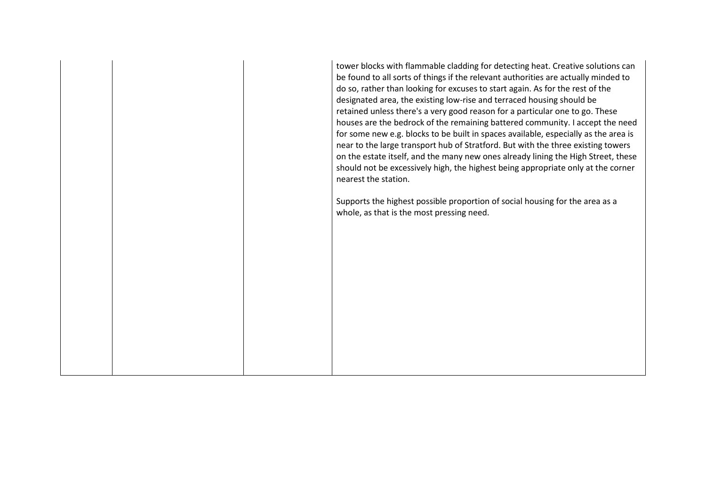tower blocks with flammable cladding for detecting heat. Creative solutions can be found to all sorts of things if the relevant authorities are actually minded to do so, rather than looking for excuses to start again. As for the rest of the designated area, the existing low-rise and terraced housing should be retained unless there's a very good reason for a particular one to go. These houses are the bedrock of the remaining battered community. I accept the need for some new e.g. blocks to be built in spaces available, especially as the area is near to the large transport hub of Stratford. But with the three existing towers on the estate itself, and the many new ones already lining the High Street, these should not be excessively high, the highest being appropriate only at the corner nearest the station.

Supports the highest possible proportion of social housing for the area as a whole, as that is the most pressing need.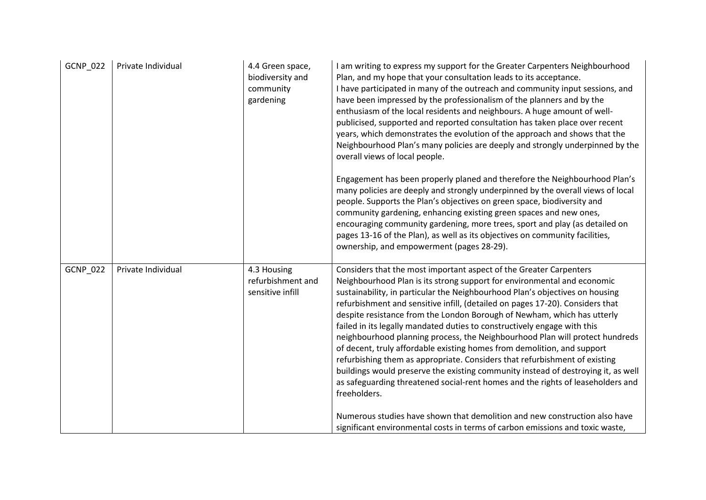| GCNP_022 | Private Individual | 4.4 Green space,<br>biodiversity and<br>community<br>gardening | I am writing to express my support for the Greater Carpenters Neighbourhood<br>Plan, and my hope that your consultation leads to its acceptance.<br>I have participated in many of the outreach and community input sessions, and<br>have been impressed by the professionalism of the planners and by the<br>enthusiasm of the local residents and neighbours. A huge amount of well-<br>publicised, supported and reported consultation has taken place over recent<br>years, which demonstrates the evolution of the approach and shows that the<br>Neighbourhood Plan's many policies are deeply and strongly underpinned by the<br>overall views of local people.<br>Engagement has been properly planed and therefore the Neighbourhood Plan's<br>many policies are deeply and strongly underpinned by the overall views of local<br>people. Supports the Plan's objectives on green space, biodiversity and<br>community gardening, enhancing existing green spaces and new ones,<br>encouraging community gardening, more trees, sport and play (as detailed on<br>pages 13-16 of the Plan), as well as its objectives on community facilities,<br>ownership, and empowerment (pages 28-29). |
|----------|--------------------|----------------------------------------------------------------|------------------------------------------------------------------------------------------------------------------------------------------------------------------------------------------------------------------------------------------------------------------------------------------------------------------------------------------------------------------------------------------------------------------------------------------------------------------------------------------------------------------------------------------------------------------------------------------------------------------------------------------------------------------------------------------------------------------------------------------------------------------------------------------------------------------------------------------------------------------------------------------------------------------------------------------------------------------------------------------------------------------------------------------------------------------------------------------------------------------------------------------------------------------------------------------------------|
| GCNP_022 | Private Individual | 4.3 Housing<br>refurbishment and<br>sensitive infill           | Considers that the most important aspect of the Greater Carpenters<br>Neighbourhood Plan is its strong support for environmental and economic<br>sustainability, in particular the Neighbourhood Plan's objectives on housing<br>refurbishment and sensitive infill, (detailed on pages 17-20). Considers that<br>despite resistance from the London Borough of Newham, which has utterly<br>failed in its legally mandated duties to constructively engage with this<br>neighbourhood planning process, the Neighbourhood Plan will protect hundreds<br>of decent, truly affordable existing homes from demolition, and support<br>refurbishing them as appropriate. Considers that refurbishment of existing<br>buildings would preserve the existing community instead of destroying it, as well<br>as safeguarding threatened social-rent homes and the rights of leaseholders and<br>freeholders.<br>Numerous studies have shown that demolition and new construction also have<br>significant environmental costs in terms of carbon emissions and toxic waste,                                                                                                                                |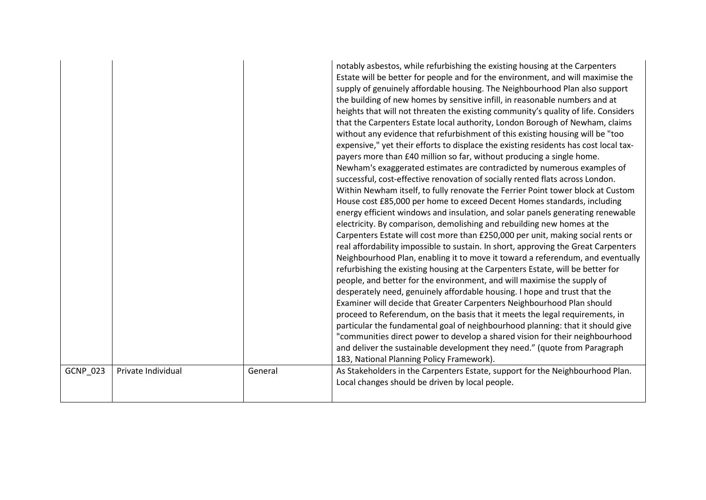|                 |                    |         | notably asbestos, while refurbishing the existing housing at the Carpenters<br>Estate will be better for people and for the environment, and will maximise the<br>supply of genuinely affordable housing. The Neighbourhood Plan also support<br>the building of new homes by sensitive infill, in reasonable numbers and at<br>heights that will not threaten the existing community's quality of life. Considers<br>that the Carpenters Estate local authority, London Borough of Newham, claims<br>without any evidence that refurbishment of this existing housing will be "too<br>expensive," yet their efforts to displace the existing residents has cost local tax-<br>payers more than £40 million so far, without producing a single home.<br>Newham's exaggerated estimates are contradicted by numerous examples of<br>successful, cost-effective renovation of socially rented flats across London.<br>Within Newham itself, to fully renovate the Ferrier Point tower block at Custom<br>House cost £85,000 per home to exceed Decent Homes standards, including<br>energy efficient windows and insulation, and solar panels generating renewable<br>electricity. By comparison, demolishing and rebuilding new homes at the<br>Carpenters Estate will cost more than £250,000 per unit, making social rents or<br>real affordability impossible to sustain. In short, approving the Great Carpenters<br>Neighbourhood Plan, enabling it to move it toward a referendum, and eventually<br>refurbishing the existing housing at the Carpenters Estate, will be better for<br>people, and better for the environment, and will maximise the supply of<br>desperately need, genuinely affordable housing. I hope and trust that the<br>Examiner will decide that Greater Carpenters Neighbourhood Plan should<br>proceed to Referendum, on the basis that it meets the legal requirements, in<br>particular the fundamental goal of neighbourhood planning: that it should give<br>"communities direct power to develop a shared vision for their neighbourhood<br>and deliver the sustainable development they need." (quote from Paragraph<br>183, National Planning Policy Framework). |
|-----------------|--------------------|---------|--------------------------------------------------------------------------------------------------------------------------------------------------------------------------------------------------------------------------------------------------------------------------------------------------------------------------------------------------------------------------------------------------------------------------------------------------------------------------------------------------------------------------------------------------------------------------------------------------------------------------------------------------------------------------------------------------------------------------------------------------------------------------------------------------------------------------------------------------------------------------------------------------------------------------------------------------------------------------------------------------------------------------------------------------------------------------------------------------------------------------------------------------------------------------------------------------------------------------------------------------------------------------------------------------------------------------------------------------------------------------------------------------------------------------------------------------------------------------------------------------------------------------------------------------------------------------------------------------------------------------------------------------------------------------------------------------------------------------------------------------------------------------------------------------------------------------------------------------------------------------------------------------------------------------------------------------------------------------------------------------------------------------------------------------------------------------------------------------------------------------------------------------------------------------------------------------------|
| <b>GCNP 023</b> | Private Individual | General | As Stakeholders in the Carpenters Estate, support for the Neighbourhood Plan.<br>Local changes should be driven by local people.                                                                                                                                                                                                                                                                                                                                                                                                                                                                                                                                                                                                                                                                                                                                                                                                                                                                                                                                                                                                                                                                                                                                                                                                                                                                                                                                                                                                                                                                                                                                                                                                                                                                                                                                                                                                                                                                                                                                                                                                                                                                       |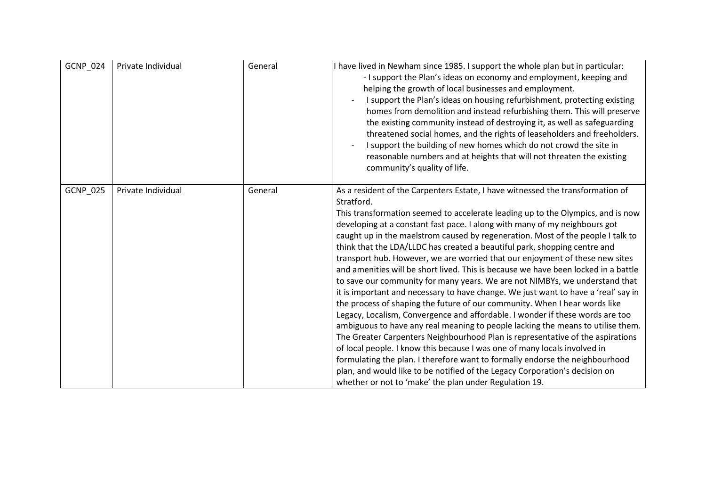| GCNP_024 | Private Individual | General | I have lived in Newham since 1985. I support the whole plan but in particular:<br>- I support the Plan's ideas on economy and employment, keeping and<br>helping the growth of local businesses and employment.<br>I support the Plan's ideas on housing refurbishment, protecting existing<br>homes from demolition and instead refurbishing them. This will preserve<br>the existing community instead of destroying it, as well as safeguarding<br>threatened social homes, and the rights of leaseholders and freeholders.<br>I support the building of new homes which do not crowd the site in<br>reasonable numbers and at heights that will not threaten the existing<br>community's quality of life.                                                                                                                                                                                                                                                                                                                                                                                                                                                                                                                                                                                                                                                                                                      |
|----------|--------------------|---------|--------------------------------------------------------------------------------------------------------------------------------------------------------------------------------------------------------------------------------------------------------------------------------------------------------------------------------------------------------------------------------------------------------------------------------------------------------------------------------------------------------------------------------------------------------------------------------------------------------------------------------------------------------------------------------------------------------------------------------------------------------------------------------------------------------------------------------------------------------------------------------------------------------------------------------------------------------------------------------------------------------------------------------------------------------------------------------------------------------------------------------------------------------------------------------------------------------------------------------------------------------------------------------------------------------------------------------------------------------------------------------------------------------------------|
| GCNP_025 | Private Individual | General | As a resident of the Carpenters Estate, I have witnessed the transformation of<br>Stratford.<br>This transformation seemed to accelerate leading up to the Olympics, and is now<br>developing at a constant fast pace. I along with many of my neighbours got<br>caught up in the maelstrom caused by regeneration. Most of the people I talk to<br>think that the LDA/LLDC has created a beautiful park, shopping centre and<br>transport hub. However, we are worried that our enjoyment of these new sites<br>and amenities will be short lived. This is because we have been locked in a battle<br>to save our community for many years. We are not NIMBYs, we understand that<br>it is important and necessary to have change. We just want to have a 'real' say in<br>the process of shaping the future of our community. When I hear words like<br>Legacy, Localism, Convergence and affordable. I wonder if these words are too<br>ambiguous to have any real meaning to people lacking the means to utilise them.<br>The Greater Carpenters Neighbourhood Plan is representative of the aspirations<br>of local people. I know this because I was one of many locals involved in<br>formulating the plan. I therefore want to formally endorse the neighbourhood<br>plan, and would like to be notified of the Legacy Corporation's decision on<br>whether or not to 'make' the plan under Regulation 19. |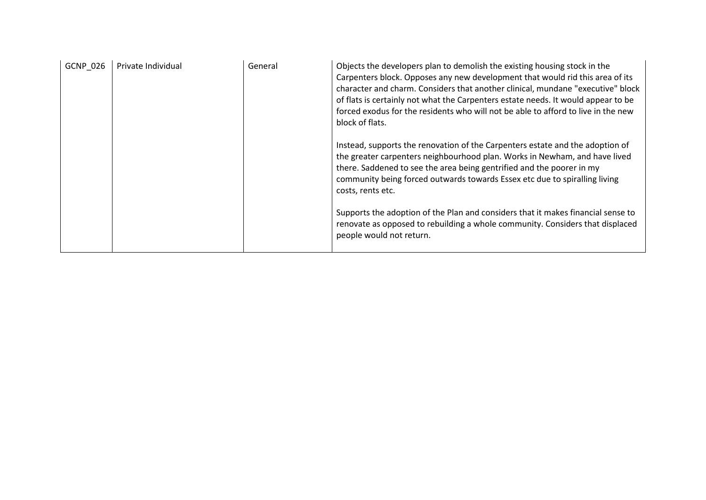| <b>GCNP 026</b> | Private Individual | General | Objects the developers plan to demolish the existing housing stock in the<br>Carpenters block. Opposes any new development that would rid this area of its<br>character and charm. Considers that another clinical, mundane "executive" block<br>of flats is certainly not what the Carpenters estate needs. It would appear to be<br>forced exodus for the residents who will not be able to afford to live in the new<br>block of flats. |
|-----------------|--------------------|---------|--------------------------------------------------------------------------------------------------------------------------------------------------------------------------------------------------------------------------------------------------------------------------------------------------------------------------------------------------------------------------------------------------------------------------------------------|
|                 |                    |         | Instead, supports the renovation of the Carpenters estate and the adoption of<br>the greater carpenters neighbourhood plan. Works in Newham, and have lived<br>there. Saddened to see the area being gentrified and the poorer in my<br>community being forced outwards towards Essex etc due to spiralling living<br>costs, rents etc.                                                                                                    |
|                 |                    |         | Supports the adoption of the Plan and considers that it makes financial sense to<br>renovate as opposed to rebuilding a whole community. Considers that displaced<br>people would not return.                                                                                                                                                                                                                                              |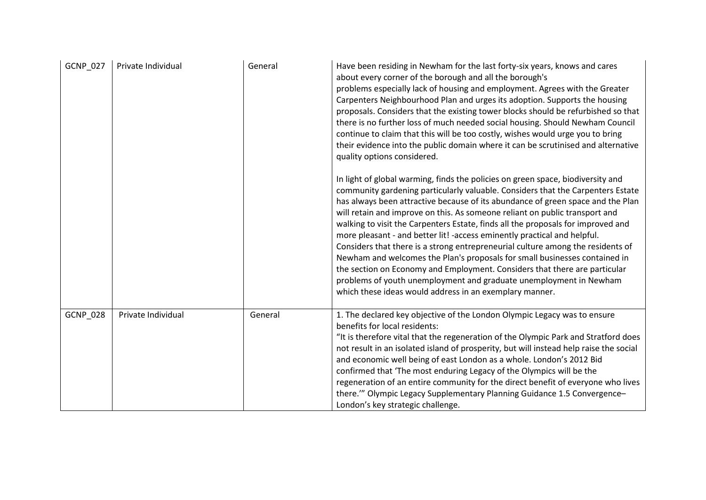| <b>GCNP_027</b> | Private Individual | General | Have been residing in Newham for the last forty-six years, knows and cares<br>about every corner of the borough and all the borough's<br>problems especially lack of housing and employment. Agrees with the Greater<br>Carpenters Neighbourhood Plan and urges its adoption. Supports the housing<br>proposals. Considers that the existing tower blocks should be refurbished so that<br>there is no further loss of much needed social housing. Should Newham Council<br>continue to claim that this will be too costly, wishes would urge you to bring<br>their evidence into the public domain where it can be scrutinised and alternative<br>quality options considered.                                                                                                                                                                                                       |
|-----------------|--------------------|---------|--------------------------------------------------------------------------------------------------------------------------------------------------------------------------------------------------------------------------------------------------------------------------------------------------------------------------------------------------------------------------------------------------------------------------------------------------------------------------------------------------------------------------------------------------------------------------------------------------------------------------------------------------------------------------------------------------------------------------------------------------------------------------------------------------------------------------------------------------------------------------------------|
|                 |                    |         | In light of global warming, finds the policies on green space, biodiversity and<br>community gardening particularly valuable. Considers that the Carpenters Estate<br>has always been attractive because of its abundance of green space and the Plan<br>will retain and improve on this. As someone reliant on public transport and<br>walking to visit the Carpenters Estate, finds all the proposals for improved and<br>more pleasant - and better lit! -access eminently practical and helpful.<br>Considers that there is a strong entrepreneurial culture among the residents of<br>Newham and welcomes the Plan's proposals for small businesses contained in<br>the section on Economy and Employment. Considers that there are particular<br>problems of youth unemployment and graduate unemployment in Newham<br>which these ideas would address in an exemplary manner. |
| <b>GCNP 028</b> | Private Individual | General | 1. The declared key objective of the London Olympic Legacy was to ensure<br>benefits for local residents:<br>"It is therefore vital that the regeneration of the Olympic Park and Stratford does<br>not result in an isolated island of prosperity, but will instead help raise the social<br>and economic well being of east London as a whole. London's 2012 Bid<br>confirmed that 'The most enduring Legacy of the Olympics will be the<br>regeneration of an entire community for the direct benefit of everyone who lives<br>there."" Olympic Legacy Supplementary Planning Guidance 1.5 Convergence-<br>London's key strategic challenge.                                                                                                                                                                                                                                      |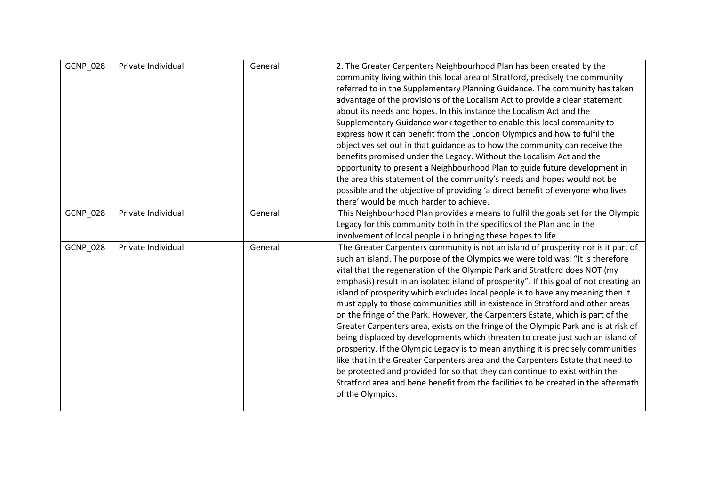| <b>GCNP_028</b> | Private Individual | General | 2. The Greater Carpenters Neighbourhood Plan has been created by the<br>community living within this local area of Stratford, precisely the community<br>referred to in the Supplementary Planning Guidance. The community has taken<br>advantage of the provisions of the Localism Act to provide a clear statement<br>about its needs and hopes. In this instance the Localism Act and the<br>Supplementary Guidance work together to enable this local community to<br>express how it can benefit from the London Olympics and how to fulfil the<br>objectives set out in that guidance as to how the community can receive the<br>benefits promised under the Legacy. Without the Localism Act and the<br>opportunity to present a Neighbourhood Plan to guide future development in<br>the area this statement of the community's needs and hopes would not be<br>possible and the objective of providing 'a direct benefit of everyone who lives<br>there' would be much harder to achieve.                                                                                                                                               |
|-----------------|--------------------|---------|-------------------------------------------------------------------------------------------------------------------------------------------------------------------------------------------------------------------------------------------------------------------------------------------------------------------------------------------------------------------------------------------------------------------------------------------------------------------------------------------------------------------------------------------------------------------------------------------------------------------------------------------------------------------------------------------------------------------------------------------------------------------------------------------------------------------------------------------------------------------------------------------------------------------------------------------------------------------------------------------------------------------------------------------------------------------------------------------------------------------------------------------------|
| <b>GCNP_028</b> | Private Individual | General | This Neighbourhood Plan provides a means to fulfil the goals set for the Olympic<br>Legacy for this community both in the specifics of the Plan and in the<br>involvement of local people i n bringing these hopes to life.                                                                                                                                                                                                                                                                                                                                                                                                                                                                                                                                                                                                                                                                                                                                                                                                                                                                                                                     |
| GCNP_028        | Private Individual | General | The Greater Carpenters community is not an island of prosperity nor is it part of<br>such an island. The purpose of the Olympics we were told was: "It is therefore<br>vital that the regeneration of the Olympic Park and Stratford does NOT (my<br>emphasis) result in an isolated island of prosperity". If this goal of not creating an<br>island of prosperity which excludes local people is to have any meaning then it<br>must apply to those communities still in existence in Stratford and other areas<br>on the fringe of the Park. However, the Carpenters Estate, which is part of the<br>Greater Carpenters area, exists on the fringe of the Olympic Park and is at risk of<br>being displaced by developments which threaten to create just such an island of<br>prosperity. If the Olympic Legacy is to mean anything it is precisely communities<br>like that in the Greater Carpenters area and the Carpenters Estate that need to<br>be protected and provided for so that they can continue to exist within the<br>Stratford area and bene benefit from the facilities to be created in the aftermath<br>of the Olympics. |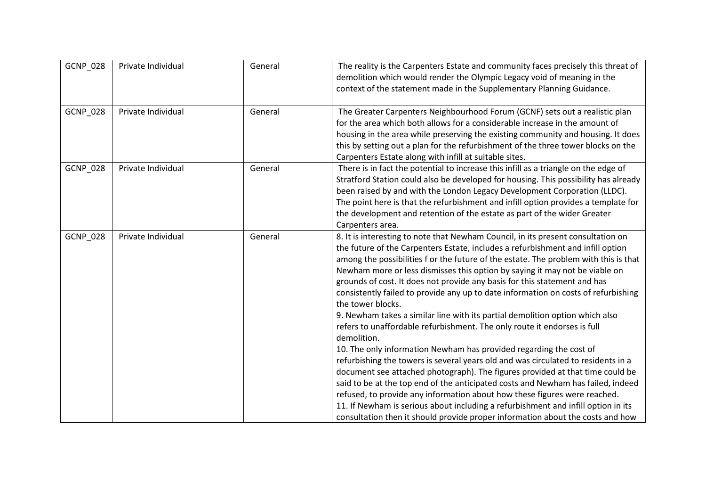| <b>GCNP_028</b> | Private Individual | General | The reality is the Carpenters Estate and community faces precisely this threat of<br>demolition which would render the Olympic Legacy void of meaning in the<br>context of the statement made in the Supplementary Planning Guidance.                                                                                                                                                                                                                                                                                                                                                                                                                                                                                                                                                                                                                                                                                                                                                                                                                                                                                                                                                                                                                                                             |
|-----------------|--------------------|---------|---------------------------------------------------------------------------------------------------------------------------------------------------------------------------------------------------------------------------------------------------------------------------------------------------------------------------------------------------------------------------------------------------------------------------------------------------------------------------------------------------------------------------------------------------------------------------------------------------------------------------------------------------------------------------------------------------------------------------------------------------------------------------------------------------------------------------------------------------------------------------------------------------------------------------------------------------------------------------------------------------------------------------------------------------------------------------------------------------------------------------------------------------------------------------------------------------------------------------------------------------------------------------------------------------|
| GCNP_028        | Private Individual | General | The Greater Carpenters Neighbourhood Forum (GCNF) sets out a realistic plan<br>for the area which both allows for a considerable increase in the amount of<br>housing in the area while preserving the existing community and housing. It does<br>this by setting out a plan for the refurbishment of the three tower blocks on the<br>Carpenters Estate along with infill at suitable sites.                                                                                                                                                                                                                                                                                                                                                                                                                                                                                                                                                                                                                                                                                                                                                                                                                                                                                                     |
| GCNP_028        | Private Individual | General | There is in fact the potential to increase this infill as a triangle on the edge of<br>Stratford Station could also be developed for housing. This possibility has already<br>been raised by and with the London Legacy Development Corporation (LLDC).<br>The point here is that the refurbishment and infill option provides a template for<br>the development and retention of the estate as part of the wider Greater<br>Carpenters area.                                                                                                                                                                                                                                                                                                                                                                                                                                                                                                                                                                                                                                                                                                                                                                                                                                                     |
| GCNP_028        | Private Individual | General | 8. It is interesting to note that Newham Council, in its present consultation on<br>the future of the Carpenters Estate, includes a refurbishment and infill option<br>among the possibilities f or the future of the estate. The problem with this is that<br>Newham more or less dismisses this option by saying it may not be viable on<br>grounds of cost. It does not provide any basis for this statement and has<br>consistently failed to provide any up to date information on costs of refurbishing<br>the tower blocks.<br>9. Newham takes a similar line with its partial demolition option which also<br>refers to unaffordable refurbishment. The only route it endorses is full<br>demolition.<br>10. The only information Newham has provided regarding the cost of<br>refurbishing the towers is several years old and was circulated to residents in a<br>document see attached photograph). The figures provided at that time could be<br>said to be at the top end of the anticipated costs and Newham has failed, indeed<br>refused, to provide any information about how these figures were reached.<br>11. If Newham is serious about including a refurbishment and infill option in its<br>consultation then it should provide proper information about the costs and how |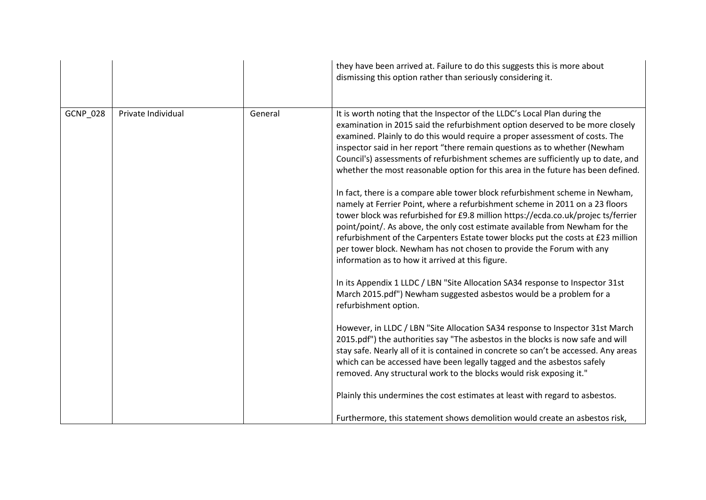|                 |                    |         | they have been arrived at. Failure to do this suggests this is more about<br>dismissing this option rather than seriously considering it.                                                                                                                                                                                                                                                                                                                                                                                                         |
|-----------------|--------------------|---------|---------------------------------------------------------------------------------------------------------------------------------------------------------------------------------------------------------------------------------------------------------------------------------------------------------------------------------------------------------------------------------------------------------------------------------------------------------------------------------------------------------------------------------------------------|
| <b>GCNP_028</b> | Private Individual | General | It is worth noting that the Inspector of the LLDC's Local Plan during the<br>examination in 2015 said the refurbishment option deserved to be more closely<br>examined. Plainly to do this would require a proper assessment of costs. The<br>inspector said in her report "there remain questions as to whether (Newham<br>Council's) assessments of refurbishment schemes are sufficiently up to date, and<br>whether the most reasonable option for this area in the future has been defined.                                                  |
|                 |                    |         | In fact, there is a compare able tower block refurbishment scheme in Newham,<br>namely at Ferrier Point, where a refurbishment scheme in 2011 on a 23 floors<br>tower block was refurbished for £9.8 million https://ecda.co.uk/projec ts/ferrier<br>point/point/. As above, the only cost estimate available from Newham for the<br>refurbishment of the Carpenters Estate tower blocks put the costs at £23 million<br>per tower block. Newham has not chosen to provide the Forum with any<br>information as to how it arrived at this figure. |
|                 |                    |         | In its Appendix 1 LLDC / LBN "Site Allocation SA34 response to Inspector 31st<br>March 2015.pdf") Newham suggested asbestos would be a problem for a<br>refurbishment option.                                                                                                                                                                                                                                                                                                                                                                     |
|                 |                    |         | However, in LLDC / LBN "Site Allocation SA34 response to Inspector 31st March<br>2015.pdf") the authorities say "The asbestos in the blocks is now safe and will<br>stay safe. Nearly all of it is contained in concrete so can't be accessed. Any areas<br>which can be accessed have been legally tagged and the asbestos safely<br>removed. Any structural work to the blocks would risk exposing it."                                                                                                                                         |
|                 |                    |         | Plainly this undermines the cost estimates at least with regard to asbestos.                                                                                                                                                                                                                                                                                                                                                                                                                                                                      |
|                 |                    |         | Furthermore, this statement shows demolition would create an asbestos risk,                                                                                                                                                                                                                                                                                                                                                                                                                                                                       |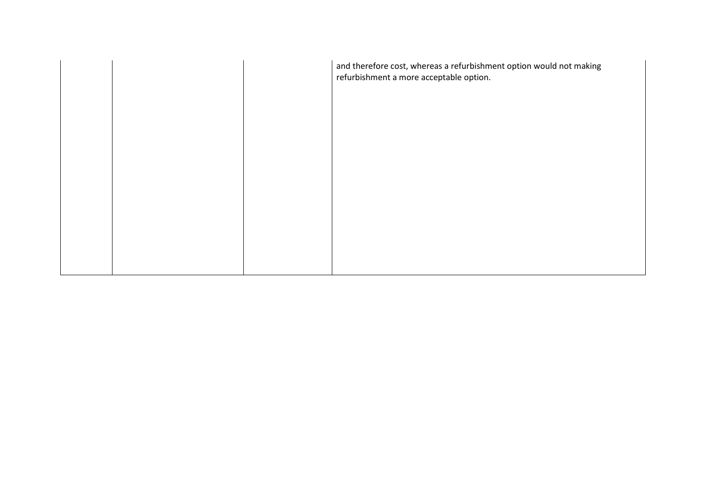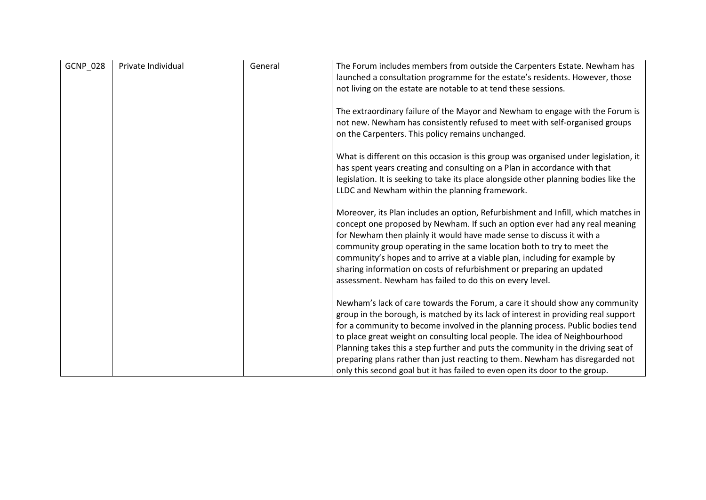| <b>GCNP_028</b> | Private Individual | General | The Forum includes members from outside the Carpenters Estate. Newham has<br>launched a consultation programme for the estate's residents. However, those<br>not living on the estate are notable to at tend these sessions.                                                                                                                                                                                                                                                                                                                                                            |
|-----------------|--------------------|---------|-----------------------------------------------------------------------------------------------------------------------------------------------------------------------------------------------------------------------------------------------------------------------------------------------------------------------------------------------------------------------------------------------------------------------------------------------------------------------------------------------------------------------------------------------------------------------------------------|
|                 |                    |         | The extraordinary failure of the Mayor and Newham to engage with the Forum is<br>not new. Newham has consistently refused to meet with self-organised groups<br>on the Carpenters. This policy remains unchanged.                                                                                                                                                                                                                                                                                                                                                                       |
|                 |                    |         | What is different on this occasion is this group was organised under legislation, it<br>has spent years creating and consulting on a Plan in accordance with that<br>legislation. It is seeking to take its place alongside other planning bodies like the<br>LLDC and Newham within the planning framework.                                                                                                                                                                                                                                                                            |
|                 |                    |         | Moreover, its Plan includes an option, Refurbishment and Infill, which matches in<br>concept one proposed by Newham. If such an option ever had any real meaning<br>for Newham then plainly it would have made sense to discuss it with a<br>community group operating in the same location both to try to meet the<br>community's hopes and to arrive at a viable plan, including for example by<br>sharing information on costs of refurbishment or preparing an updated<br>assessment. Newham has failed to do this on every level.                                                  |
|                 |                    |         | Newham's lack of care towards the Forum, a care it should show any community<br>group in the borough, is matched by its lack of interest in providing real support<br>for a community to become involved in the planning process. Public bodies tend<br>to place great weight on consulting local people. The idea of Neighbourhood<br>Planning takes this a step further and puts the community in the driving seat of<br>preparing plans rather than just reacting to them. Newham has disregarded not<br>only this second goal but it has failed to even open its door to the group. |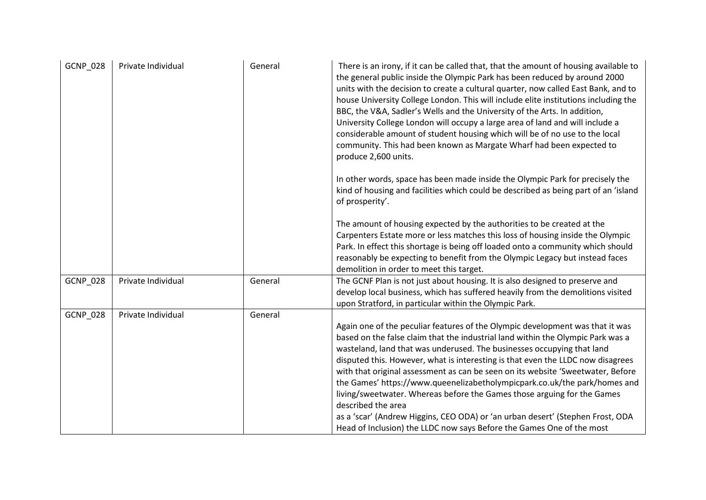| <b>GCNP 028</b> | Private Individual | General | There is an irony, if it can be called that, that the amount of housing available to<br>the general public inside the Olympic Park has been reduced by around 2000<br>units with the decision to create a cultural quarter, now called East Bank, and to<br>house University College London. This will include elite institutions including the<br>BBC, the V&A, Sadler's Wells and the University of the Arts. In addition,<br>University College London will occupy a large area of land and will include a<br>considerable amount of student housing which will be of no use to the local<br>community. This had been known as Margate Wharf had been expected to<br>produce 2,600 units.                                                              |
|-----------------|--------------------|---------|-----------------------------------------------------------------------------------------------------------------------------------------------------------------------------------------------------------------------------------------------------------------------------------------------------------------------------------------------------------------------------------------------------------------------------------------------------------------------------------------------------------------------------------------------------------------------------------------------------------------------------------------------------------------------------------------------------------------------------------------------------------|
|                 |                    |         | In other words, space has been made inside the Olympic Park for precisely the<br>kind of housing and facilities which could be described as being part of an 'island<br>of prosperity'.                                                                                                                                                                                                                                                                                                                                                                                                                                                                                                                                                                   |
|                 |                    |         | The amount of housing expected by the authorities to be created at the<br>Carpenters Estate more or less matches this loss of housing inside the Olympic<br>Park. In effect this shortage is being off loaded onto a community which should<br>reasonably be expecting to benefit from the Olympic Legacy but instead faces<br>demolition in order to meet this target.                                                                                                                                                                                                                                                                                                                                                                                   |
| <b>GCNP_028</b> | Private Individual | General | The GCNF Plan is not just about housing. It is also designed to preserve and<br>develop local business, which has suffered heavily from the demolitions visited<br>upon Stratford, in particular within the Olympic Park.                                                                                                                                                                                                                                                                                                                                                                                                                                                                                                                                 |
| <b>GCNP_028</b> | Private Individual | General | Again one of the peculiar features of the Olympic development was that it was<br>based on the false claim that the industrial land within the Olympic Park was a<br>wasteland, land that was underused. The businesses occupying that land<br>disputed this. However, what is interesting is that even the LLDC now disagrees<br>with that original assessment as can be seen on its website 'Sweetwater, Before<br>the Games' https://www.queenelizabetholympicpark.co.uk/the park/homes and<br>living/sweetwater. Whereas before the Games those arguing for the Games<br>described the area<br>as a 'scar' (Andrew Higgins, CEO ODA) or 'an urban desert' (Stephen Frost, ODA<br>Head of Inclusion) the LLDC now says Before the Games One of the most |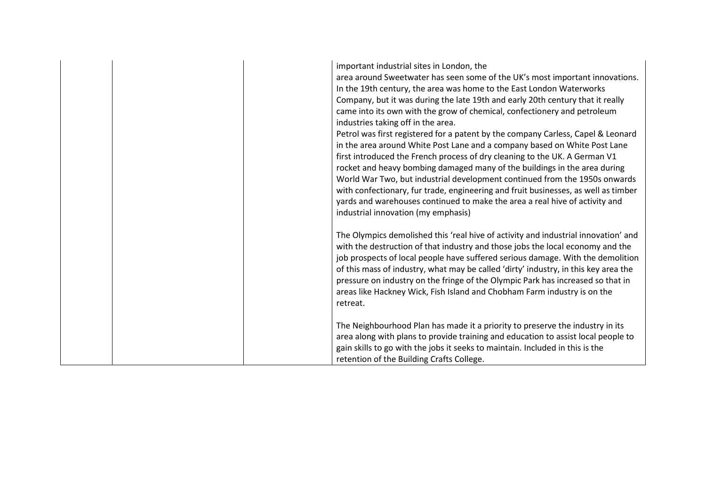| important industrial sites in London, the<br>area around Sweetwater has seen some of the UK's most important innovations.<br>In the 19th century, the area was home to the East London Waterworks<br>Company, but it was during the late 19th and early 20th century that it really<br>came into its own with the grow of chemical, confectionery and petroleum<br>industries taking off in the area.<br>Petrol was first registered for a patent by the company Carless, Capel & Leonard<br>in the area around White Post Lane and a company based on White Post Lane<br>first introduced the French process of dry cleaning to the UK. A German V1<br>rocket and heavy bombing damaged many of the buildings in the area during<br>World War Two, but industrial development continued from the 1950s onwards<br>with confectionary, fur trade, engineering and fruit businesses, as well as timber<br>yards and warehouses continued to make the area a real hive of activity and<br>industrial innovation (my emphasis) |
|-----------------------------------------------------------------------------------------------------------------------------------------------------------------------------------------------------------------------------------------------------------------------------------------------------------------------------------------------------------------------------------------------------------------------------------------------------------------------------------------------------------------------------------------------------------------------------------------------------------------------------------------------------------------------------------------------------------------------------------------------------------------------------------------------------------------------------------------------------------------------------------------------------------------------------------------------------------------------------------------------------------------------------|
| The Olympics demolished this 'real hive of activity and industrial innovation' and<br>with the destruction of that industry and those jobs the local economy and the<br>job prospects of local people have suffered serious damage. With the demolition<br>of this mass of industry, what may be called 'dirty' industry, in this key area the<br>pressure on industry on the fringe of the Olympic Park has increased so that in<br>areas like Hackney Wick, Fish Island and Chobham Farm industry is on the<br>retreat.                                                                                                                                                                                                                                                                                                                                                                                                                                                                                                   |
| The Neighbourhood Plan has made it a priority to preserve the industry in its<br>area along with plans to provide training and education to assist local people to<br>gain skills to go with the jobs it seeks to maintain. Included in this is the<br>retention of the Building Crafts College.                                                                                                                                                                                                                                                                                                                                                                                                                                                                                                                                                                                                                                                                                                                            |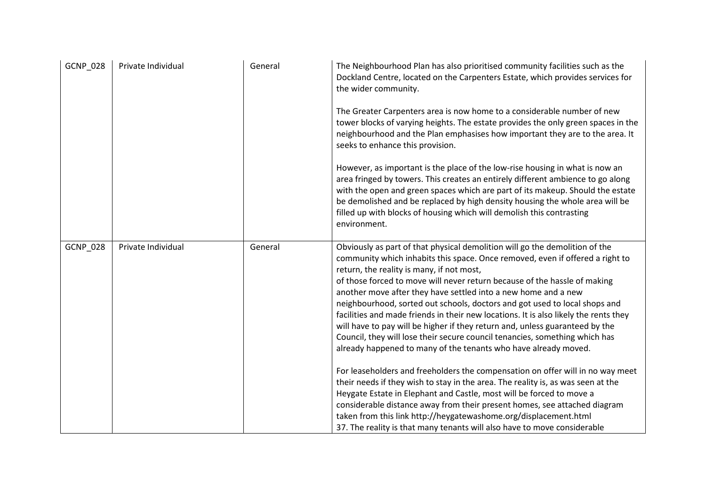| <b>GCNP_028</b> | Private Individual | General | The Neighbourhood Plan has also prioritised community facilities such as the<br>Dockland Centre, located on the Carpenters Estate, which provides services for<br>the wider community.<br>The Greater Carpenters area is now home to a considerable number of new<br>tower blocks of varying heights. The estate provides the only green spaces in the<br>neighbourhood and the Plan emphasises how important they are to the area. It<br>seeks to enhance this provision.<br>However, as important is the place of the low-rise housing in what is now an<br>area fringed by towers. This creates an entirely different ambience to go along<br>with the open and green spaces which are part of its makeup. Should the estate<br>be demolished and be replaced by high density housing the whole area will be<br>filled up with blocks of housing which will demolish this contrasting<br>environment.                                                                                                                                                                                                                                                                                                                                    |
|-----------------|--------------------|---------|---------------------------------------------------------------------------------------------------------------------------------------------------------------------------------------------------------------------------------------------------------------------------------------------------------------------------------------------------------------------------------------------------------------------------------------------------------------------------------------------------------------------------------------------------------------------------------------------------------------------------------------------------------------------------------------------------------------------------------------------------------------------------------------------------------------------------------------------------------------------------------------------------------------------------------------------------------------------------------------------------------------------------------------------------------------------------------------------------------------------------------------------------------------------------------------------------------------------------------------------|
| GCNP_028        | Private Individual | General | Obviously as part of that physical demolition will go the demolition of the<br>community which inhabits this space. Once removed, even if offered a right to<br>return, the reality is many, if not most,<br>of those forced to move will never return because of the hassle of making<br>another move after they have settled into a new home and a new<br>neighbourhood, sorted out schools, doctors and got used to local shops and<br>facilities and made friends in their new locations. It is also likely the rents they<br>will have to pay will be higher if they return and, unless guaranteed by the<br>Council, they will lose their secure council tenancies, something which has<br>already happened to many of the tenants who have already moved.<br>For leaseholders and freeholders the compensation on offer will in no way meet<br>their needs if they wish to stay in the area. The reality is, as was seen at the<br>Heygate Estate in Elephant and Castle, most will be forced to move a<br>considerable distance away from their present homes, see attached diagram<br>taken from this link http://heygatewashome.org/displacement.html<br>37. The reality is that many tenants will also have to move considerable |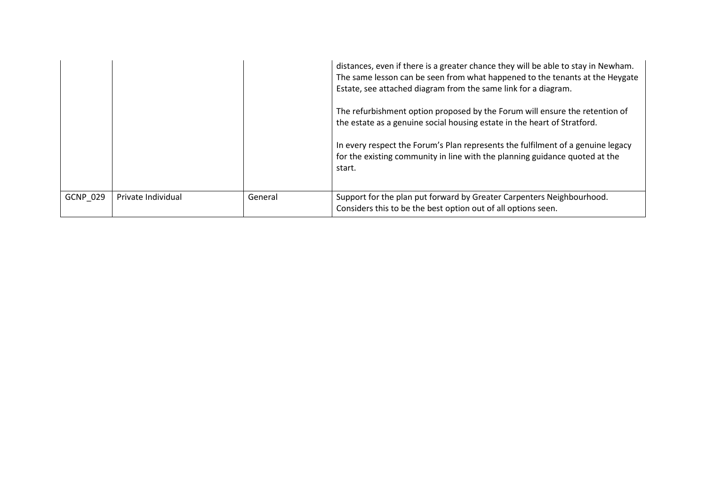|                 |                    |         | distances, even if there is a greater chance they will be able to stay in Newham.<br>The same lesson can be seen from what happened to the tenants at the Heygate<br>Estate, see attached diagram from the same link for a diagram. |
|-----------------|--------------------|---------|-------------------------------------------------------------------------------------------------------------------------------------------------------------------------------------------------------------------------------------|
|                 |                    |         | The refurbishment option proposed by the Forum will ensure the retention of<br>the estate as a genuine social housing estate in the heart of Stratford.                                                                             |
|                 |                    |         | In every respect the Forum's Plan represents the fulfilment of a genuine legacy<br>for the existing community in line with the planning guidance quoted at the<br>start.                                                            |
| <b>GCNP 029</b> | Private Individual | General | Support for the plan put forward by Greater Carpenters Neighbourhood.<br>Considers this to be the best option out of all options seen.                                                                                              |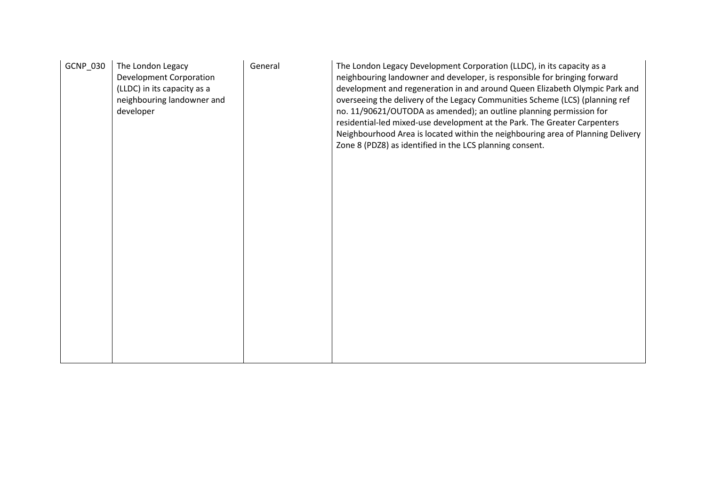| GCNP_030 | The London Legacy<br><b>Development Corporation</b><br>(LLDC) in its capacity as a<br>neighbouring landowner and<br>developer | General | The London Legacy Development Corporation (LLDC), in its capacity as a<br>neighbouring landowner and developer, is responsible for bringing forward<br>development and regeneration in and around Queen Elizabeth Olympic Park and<br>overseeing the delivery of the Legacy Communities Scheme (LCS) (planning ref<br>no. 11/90621/OUTODA as amended); an outline planning permission for<br>residential-led mixed-use development at the Park. The Greater Carpenters<br>Neighbourhood Area is located within the neighbouring area of Planning Delivery<br>Zone 8 (PDZ8) as identified in the LCS planning consent. |
|----------|-------------------------------------------------------------------------------------------------------------------------------|---------|-----------------------------------------------------------------------------------------------------------------------------------------------------------------------------------------------------------------------------------------------------------------------------------------------------------------------------------------------------------------------------------------------------------------------------------------------------------------------------------------------------------------------------------------------------------------------------------------------------------------------|
|          |                                                                                                                               |         |                                                                                                                                                                                                                                                                                                                                                                                                                                                                                                                                                                                                                       |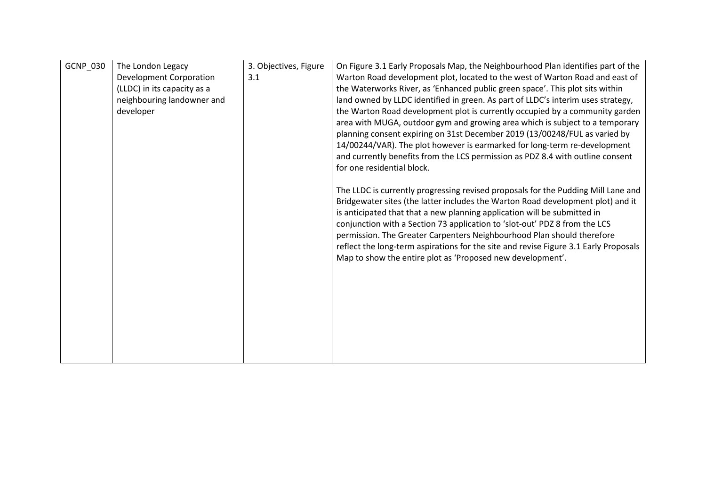| GCNP_030 | The London Legacy<br><b>Development Corporation</b><br>(LLDC) in its capacity as a<br>neighbouring landowner and<br>developer | 3. Objectives, Figure<br>3.1 | On Figure 3.1 Early Proposals Map, the Neighbourhood Plan identifies part of the<br>Warton Road development plot, located to the west of Warton Road and east of<br>the Waterworks River, as 'Enhanced public green space'. This plot sits within<br>land owned by LLDC identified in green. As part of LLDC's interim uses strategy,<br>the Warton Road development plot is currently occupied by a community garden<br>area with MUGA, outdoor gym and growing area which is subject to a temporary<br>planning consent expiring on 31st December 2019 (13/00248/FUL as varied by<br>14/00244/VAR). The plot however is earmarked for long-term re-development<br>and currently benefits from the LCS permission as PDZ 8.4 with outline consent<br>for one residential block. |
|----------|-------------------------------------------------------------------------------------------------------------------------------|------------------------------|----------------------------------------------------------------------------------------------------------------------------------------------------------------------------------------------------------------------------------------------------------------------------------------------------------------------------------------------------------------------------------------------------------------------------------------------------------------------------------------------------------------------------------------------------------------------------------------------------------------------------------------------------------------------------------------------------------------------------------------------------------------------------------|
|          |                                                                                                                               |                              | The LLDC is currently progressing revised proposals for the Pudding Mill Lane and<br>Bridgewater sites (the latter includes the Warton Road development plot) and it<br>is anticipated that that a new planning application will be submitted in<br>conjunction with a Section 73 application to 'slot-out' PDZ 8 from the LCS<br>permission. The Greater Carpenters Neighbourhood Plan should therefore<br>reflect the long-term aspirations for the site and revise Figure 3.1 Early Proposals<br>Map to show the entire plot as 'Proposed new development'.                                                                                                                                                                                                                   |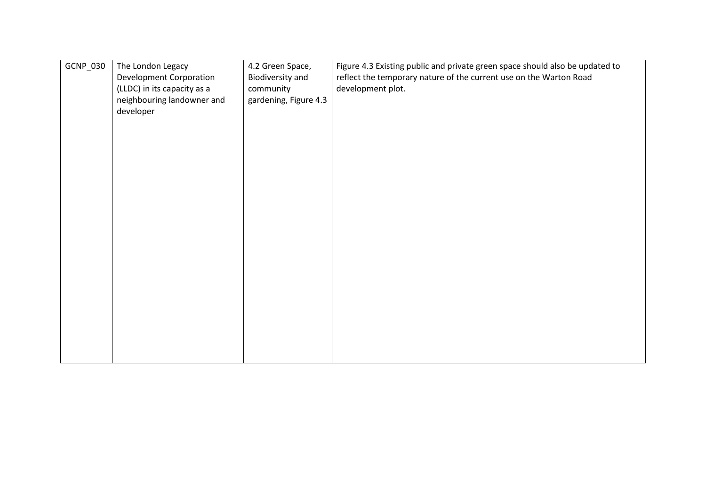| GCNP_030 | The London Legacy<br><b>Development Corporation</b><br>(LLDC) in its capacity as a<br>neighbouring landowner and<br>developer | 4.2 Green Space,<br>Biodiversity and<br>community<br>gardening, Figure 4.3 | Figure 4.3 Existing public and private green space should also be updated to<br>reflect the temporary nature of the current use on the Warton Road<br>development plot. |
|----------|-------------------------------------------------------------------------------------------------------------------------------|----------------------------------------------------------------------------|-------------------------------------------------------------------------------------------------------------------------------------------------------------------------|
|          |                                                                                                                               |                                                                            |                                                                                                                                                                         |
|          |                                                                                                                               |                                                                            |                                                                                                                                                                         |
|          |                                                                                                                               |                                                                            |                                                                                                                                                                         |
|          |                                                                                                                               |                                                                            |                                                                                                                                                                         |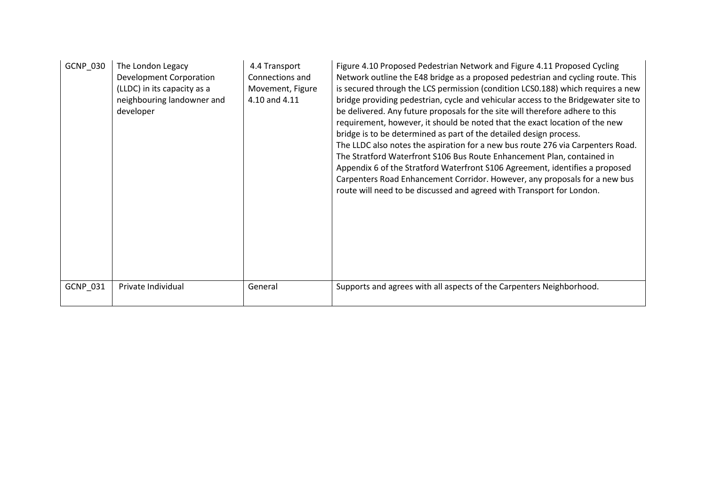| GCNP_030        | The London Legacy<br><b>Development Corporation</b><br>(LLDC) in its capacity as a<br>neighbouring landowner and<br>developer | 4.4 Transport<br>Connections and<br>Movement, Figure<br>4.10 and 4.11 | Figure 4.10 Proposed Pedestrian Network and Figure 4.11 Proposed Cycling<br>Network outline the E48 bridge as a proposed pedestrian and cycling route. This<br>is secured through the LCS permission (condition LCS0.188) which requires a new<br>bridge providing pedestrian, cycle and vehicular access to the Bridgewater site to<br>be delivered. Any future proposals for the site will therefore adhere to this<br>requirement, however, it should be noted that the exact location of the new<br>bridge is to be determined as part of the detailed design process.<br>The LLDC also notes the aspiration for a new bus route 276 via Carpenters Road.<br>The Stratford Waterfront S106 Bus Route Enhancement Plan, contained in<br>Appendix 6 of the Stratford Waterfront S106 Agreement, identifies a proposed<br>Carpenters Road Enhancement Corridor. However, any proposals for a new bus<br>route will need to be discussed and agreed with Transport for London. |
|-----------------|-------------------------------------------------------------------------------------------------------------------------------|-----------------------------------------------------------------------|--------------------------------------------------------------------------------------------------------------------------------------------------------------------------------------------------------------------------------------------------------------------------------------------------------------------------------------------------------------------------------------------------------------------------------------------------------------------------------------------------------------------------------------------------------------------------------------------------------------------------------------------------------------------------------------------------------------------------------------------------------------------------------------------------------------------------------------------------------------------------------------------------------------------------------------------------------------------------------|
| <b>GCNP 031</b> | Private Individual                                                                                                            | General                                                               | Supports and agrees with all aspects of the Carpenters Neighborhood.                                                                                                                                                                                                                                                                                                                                                                                                                                                                                                                                                                                                                                                                                                                                                                                                                                                                                                           |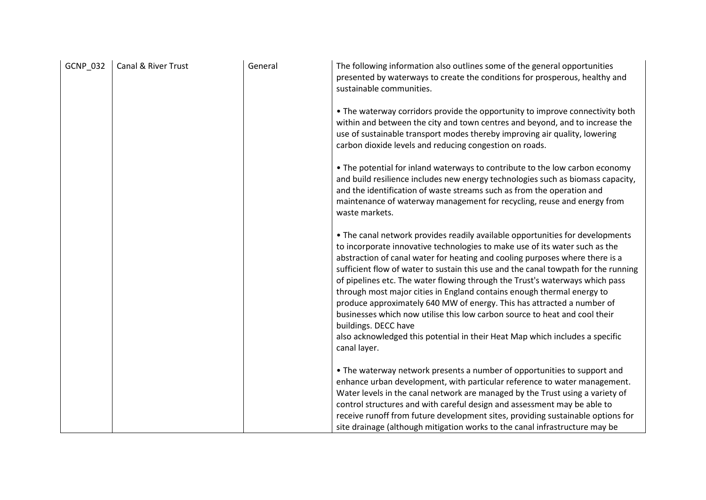| <b>GCNP_032</b> | Canal & River Trust | General | The following information also outlines some of the general opportunities<br>presented by waterways to create the conditions for prosperous, healthy and<br>sustainable communities.                                                                                                                                                                                                                                                                                                                                                                                                                                                                                                                                                                                         |
|-----------------|---------------------|---------|------------------------------------------------------------------------------------------------------------------------------------------------------------------------------------------------------------------------------------------------------------------------------------------------------------------------------------------------------------------------------------------------------------------------------------------------------------------------------------------------------------------------------------------------------------------------------------------------------------------------------------------------------------------------------------------------------------------------------------------------------------------------------|
|                 |                     |         | • The waterway corridors provide the opportunity to improve connectivity both<br>within and between the city and town centres and beyond, and to increase the<br>use of sustainable transport modes thereby improving air quality, lowering<br>carbon dioxide levels and reducing congestion on roads.                                                                                                                                                                                                                                                                                                                                                                                                                                                                       |
|                 |                     |         | • The potential for inland waterways to contribute to the low carbon economy<br>and build resilience includes new energy technologies such as biomass capacity,<br>and the identification of waste streams such as from the operation and<br>maintenance of waterway management for recycling, reuse and energy from<br>waste markets.                                                                                                                                                                                                                                                                                                                                                                                                                                       |
|                 |                     |         | • The canal network provides readily available opportunities for developments<br>to incorporate innovative technologies to make use of its water such as the<br>abstraction of canal water for heating and cooling purposes where there is a<br>sufficient flow of water to sustain this use and the canal towpath for the running<br>of pipelines etc. The water flowing through the Trust's waterways which pass<br>through most major cities in England contains enough thermal energy to<br>produce approximately 640 MW of energy. This has attracted a number of<br>businesses which now utilise this low carbon source to heat and cool their<br>buildings. DECC have<br>also acknowledged this potential in their Heat Map which includes a specific<br>canal layer. |
|                 |                     |         | • The waterway network presents a number of opportunities to support and<br>enhance urban development, with particular reference to water management.<br>Water levels in the canal network are managed by the Trust using a variety of<br>control structures and with careful design and assessment may be able to<br>receive runoff from future development sites, providing sustainable options for<br>site drainage (although mitigation works to the canal infrastructure may be                                                                                                                                                                                                                                                                                         |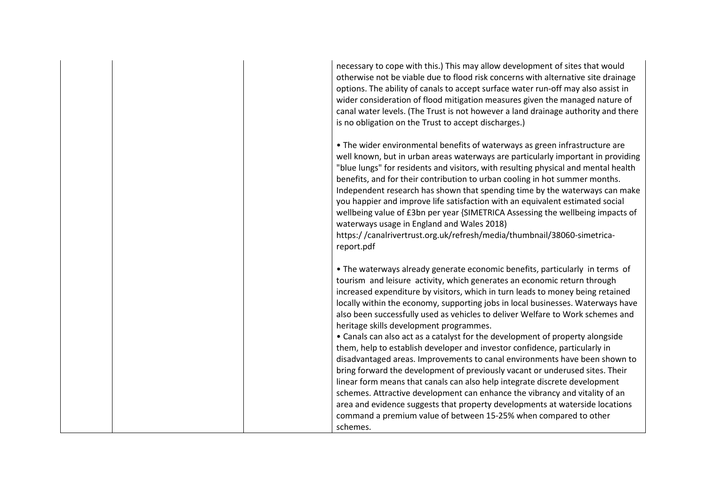| necessary to cope with this.) This may allow development of sites that would<br>otherwise not be viable due to flood risk concerns with alternative site drainage<br>options. The ability of canals to accept surface water run-off may also assist in<br>wider consideration of flood mitigation measures given the managed nature of<br>canal water levels. (The Trust is not however a land drainage authority and there<br>is no obligation on the Trust to accept discharges.)                                                                                                                                                                                                                                                                                                                                                                                                                                                                                                                                                                                                                                  |
|----------------------------------------------------------------------------------------------------------------------------------------------------------------------------------------------------------------------------------------------------------------------------------------------------------------------------------------------------------------------------------------------------------------------------------------------------------------------------------------------------------------------------------------------------------------------------------------------------------------------------------------------------------------------------------------------------------------------------------------------------------------------------------------------------------------------------------------------------------------------------------------------------------------------------------------------------------------------------------------------------------------------------------------------------------------------------------------------------------------------|
| • The wider environmental benefits of waterways as green infrastructure are<br>well known, but in urban areas waterways are particularly important in providing<br>"blue lungs" for residents and visitors, with resulting physical and mental health<br>benefits, and for their contribution to urban cooling in hot summer months.<br>Independent research has shown that spending time by the waterways can make<br>you happier and improve life satisfaction with an equivalent estimated social<br>wellbeing value of £3bn per year {SIMETRICA Assessing the wellbeing impacts of<br>waterways usage in England and Wales 2018)<br>https://canalrivertrust.org.uk/refresh/media/thumbnail/38060-simetrica-<br>report.pdf                                                                                                                                                                                                                                                                                                                                                                                        |
| • The waterways already generate economic benefits, particularly in terms of<br>tourism and leisure activity, which generates an economic return through<br>increased expenditure by visitors, which in turn leads to money being retained<br>locally within the economy, supporting jobs in local businesses. Waterways have<br>also been successfully used as vehicles to deliver Welfare to Work schemes and<br>heritage skills development programmes.<br>• Canals can also act as a catalyst for the development of property alongside<br>them, help to establish developer and investor confidence, particularly in<br>disadvantaged areas. Improvements to canal environments have been shown to<br>bring forward the development of previously vacant or underused sites. Their<br>linear form means that canals can also help integrate discrete development<br>schemes. Attractive development can enhance the vibrancy and vitality of an<br>area and evidence suggests that property developments at waterside locations<br>command a premium value of between 15-25% when compared to other<br>schemes. |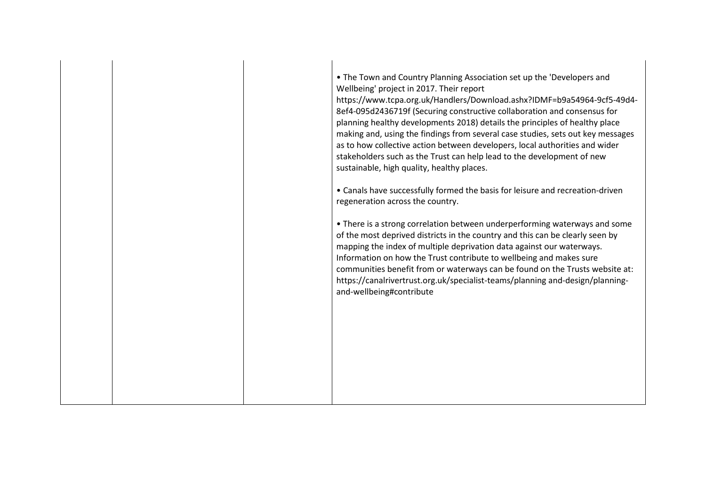• The Town and Country Planning Association set up the 'Developers and Wellbeing' project in 2017. Their report https://www.tcpa.org.uk/Handlers/Download.ashx?IDMF=b9a54964-9cf5-49d4- 8ef4-095d2436719f (Securing constructive collaboration and consensus for planning healthy developments 2018) details the principles of healthy place making and, using the findings from several case studies, sets out key messages as to how collective action between developers, local authorities and wider stakeholders such as the Trust can help lead to the development of new sustainable, high quality, healthy places. • Canals have successfully formed the basis for leisure and recreation-driven regeneration across the country. • There is a strong correlation between underperforming waterways and some of the most deprived districts in the country and this can be clearly seen by mapping the index of multiple deprivation data against our waterways. Information on how the Trust contribute to wellbeing and makes sure communities benefit from or waterways can be found on the Trusts website at: https://canalrivertrust.org.uk/specialist-teams/planning and-design/planningand-wellbeing#contribute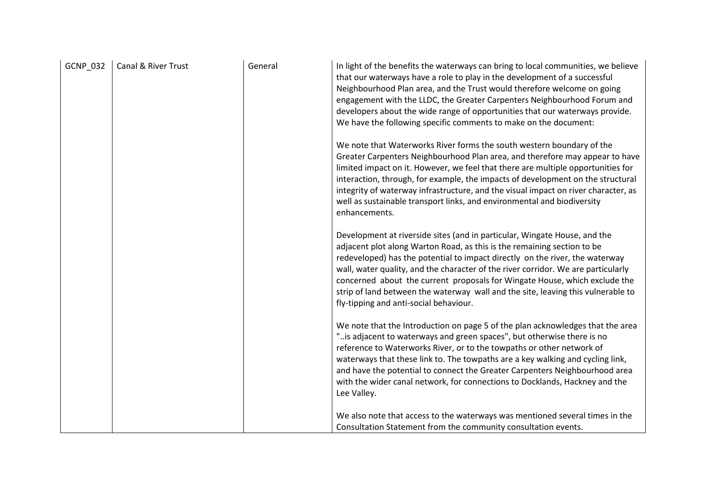| <b>GCNP_032</b> | Canal & River Trust | General | In light of the benefits the waterways can bring to local communities, we believe<br>that our waterways have a role to play in the development of a successful<br>Neighbourhood Plan area, and the Trust would therefore welcome on going<br>engagement with the LLDC, the Greater Carpenters Neighbourhood Forum and<br>developers about the wide range of opportunities that our waterways provide.<br>We have the following specific comments to make on the document:                                                             |
|-----------------|---------------------|---------|---------------------------------------------------------------------------------------------------------------------------------------------------------------------------------------------------------------------------------------------------------------------------------------------------------------------------------------------------------------------------------------------------------------------------------------------------------------------------------------------------------------------------------------|
|                 |                     |         | We note that Waterworks River forms the south western boundary of the<br>Greater Carpenters Neighbourhood Plan area, and therefore may appear to have<br>limited impact on it. However, we feel that there are multiple opportunities for<br>interaction, through, for example, the impacts of development on the structural<br>integrity of waterway infrastructure, and the visual impact on river character, as<br>well as sustainable transport links, and environmental and biodiversity<br>enhancements.                        |
|                 |                     |         | Development at riverside sites (and in particular, Wingate House, and the<br>adjacent plot along Warton Road, as this is the remaining section to be<br>redeveloped) has the potential to impact directly on the river, the waterway<br>wall, water quality, and the character of the river corridor. We are particularly<br>concerned about the current proposals for Wingate House, which exclude the<br>strip of land between the waterway wall and the site, leaving this vulnerable to<br>fly-tipping and anti-social behaviour. |
|                 |                     |         | We note that the Introduction on page 5 of the plan acknowledges that the area<br>"is adjacent to waterways and green spaces", but otherwise there is no<br>reference to Waterworks River, or to the towpaths or other network of<br>waterways that these link to. The towpaths are a key walking and cycling link,<br>and have the potential to connect the Greater Carpenters Neighbourhood area<br>with the wider canal network, for connections to Docklands, Hackney and the<br>Lee Valley.                                      |
|                 |                     |         | We also note that access to the waterways was mentioned several times in the<br>Consultation Statement from the community consultation events.                                                                                                                                                                                                                                                                                                                                                                                        |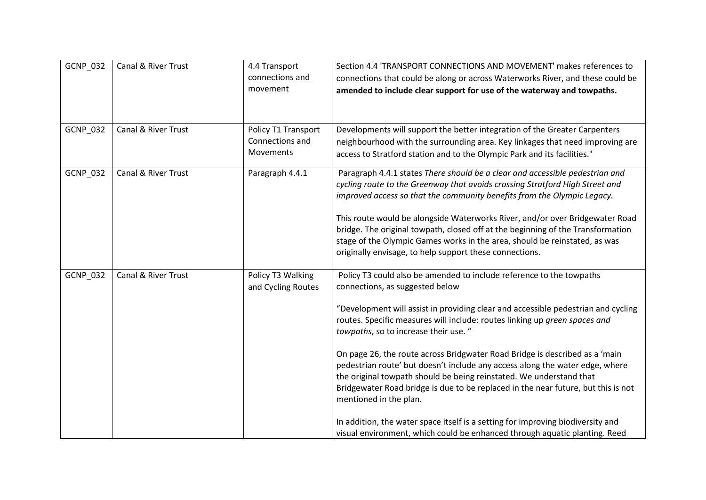| GCNP_032 | Canal & River Trust | 4.4 Transport<br>connections and<br>movement        | Section 4.4 'TRANSPORT CONNECTIONS AND MOVEMENT' makes references to<br>connections that could be along or across Waterworks River, and these could be<br>amended to include clear support for use of the waterway and towpaths.                                                                                                                                                                                                                                                                                                                                                                                                                                                                                                                                                                                                          |
|----------|---------------------|-----------------------------------------------------|-------------------------------------------------------------------------------------------------------------------------------------------------------------------------------------------------------------------------------------------------------------------------------------------------------------------------------------------------------------------------------------------------------------------------------------------------------------------------------------------------------------------------------------------------------------------------------------------------------------------------------------------------------------------------------------------------------------------------------------------------------------------------------------------------------------------------------------------|
| GCNP_032 | Canal & River Trust | Policy T1 Transport<br>Connections and<br>Movements | Developments will support the better integration of the Greater Carpenters<br>neighbourhood with the surrounding area. Key linkages that need improving are<br>access to Stratford station and to the Olympic Park and its facilities."                                                                                                                                                                                                                                                                                                                                                                                                                                                                                                                                                                                                   |
| GCNP_032 | Canal & River Trust | Paragraph 4.4.1                                     | Paragraph 4.4.1 states There should be a clear and accessible pedestrian and<br>cycling route to the Greenway that avoids crossing Stratford High Street and<br>improved access so that the community benefits from the Olympic Legacy.<br>This route would be alongside Waterworks River, and/or over Bridgewater Road<br>bridge. The original towpath, closed off at the beginning of the Transformation<br>stage of the Olympic Games works in the area, should be reinstated, as was<br>originally envisage, to help support these connections.                                                                                                                                                                                                                                                                                       |
| GCNP_032 | Canal & River Trust | Policy T3 Walking<br>and Cycling Routes             | Policy T3 could also be amended to include reference to the towpaths<br>connections, as suggested below<br>"Development will assist in providing clear and accessible pedestrian and cycling<br>routes. Specific measures will include: routes linking up green spaces and<br>towpaths, so to increase their use. "<br>On page 26, the route across Bridgwater Road Bridge is described as a 'main<br>pedestrian route' but doesn't include any access along the water edge, where<br>the original towpath should be being reinstated. We understand that<br>Bridgewater Road bridge is due to be replaced in the near future, but this is not<br>mentioned in the plan.<br>In addition, the water space itself is a setting for improving biodiversity and<br>visual environment, which could be enhanced through aquatic planting. Reed |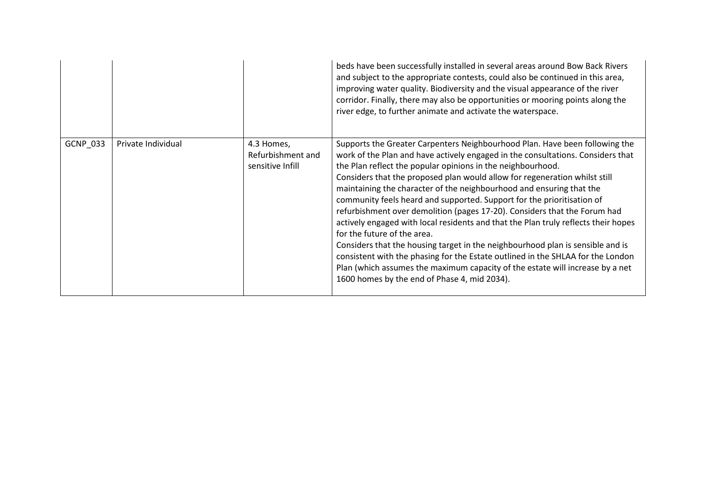|          |                    |                                                     | beds have been successfully installed in several areas around Bow Back Rivers<br>and subject to the appropriate contests, could also be continued in this area,<br>improving water quality. Biodiversity and the visual appearance of the river<br>corridor. Finally, there may also be opportunities or mooring points along the<br>river edge, to further animate and activate the waterspace.                                                                                                                                                                                                                                                                                                                                                                                                                                                                                                                                                                      |
|----------|--------------------|-----------------------------------------------------|-----------------------------------------------------------------------------------------------------------------------------------------------------------------------------------------------------------------------------------------------------------------------------------------------------------------------------------------------------------------------------------------------------------------------------------------------------------------------------------------------------------------------------------------------------------------------------------------------------------------------------------------------------------------------------------------------------------------------------------------------------------------------------------------------------------------------------------------------------------------------------------------------------------------------------------------------------------------------|
| GCNP_033 | Private Individual | 4.3 Homes,<br>Refurbishment and<br>sensitive Infill | Supports the Greater Carpenters Neighbourhood Plan. Have been following the<br>work of the Plan and have actively engaged in the consultations. Considers that<br>the Plan reflect the popular opinions in the neighbourhood.<br>Considers that the proposed plan would allow for regeneration whilst still<br>maintaining the character of the neighbourhood and ensuring that the<br>community feels heard and supported. Support for the prioritisation of<br>refurbishment over demolition (pages 17-20). Considers that the Forum had<br>actively engaged with local residents and that the Plan truly reflects their hopes<br>for the future of the area.<br>Considers that the housing target in the neighbourhood plan is sensible and is<br>consistent with the phasing for the Estate outlined in the SHLAA for the London<br>Plan (which assumes the maximum capacity of the estate will increase by a net<br>1600 homes by the end of Phase 4, mid 2034). |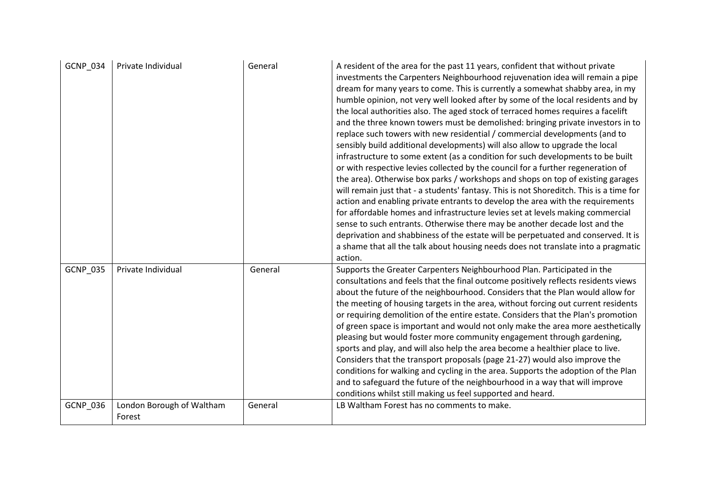| <b>GCNP 034</b> | Private Individual                  | General | A resident of the area for the past 11 years, confident that without private<br>investments the Carpenters Neighbourhood rejuvenation idea will remain a pipe<br>dream for many years to come. This is currently a somewhat shabby area, in my<br>humble opinion, not very well looked after by some of the local residents and by<br>the local authorities also. The aged stock of terraced homes requires a facelift<br>and the three known towers must be demolished: bringing private investors in to<br>replace such towers with new residential / commercial developments (and to<br>sensibly build additional developments) will also allow to upgrade the local<br>infrastructure to some extent (as a condition for such developments to be built<br>or with respective levies collected by the council for a further regeneration of<br>the area). Otherwise box parks / workshops and shops on top of existing garages<br>will remain just that - a students' fantasy. This is not Shoreditch. This is a time for<br>action and enabling private entrants to develop the area with the requirements<br>for affordable homes and infrastructure levies set at levels making commercial<br>sense to such entrants. Otherwise there may be another decade lost and the<br>deprivation and shabbiness of the estate will be perpetuated and conserved. It is<br>a shame that all the talk about housing needs does not translate into a pragmatic<br>action. |
|-----------------|-------------------------------------|---------|---------------------------------------------------------------------------------------------------------------------------------------------------------------------------------------------------------------------------------------------------------------------------------------------------------------------------------------------------------------------------------------------------------------------------------------------------------------------------------------------------------------------------------------------------------------------------------------------------------------------------------------------------------------------------------------------------------------------------------------------------------------------------------------------------------------------------------------------------------------------------------------------------------------------------------------------------------------------------------------------------------------------------------------------------------------------------------------------------------------------------------------------------------------------------------------------------------------------------------------------------------------------------------------------------------------------------------------------------------------------------------------------------------------------------------------------------------------------|
| GCNP_035        | Private Individual                  | General | Supports the Greater Carpenters Neighbourhood Plan. Participated in the<br>consultations and feels that the final outcome positively reflects residents views<br>about the future of the neighbourhood. Considers that the Plan would allow for<br>the meeting of housing targets in the area, without forcing out current residents<br>or requiring demolition of the entire estate. Considers that the Plan's promotion<br>of green space is important and would not only make the area more aesthetically<br>pleasing but would foster more community engagement through gardening,<br>sports and play, and will also help the area become a healthier place to live.<br>Considers that the transport proposals (page 21-27) would also improve the<br>conditions for walking and cycling in the area. Supports the adoption of the Plan<br>and to safeguard the future of the neighbourhood in a way that will improve<br>conditions whilst still making us feel supported and heard.                                                                                                                                                                                                                                                                                                                                                                                                                                                                           |
| GCNP_036        | London Borough of Waltham<br>Forest | General | LB Waltham Forest has no comments to make.                                                                                                                                                                                                                                                                                                                                                                                                                                                                                                                                                                                                                                                                                                                                                                                                                                                                                                                                                                                                                                                                                                                                                                                                                                                                                                                                                                                                                          |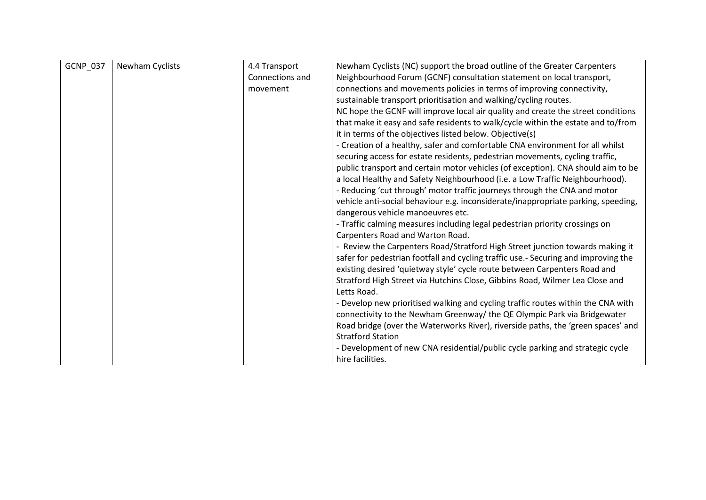| GCNP_037<br>Newham Cyclists<br>4.4 Transport<br>Connections and<br>movement | Newham Cyclists (NC) support the broad outline of the Greater Carpenters<br>Neighbourhood Forum (GCNF) consultation statement on local transport,<br>connections and movements policies in terms of improving connectivity,<br>sustainable transport prioritisation and walking/cycling routes.<br>NC hope the GCNF will improve local air quality and create the street conditions<br>that make it easy and safe residents to walk/cycle within the estate and to/from<br>it in terms of the objectives listed below. Objective(s)<br>- Creation of a healthy, safer and comfortable CNA environment for all whilst<br>securing access for estate residents, pedestrian movements, cycling traffic,<br>public transport and certain motor vehicles (of exception). CNA should aim to be<br>a local Healthy and Safety Neighbourhood (i.e. a Low Traffic Neighbourhood).<br>- Reducing 'cut through' motor traffic journeys through the CNA and motor<br>vehicle anti-social behaviour e.g. inconsiderate/inappropriate parking, speeding,<br>dangerous vehicle manoeuvres etc.<br>- Traffic calming measures including legal pedestrian priority crossings on<br>Carpenters Road and Warton Road.<br>- Review the Carpenters Road/Stratford High Street junction towards making it<br>safer for pedestrian footfall and cycling traffic use.- Securing and improving the<br>existing desired 'quietway style' cycle route between Carpenters Road and<br>Stratford High Street via Hutchins Close, Gibbins Road, Wilmer Lea Close and<br>Letts Road.<br>- Develop new prioritised walking and cycling traffic routes within the CNA with<br>connectivity to the Newham Greenway/ the QE Olympic Park via Bridgewater<br>Road bridge (over the Waterworks River), riverside paths, the 'green spaces' and<br><b>Stratford Station</b><br>- Development of new CNA residential/public cycle parking and strategic cycle<br>hire facilities. |
|-----------------------------------------------------------------------------|--------------------------------------------------------------------------------------------------------------------------------------------------------------------------------------------------------------------------------------------------------------------------------------------------------------------------------------------------------------------------------------------------------------------------------------------------------------------------------------------------------------------------------------------------------------------------------------------------------------------------------------------------------------------------------------------------------------------------------------------------------------------------------------------------------------------------------------------------------------------------------------------------------------------------------------------------------------------------------------------------------------------------------------------------------------------------------------------------------------------------------------------------------------------------------------------------------------------------------------------------------------------------------------------------------------------------------------------------------------------------------------------------------------------------------------------------------------------------------------------------------------------------------------------------------------------------------------------------------------------------------------------------------------------------------------------------------------------------------------------------------------------------------------------------------------------------------------------------------------------------------------------------------------------------------------------|
|-----------------------------------------------------------------------------|--------------------------------------------------------------------------------------------------------------------------------------------------------------------------------------------------------------------------------------------------------------------------------------------------------------------------------------------------------------------------------------------------------------------------------------------------------------------------------------------------------------------------------------------------------------------------------------------------------------------------------------------------------------------------------------------------------------------------------------------------------------------------------------------------------------------------------------------------------------------------------------------------------------------------------------------------------------------------------------------------------------------------------------------------------------------------------------------------------------------------------------------------------------------------------------------------------------------------------------------------------------------------------------------------------------------------------------------------------------------------------------------------------------------------------------------------------------------------------------------------------------------------------------------------------------------------------------------------------------------------------------------------------------------------------------------------------------------------------------------------------------------------------------------------------------------------------------------------------------------------------------------------------------------------------------------|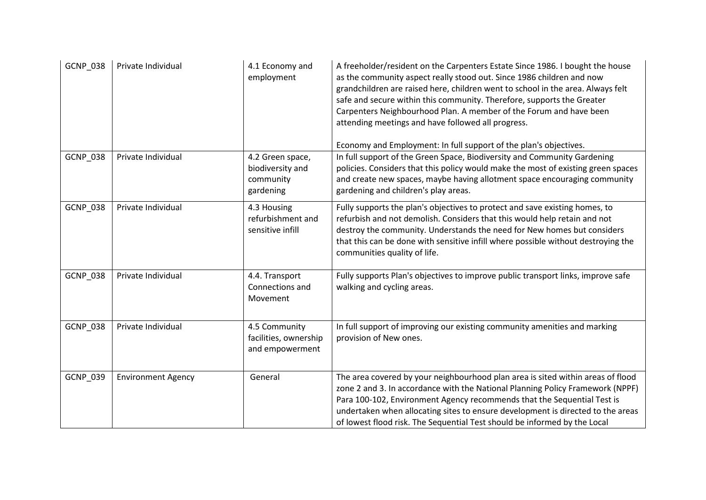| <b>GCNP_038</b> | Private Individual        | 4.1 Economy and<br>employment                                  | A freeholder/resident on the Carpenters Estate Since 1986. I bought the house<br>as the community aspect really stood out. Since 1986 children and now<br>grandchildren are raised here, children went to school in the area. Always felt<br>safe and secure within this community. Therefore, supports the Greater<br>Carpenters Neighbourhood Plan. A member of the Forum and have been<br>attending meetings and have followed all progress.<br>Economy and Employment: In full support of the plan's objectives. |
|-----------------|---------------------------|----------------------------------------------------------------|----------------------------------------------------------------------------------------------------------------------------------------------------------------------------------------------------------------------------------------------------------------------------------------------------------------------------------------------------------------------------------------------------------------------------------------------------------------------------------------------------------------------|
| <b>GCNP_038</b> | Private Individual        | 4.2 Green space,<br>biodiversity and<br>community<br>gardening | In full support of the Green Space, Biodiversity and Community Gardening<br>policies. Considers that this policy would make the most of existing green spaces<br>and create new spaces, maybe having allotment space encouraging community<br>gardening and children's play areas.                                                                                                                                                                                                                                   |
| GCNP_038        | Private Individual        | 4.3 Housing<br>refurbishment and<br>sensitive infill           | Fully supports the plan's objectives to protect and save existing homes, to<br>refurbish and not demolish. Considers that this would help retain and not<br>destroy the community. Understands the need for New homes but considers<br>that this can be done with sensitive infill where possible without destroying the<br>communities quality of life.                                                                                                                                                             |
| <b>GCNP_038</b> | Private Individual        | 4.4. Transport<br>Connections and<br>Movement                  | Fully supports Plan's objectives to improve public transport links, improve safe<br>walking and cycling areas.                                                                                                                                                                                                                                                                                                                                                                                                       |
| <b>GCNP_038</b> | Private Individual        | 4.5 Community<br>facilities, ownership<br>and empowerment      | In full support of improving our existing community amenities and marking<br>provision of New ones.                                                                                                                                                                                                                                                                                                                                                                                                                  |
| GCNP_039        | <b>Environment Agency</b> | General                                                        | The area covered by your neighbourhood plan area is sited within areas of flood<br>zone 2 and 3. In accordance with the National Planning Policy Framework (NPPF)<br>Para 100-102, Environment Agency recommends that the Sequential Test is<br>undertaken when allocating sites to ensure development is directed to the areas<br>of lowest flood risk. The Sequential Test should be informed by the Local                                                                                                         |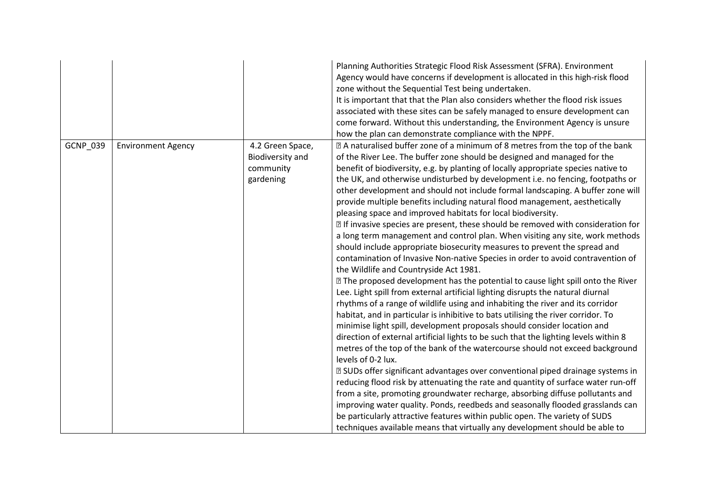|          |                           |                                                                | Planning Authorities Strategic Flood Risk Assessment (SFRA). Environment<br>Agency would have concerns if development is allocated in this high-risk flood<br>zone without the Sequential Test being undertaken.<br>It is important that that the Plan also considers whether the flood risk issues<br>associated with these sites can be safely managed to ensure development can<br>come forward. Without this understanding, the Environment Agency is unsure<br>how the plan can demonstrate compliance with the NPPF.                                                                                                                                                                                                                                                                                                                                                                                                                                                                                                                                                                                                                                                                                                                                                                                                                                                                                                                                                                                                                                                                                                                                                                                                                                                                                                                                                                                                                                                                                                                                                             |
|----------|---------------------------|----------------------------------------------------------------|----------------------------------------------------------------------------------------------------------------------------------------------------------------------------------------------------------------------------------------------------------------------------------------------------------------------------------------------------------------------------------------------------------------------------------------------------------------------------------------------------------------------------------------------------------------------------------------------------------------------------------------------------------------------------------------------------------------------------------------------------------------------------------------------------------------------------------------------------------------------------------------------------------------------------------------------------------------------------------------------------------------------------------------------------------------------------------------------------------------------------------------------------------------------------------------------------------------------------------------------------------------------------------------------------------------------------------------------------------------------------------------------------------------------------------------------------------------------------------------------------------------------------------------------------------------------------------------------------------------------------------------------------------------------------------------------------------------------------------------------------------------------------------------------------------------------------------------------------------------------------------------------------------------------------------------------------------------------------------------------------------------------------------------------------------------------------------------|
| GCNP_039 | <b>Environment Agency</b> | 4.2 Green Space,<br>Biodiversity and<br>community<br>gardening | Z A naturalised buffer zone of a minimum of 8 metres from the top of the bank<br>of the River Lee. The buffer zone should be designed and managed for the<br>benefit of biodiversity, e.g. by planting of locally appropriate species native to<br>the UK, and otherwise undisturbed by development i.e. no fencing, footpaths or<br>other development and should not include formal landscaping. A buffer zone will<br>provide multiple benefits including natural flood management, aesthetically<br>pleasing space and improved habitats for local biodiversity.<br>I If invasive species are present, these should be removed with consideration for<br>a long term management and control plan. When visiting any site, work methods<br>should include appropriate biosecurity measures to prevent the spread and<br>contamination of Invasive Non-native Species in order to avoid contravention of<br>the Wildlife and Countryside Act 1981.<br>77 The proposed development has the potential to cause light spill onto the River<br>Lee. Light spill from external artificial lighting disrupts the natural diurnal<br>rhythms of a range of wildlife using and inhabiting the river and its corridor<br>habitat, and in particular is inhibitive to bats utilising the river corridor. To<br>minimise light spill, development proposals should consider location and<br>direction of external artificial lights to be such that the lighting levels within 8<br>metres of the top of the bank of the watercourse should not exceed background<br>levels of 0-2 lux.<br>Z SUDs offer significant advantages over conventional piped drainage systems in<br>reducing flood risk by attenuating the rate and quantity of surface water run-off<br>from a site, promoting groundwater recharge, absorbing diffuse pollutants and<br>improving water quality. Ponds, reedbeds and seasonally flooded grasslands can<br>be particularly attractive features within public open. The variety of SUDS<br>techniques available means that virtually any development should be able to |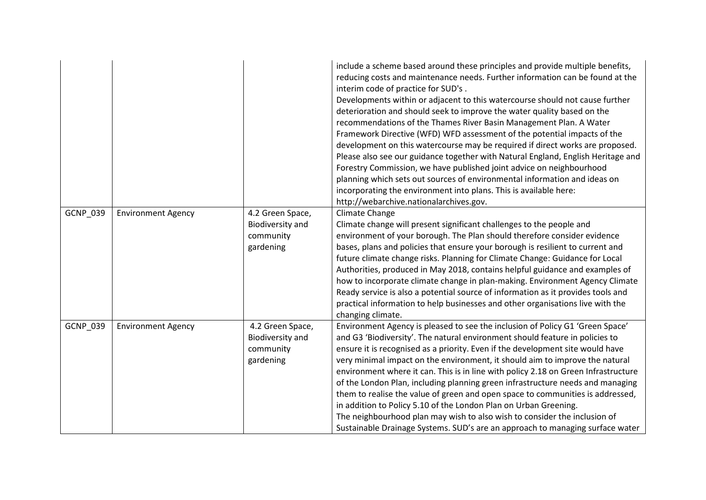|                 |                           |                                                                | include a scheme based around these principles and provide multiple benefits,<br>reducing costs and maintenance needs. Further information can be found at the<br>interim code of practice for SUD's.<br>Developments within or adjacent to this watercourse should not cause further<br>deterioration and should seek to improve the water quality based on the<br>recommendations of the Thames River Basin Management Plan. A Water<br>Framework Directive (WFD) WFD assessment of the potential impacts of the<br>development on this watercourse may be required if direct works are proposed.<br>Please also see our guidance together with Natural England, English Heritage and<br>Forestry Commission, we have published joint advice on neighbourhood<br>planning which sets out sources of environmental information and ideas on<br>incorporating the environment into plans. This is available here:<br>http://webarchive.nationalarchives.gov. |
|-----------------|---------------------------|----------------------------------------------------------------|--------------------------------------------------------------------------------------------------------------------------------------------------------------------------------------------------------------------------------------------------------------------------------------------------------------------------------------------------------------------------------------------------------------------------------------------------------------------------------------------------------------------------------------------------------------------------------------------------------------------------------------------------------------------------------------------------------------------------------------------------------------------------------------------------------------------------------------------------------------------------------------------------------------------------------------------------------------|
| GCNP_039        | <b>Environment Agency</b> | 4.2 Green Space,<br>Biodiversity and<br>community<br>gardening | Climate Change<br>Climate change will present significant challenges to the people and<br>environment of your borough. The Plan should therefore consider evidence<br>bases, plans and policies that ensure your borough is resilient to current and<br>future climate change risks. Planning for Climate Change: Guidance for Local<br>Authorities, produced in May 2018, contains helpful guidance and examples of<br>how to incorporate climate change in plan-making. Environment Agency Climate<br>Ready service is also a potential source of information as it provides tools and<br>practical information to help businesses and other organisations live with the<br>changing climate.                                                                                                                                                                                                                                                              |
| <b>GCNP 039</b> | <b>Environment Agency</b> | 4.2 Green Space,<br>Biodiversity and<br>community<br>gardening | Environment Agency is pleased to see the inclusion of Policy G1 'Green Space'<br>and G3 'Biodiversity'. The natural environment should feature in policies to<br>ensure it is recognised as a priority. Even if the development site would have<br>very minimal impact on the environment, it should aim to improve the natural<br>environment where it can. This is in line with policy 2.18 on Green Infrastructure<br>of the London Plan, including planning green infrastructure needs and managing<br>them to realise the value of green and open space to communities is addressed,<br>in addition to Policy 5.10 of the London Plan on Urban Greening.<br>The neighbourhood plan may wish to also wish to consider the inclusion of<br>Sustainable Drainage Systems. SUD's are an approach to managing surface water                                                                                                                                  |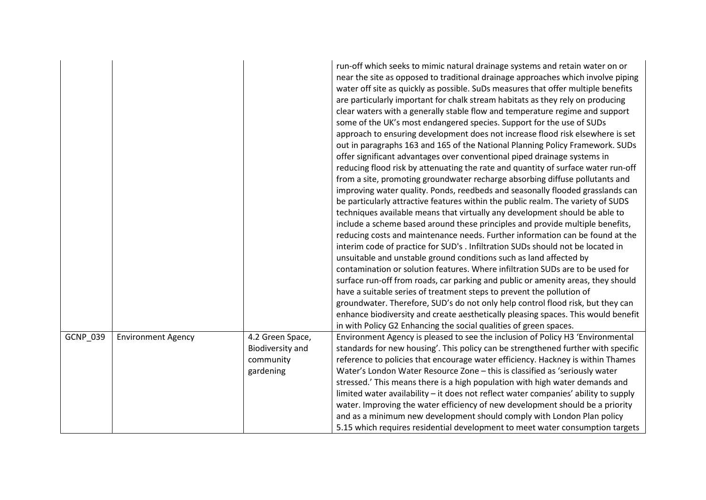|                 |                           |                                                                | run-off which seeks to mimic natural drainage systems and retain water on or<br>near the site as opposed to traditional drainage approaches which involve piping<br>water off site as quickly as possible. SuDs measures that offer multiple benefits<br>are particularly important for chalk stream habitats as they rely on producing<br>clear waters with a generally stable flow and temperature regime and support<br>some of the UK's most endangered species. Support for the use of SUDs<br>approach to ensuring development does not increase flood risk elsewhere is set<br>out in paragraphs 163 and 165 of the National Planning Policy Framework. SUDs<br>offer significant advantages over conventional piped drainage systems in<br>reducing flood risk by attenuating the rate and quantity of surface water run-off<br>from a site, promoting groundwater recharge absorbing diffuse pollutants and<br>improving water quality. Ponds, reedbeds and seasonally flooded grasslands can<br>be particularly attractive features within the public realm. The variety of SUDS<br>techniques available means that virtually any development should be able to<br>include a scheme based around these principles and provide multiple benefits,<br>reducing costs and maintenance needs. Further information can be found at the<br>interim code of practice for SUD's . Infiltration SUDs should not be located in<br>unsuitable and unstable ground conditions such as land affected by<br>contamination or solution features. Where infiltration SUDs are to be used for<br>surface run-off from roads, car parking and public or amenity areas, they should<br>have a suitable series of treatment steps to prevent the pollution of<br>groundwater. Therefore, SUD's do not only help control flood risk, but they can<br>enhance biodiversity and create aesthetically pleasing spaces. This would benefit<br>in with Policy G2 Enhancing the social qualities of green spaces. |
|-----------------|---------------------------|----------------------------------------------------------------|--------------------------------------------------------------------------------------------------------------------------------------------------------------------------------------------------------------------------------------------------------------------------------------------------------------------------------------------------------------------------------------------------------------------------------------------------------------------------------------------------------------------------------------------------------------------------------------------------------------------------------------------------------------------------------------------------------------------------------------------------------------------------------------------------------------------------------------------------------------------------------------------------------------------------------------------------------------------------------------------------------------------------------------------------------------------------------------------------------------------------------------------------------------------------------------------------------------------------------------------------------------------------------------------------------------------------------------------------------------------------------------------------------------------------------------------------------------------------------------------------------------------------------------------------------------------------------------------------------------------------------------------------------------------------------------------------------------------------------------------------------------------------------------------------------------------------------------------------------------------------------------------------------------------------------------------------------------------------------------------------|
| <b>GCNP 039</b> | <b>Environment Agency</b> | 4.2 Green Space,<br>Biodiversity and<br>community<br>gardening | Environment Agency is pleased to see the inclusion of Policy H3 'Environmental<br>standards for new housing'. This policy can be strengthened further with specific<br>reference to policies that encourage water efficiency. Hackney is within Thames<br>Water's London Water Resource Zone - this is classified as 'seriously water<br>stressed.' This means there is a high population with high water demands and<br>limited water availability - it does not reflect water companies' ability to supply<br>water. Improving the water efficiency of new development should be a priority<br>and as a minimum new development should comply with London Plan policy<br>5.15 which requires residential development to meet water consumption targets                                                                                                                                                                                                                                                                                                                                                                                                                                                                                                                                                                                                                                                                                                                                                                                                                                                                                                                                                                                                                                                                                                                                                                                                                                         |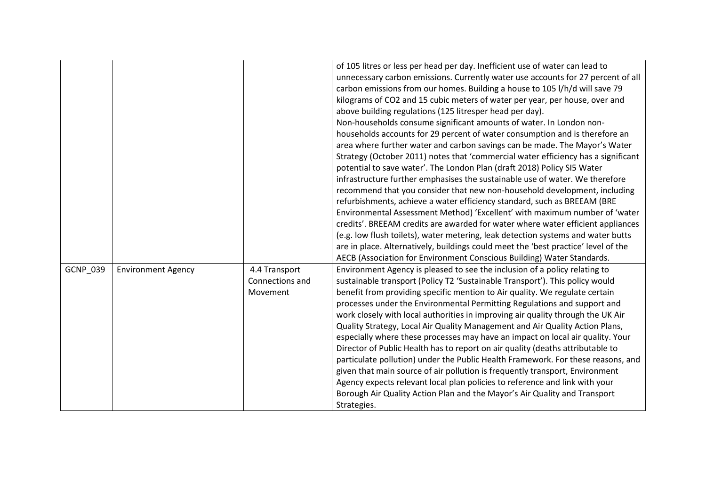|          |                           |                                              | of 105 litres or less per head per day. Inefficient use of water can lead to<br>unnecessary carbon emissions. Currently water use accounts for 27 percent of all<br>carbon emissions from our homes. Building a house to 105 l/h/d will save 79<br>kilograms of CO2 and 15 cubic meters of water per year, per house, over and<br>above building regulations (125 litresper head per day).<br>Non-households consume significant amounts of water. In London non-<br>households accounts for 29 percent of water consumption and is therefore an<br>area where further water and carbon savings can be made. The Mayor's Water<br>Strategy (October 2011) notes that 'commercial water efficiency has a significant<br>potential to save water'. The London Plan (draft 2018) Policy SI5 Water<br>infrastructure further emphasises the sustainable use of water. We therefore<br>recommend that you consider that new non-household development, including<br>refurbishments, achieve a water efficiency standard, such as BREEAM (BRE<br>Environmental Assessment Method) 'Excellent' with maximum number of 'water<br>credits'. BREEAM credits are awarded for water where water efficient appliances<br>(e.g. low flush toilets), water metering, leak detection systems and water butts<br>are in place. Alternatively, buildings could meet the 'best practice' level of the<br>AECB (Association for Environment Conscious Building) Water Standards. |
|----------|---------------------------|----------------------------------------------|--------------------------------------------------------------------------------------------------------------------------------------------------------------------------------------------------------------------------------------------------------------------------------------------------------------------------------------------------------------------------------------------------------------------------------------------------------------------------------------------------------------------------------------------------------------------------------------------------------------------------------------------------------------------------------------------------------------------------------------------------------------------------------------------------------------------------------------------------------------------------------------------------------------------------------------------------------------------------------------------------------------------------------------------------------------------------------------------------------------------------------------------------------------------------------------------------------------------------------------------------------------------------------------------------------------------------------------------------------------------------------------------------------------------------------------------------------------|
| GCNP_039 | <b>Environment Agency</b> | 4.4 Transport<br>Connections and<br>Movement | Environment Agency is pleased to see the inclusion of a policy relating to<br>sustainable transport (Policy T2 'Sustainable Transport'). This policy would<br>benefit from providing specific mention to Air quality. We regulate certain<br>processes under the Environmental Permitting Regulations and support and<br>work closely with local authorities in improving air quality through the UK Air<br>Quality Strategy, Local Air Quality Management and Air Quality Action Plans,<br>especially where these processes may have an impact on local air quality. Your<br>Director of Public Health has to report on air quality (deaths attributable to<br>particulate pollution) under the Public Health Framework. For these reasons, and<br>given that main source of air pollution is frequently transport, Environment<br>Agency expects relevant local plan policies to reference and link with your<br>Borough Air Quality Action Plan and the Mayor's Air Quality and Transport<br>Strategies.                                                                                                                                                                                                                                                                                                                                                                                                                                                  |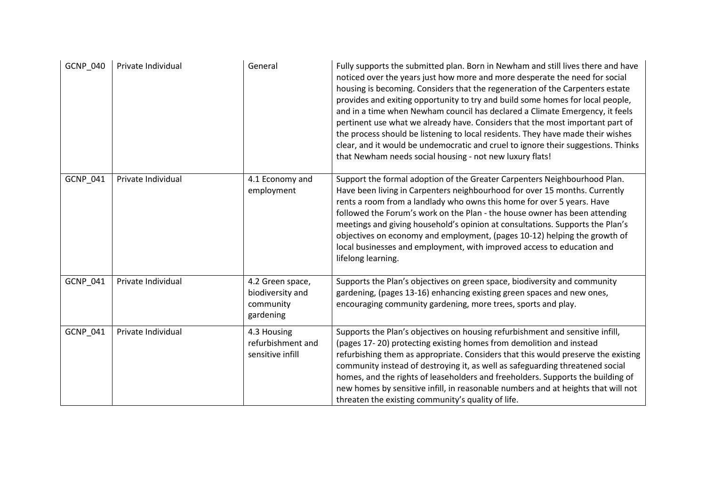| GCNP_040 | Private Individual | General                                                        | Fully supports the submitted plan. Born in Newham and still lives there and have<br>noticed over the years just how more and more desperate the need for social<br>housing is becoming. Considers that the regeneration of the Carpenters estate<br>provides and exiting opportunity to try and build some homes for local people,<br>and in a time when Newham council has declared a Climate Emergency, it feels<br>pertinent use what we already have. Considers that the most important part of<br>the process should be listening to local residents. They have made their wishes<br>clear, and it would be undemocratic and cruel to ignore their suggestions. Thinks<br>that Newham needs social housing - not new luxury flats! |
|----------|--------------------|----------------------------------------------------------------|-----------------------------------------------------------------------------------------------------------------------------------------------------------------------------------------------------------------------------------------------------------------------------------------------------------------------------------------------------------------------------------------------------------------------------------------------------------------------------------------------------------------------------------------------------------------------------------------------------------------------------------------------------------------------------------------------------------------------------------------|
| GCNP_041 | Private Individual | 4.1 Economy and<br>employment                                  | Support the formal adoption of the Greater Carpenters Neighbourhood Plan.<br>Have been living in Carpenters neighbourhood for over 15 months. Currently<br>rents a room from a landlady who owns this home for over 5 years. Have<br>followed the Forum's work on the Plan - the house owner has been attending<br>meetings and giving household's opinion at consultations. Supports the Plan's<br>objectives on economy and employment, (pages 10-12) helping the growth of<br>local businesses and employment, with improved access to education and<br>lifelong learning.                                                                                                                                                           |
| GCNP_041 | Private Individual | 4.2 Green space,<br>biodiversity and<br>community<br>gardening | Supports the Plan's objectives on green space, biodiversity and community<br>gardening, (pages 13-16) enhancing existing green spaces and new ones,<br>encouraging community gardening, more trees, sports and play.                                                                                                                                                                                                                                                                                                                                                                                                                                                                                                                    |
| GCNP_041 | Private Individual | 4.3 Housing<br>refurbishment and<br>sensitive infill           | Supports the Plan's objectives on housing refurbishment and sensitive infill,<br>(pages 17-20) protecting existing homes from demolition and instead<br>refurbishing them as appropriate. Considers that this would preserve the existing<br>community instead of destroying it, as well as safeguarding threatened social<br>homes, and the rights of leaseholders and freeholders. Supports the building of<br>new homes by sensitive infill, in reasonable numbers and at heights that will not<br>threaten the existing community's quality of life.                                                                                                                                                                                |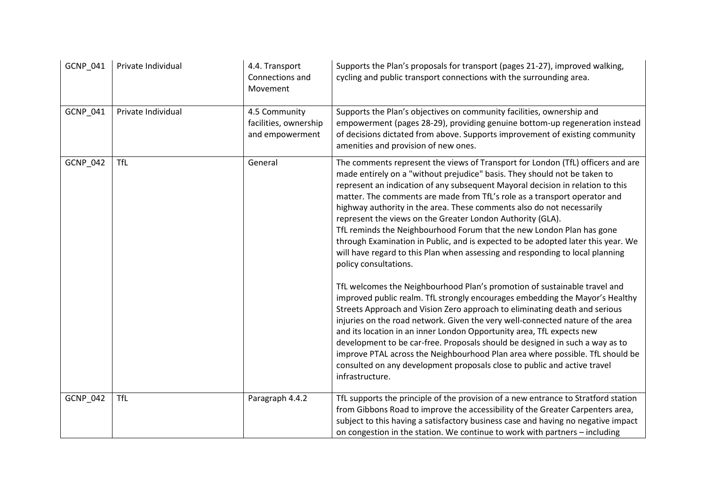| GCNP_041        | Private Individual | 4.4. Transport<br>Connections and<br>Movement             | Supports the Plan's proposals for transport (pages 21-27), improved walking,<br>cycling and public transport connections with the surrounding area.                                                                                                                                                                                                                                                                                                                                                                                                                                                                                                                                                                                                                                                                                                                                                                                                                                                                                                                                                                                                                                                                                                                                                                                                                                                             |
|-----------------|--------------------|-----------------------------------------------------------|-----------------------------------------------------------------------------------------------------------------------------------------------------------------------------------------------------------------------------------------------------------------------------------------------------------------------------------------------------------------------------------------------------------------------------------------------------------------------------------------------------------------------------------------------------------------------------------------------------------------------------------------------------------------------------------------------------------------------------------------------------------------------------------------------------------------------------------------------------------------------------------------------------------------------------------------------------------------------------------------------------------------------------------------------------------------------------------------------------------------------------------------------------------------------------------------------------------------------------------------------------------------------------------------------------------------------------------------------------------------------------------------------------------------|
| GCNP_041        | Private Individual | 4.5 Community<br>facilities, ownership<br>and empowerment | Supports the Plan's objectives on community facilities, ownership and<br>empowerment (pages 28-29), providing genuine bottom-up regeneration instead<br>of decisions dictated from above. Supports improvement of existing community<br>amenities and provision of new ones.                                                                                                                                                                                                                                                                                                                                                                                                                                                                                                                                                                                                                                                                                                                                                                                                                                                                                                                                                                                                                                                                                                                                    |
| GCNP_042        | <b>TfL</b>         | General                                                   | The comments represent the views of Transport for London (TfL) officers and are<br>made entirely on a "without prejudice" basis. They should not be taken to<br>represent an indication of any subsequent Mayoral decision in relation to this<br>matter. The comments are made from TfL's role as a transport operator and<br>highway authority in the area. These comments also do not necessarily<br>represent the views on the Greater London Authority (GLA).<br>TfL reminds the Neighbourhood Forum that the new London Plan has gone<br>through Examination in Public, and is expected to be adopted later this year. We<br>will have regard to this Plan when assessing and responding to local planning<br>policy consultations.<br>TfL welcomes the Neighbourhood Plan's promotion of sustainable travel and<br>improved public realm. TfL strongly encourages embedding the Mayor's Healthy<br>Streets Approach and Vision Zero approach to eliminating death and serious<br>injuries on the road network. Given the very well-connected nature of the area<br>and its location in an inner London Opportunity area, TfL expects new<br>development to be car-free. Proposals should be designed in such a way as to<br>improve PTAL across the Neighbourhood Plan area where possible. TfL should be<br>consulted on any development proposals close to public and active travel<br>infrastructure. |
| <b>GCNP_042</b> | <b>TfL</b>         | Paragraph 4.4.2                                           | TfL supports the principle of the provision of a new entrance to Stratford station<br>from Gibbons Road to improve the accessibility of the Greater Carpenters area,<br>subject to this having a satisfactory business case and having no negative impact<br>on congestion in the station. We continue to work with partners - including                                                                                                                                                                                                                                                                                                                                                                                                                                                                                                                                                                                                                                                                                                                                                                                                                                                                                                                                                                                                                                                                        |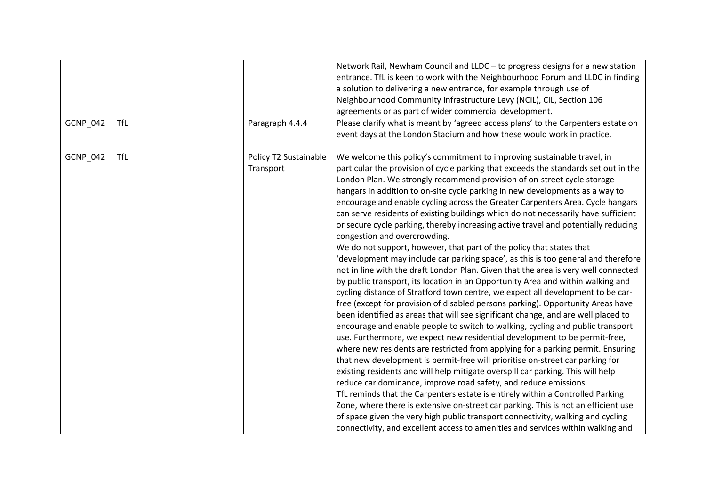|          |            |                                    | Network Rail, Newham Council and LLDC - to progress designs for a new station<br>entrance. TfL is keen to work with the Neighbourhood Forum and LLDC in finding<br>a solution to delivering a new entrance, for example through use of<br>Neighbourhood Community Infrastructure Levy (NCIL), CIL, Section 106<br>agreements or as part of wider commercial development.                                                                                                                                                                                                                                                                                                                                                                                                                                                                                                                                                                                                                                                                                                                                                                                                                                                                                                                                                                                                                                                                                                                                                                                                                                                                                                                                                                                                                                                                                                                                                                                                                                                                                          |
|----------|------------|------------------------------------|-------------------------------------------------------------------------------------------------------------------------------------------------------------------------------------------------------------------------------------------------------------------------------------------------------------------------------------------------------------------------------------------------------------------------------------------------------------------------------------------------------------------------------------------------------------------------------------------------------------------------------------------------------------------------------------------------------------------------------------------------------------------------------------------------------------------------------------------------------------------------------------------------------------------------------------------------------------------------------------------------------------------------------------------------------------------------------------------------------------------------------------------------------------------------------------------------------------------------------------------------------------------------------------------------------------------------------------------------------------------------------------------------------------------------------------------------------------------------------------------------------------------------------------------------------------------------------------------------------------------------------------------------------------------------------------------------------------------------------------------------------------------------------------------------------------------------------------------------------------------------------------------------------------------------------------------------------------------------------------------------------------------------------------------------------------------|
| GCNP_042 | <b>TfL</b> | Paragraph 4.4.4                    | Please clarify what is meant by 'agreed access plans' to the Carpenters estate on<br>event days at the London Stadium and how these would work in practice.                                                                                                                                                                                                                                                                                                                                                                                                                                                                                                                                                                                                                                                                                                                                                                                                                                                                                                                                                                                                                                                                                                                                                                                                                                                                                                                                                                                                                                                                                                                                                                                                                                                                                                                                                                                                                                                                                                       |
| GCNP_042 | <b>TfL</b> | Policy T2 Sustainable<br>Transport | We welcome this policy's commitment to improving sustainable travel, in<br>particular the provision of cycle parking that exceeds the standards set out in the<br>London Plan. We strongly recommend provision of on-street cycle storage<br>hangars in addition to on-site cycle parking in new developments as a way to<br>encourage and enable cycling across the Greater Carpenters Area. Cycle hangars<br>can serve residents of existing buildings which do not necessarily have sufficient<br>or secure cycle parking, thereby increasing active travel and potentially reducing<br>congestion and overcrowding.<br>We do not support, however, that part of the policy that states that<br>'development may include car parking space', as this is too general and therefore<br>not in line with the draft London Plan. Given that the area is very well connected<br>by public transport, its location in an Opportunity Area and within walking and<br>cycling distance of Stratford town centre, we expect all development to be car-<br>free (except for provision of disabled persons parking). Opportunity Areas have<br>been identified as areas that will see significant change, and are well placed to<br>encourage and enable people to switch to walking, cycling and public transport<br>use. Furthermore, we expect new residential development to be permit-free,<br>where new residents are restricted from applying for a parking permit. Ensuring<br>that new development is permit-free will prioritise on-street car parking for<br>existing residents and will help mitigate overspill car parking. This will help<br>reduce car dominance, improve road safety, and reduce emissions.<br>TfL reminds that the Carpenters estate is entirely within a Controlled Parking<br>Zone, where there is extensive on-street car parking. This is not an efficient use<br>of space given the very high public transport connectivity, walking and cycling<br>connectivity, and excellent access to amenities and services within walking and |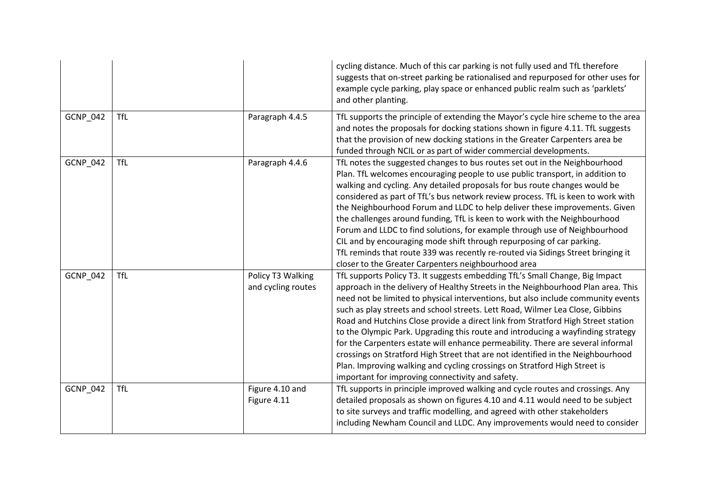|                 |            |                                         | cycling distance. Much of this car parking is not fully used and TfL therefore<br>suggests that on-street parking be rationalised and repurposed for other uses for<br>example cycle parking, play space or enhanced public realm such as 'parklets'<br>and other planting.                                                                                                                                                                                                                                                                                                                                                                                                                                                                                                                                         |
|-----------------|------------|-----------------------------------------|---------------------------------------------------------------------------------------------------------------------------------------------------------------------------------------------------------------------------------------------------------------------------------------------------------------------------------------------------------------------------------------------------------------------------------------------------------------------------------------------------------------------------------------------------------------------------------------------------------------------------------------------------------------------------------------------------------------------------------------------------------------------------------------------------------------------|
| <b>GCNP_042</b> | <b>TfL</b> | Paragraph 4.4.5                         | TfL supports the principle of extending the Mayor's cycle hire scheme to the area<br>and notes the proposals for docking stations shown in figure 4.11. TfL suggests<br>that the provision of new docking stations in the Greater Carpenters area be<br>funded through NCIL or as part of wider commercial developments.                                                                                                                                                                                                                                                                                                                                                                                                                                                                                            |
| <b>GCNP_042</b> | <b>TfL</b> | Paragraph 4.4.6                         | TfL notes the suggested changes to bus routes set out in the Neighbourhood<br>Plan. TfL welcomes encouraging people to use public transport, in addition to<br>walking and cycling. Any detailed proposals for bus route changes would be<br>considered as part of TfL's bus network review process. TfL is keen to work with<br>the Neighbourhood Forum and LLDC to help deliver these improvements. Given<br>the challenges around funding, TfL is keen to work with the Neighbourhood<br>Forum and LLDC to find solutions, for example through use of Neighbourhood<br>CIL and by encouraging mode shift through repurposing of car parking.<br>TfL reminds that route 339 was recently re-routed via Sidings Street bringing it<br>closer to the Greater Carpenters neighbourhood area                          |
| <b>GCNP 042</b> | <b>TfL</b> | Policy T3 Walking<br>and cycling routes | TfL supports Policy T3. It suggests embedding TfL's Small Change, Big Impact<br>approach in the delivery of Healthy Streets in the Neighbourhood Plan area. This<br>need not be limited to physical interventions, but also include community events<br>such as play streets and school streets. Lett Road, Wilmer Lea Close, Gibbins<br>Road and Hutchins Close provide a direct link from Stratford High Street station<br>to the Olympic Park. Upgrading this route and introducing a wayfinding strategy<br>for the Carpenters estate will enhance permeability. There are several informal<br>crossings on Stratford High Street that are not identified in the Neighbourhood<br>Plan. Improving walking and cycling crossings on Stratford High Street is<br>important for improving connectivity and safety. |
| <b>GCNP_042</b> | <b>TfL</b> | Figure 4.10 and<br>Figure 4.11          | TfL supports in principle improved walking and cycle routes and crossings. Any<br>detailed proposals as shown on figures 4.10 and 4.11 would need to be subject<br>to site surveys and traffic modelling, and agreed with other stakeholders<br>including Newham Council and LLDC. Any improvements would need to consider                                                                                                                                                                                                                                                                                                                                                                                                                                                                                          |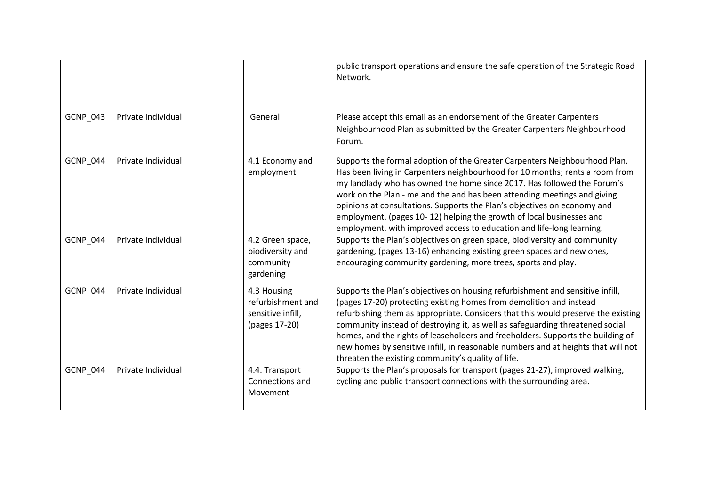|                 |                    |                                                                        | public transport operations and ensure the safe operation of the Strategic Road<br>Network.                                                                                                                                                                                                                                                                                                                                                                                                                                                              |
|-----------------|--------------------|------------------------------------------------------------------------|----------------------------------------------------------------------------------------------------------------------------------------------------------------------------------------------------------------------------------------------------------------------------------------------------------------------------------------------------------------------------------------------------------------------------------------------------------------------------------------------------------------------------------------------------------|
| GCNP_043        | Private Individual | General                                                                | Please accept this email as an endorsement of the Greater Carpenters<br>Neighbourhood Plan as submitted by the Greater Carpenters Neighbourhood<br>Forum.                                                                                                                                                                                                                                                                                                                                                                                                |
| <b>GCNP_044</b> | Private Individual | 4.1 Economy and<br>employment                                          | Supports the formal adoption of the Greater Carpenters Neighbourhood Plan.<br>Has been living in Carpenters neighbourhood for 10 months; rents a room from<br>my landlady who has owned the home since 2017. Has followed the Forum's<br>work on the Plan - me and the and has been attending meetings and giving<br>opinions at consultations. Supports the Plan's objectives on economy and<br>employment, (pages 10-12) helping the growth of local businesses and<br>employment, with improved access to education and life-long learning.           |
| <b>GCNP_044</b> | Private Individual | 4.2 Green space,<br>biodiversity and<br>community<br>gardening         | Supports the Plan's objectives on green space, biodiversity and community<br>gardening, (pages 13-16) enhancing existing green spaces and new ones,<br>encouraging community gardening, more trees, sports and play.                                                                                                                                                                                                                                                                                                                                     |
| <b>GCNP_044</b> | Private Individual | 4.3 Housing<br>refurbishment and<br>sensitive infill,<br>(pages 17-20) | Supports the Plan's objectives on housing refurbishment and sensitive infill,<br>(pages 17-20) protecting existing homes from demolition and instead<br>refurbishing them as appropriate. Considers that this would preserve the existing<br>community instead of destroying it, as well as safeguarding threatened social<br>homes, and the rights of leaseholders and freeholders. Supports the building of<br>new homes by sensitive infill, in reasonable numbers and at heights that will not<br>threaten the existing community's quality of life. |
| <b>GCNP_044</b> | Private Individual | 4.4. Transport<br>Connections and<br>Movement                          | Supports the Plan's proposals for transport (pages 21-27), improved walking,<br>cycling and public transport connections with the surrounding area.                                                                                                                                                                                                                                                                                                                                                                                                      |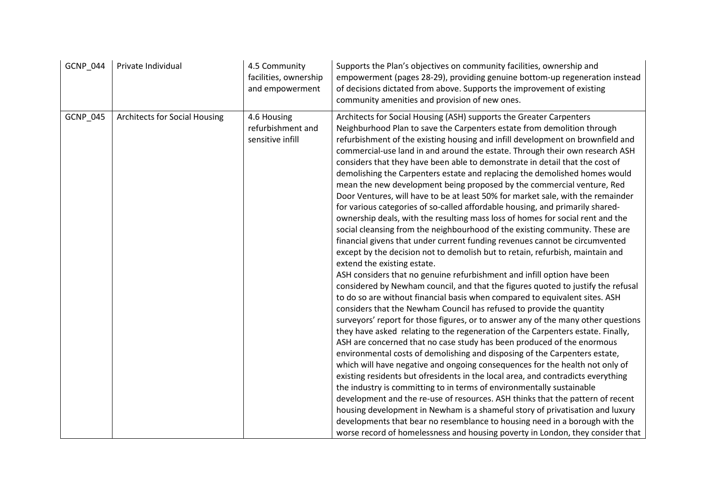| <b>GCNP_044</b> | Private Individual                   | 4.5 Community<br>facilities, ownership<br>and empowerment | Supports the Plan's objectives on community facilities, ownership and<br>empowerment (pages 28-29), providing genuine bottom-up regeneration instead<br>of decisions dictated from above. Supports the improvement of existing<br>community amenities and provision of new ones.                                                                                                                                                                                                                                                                                                                                                                                                                                                                                                                                                                                                                                                                                                                                                                                                                                                                                                                                                                                                                                                                                                                                                                                                                                                                                                                                                                                                                                                                                                                                                                                                                                                                                                                                                                                                                                                                                                                                                                                                                                                      |
|-----------------|--------------------------------------|-----------------------------------------------------------|---------------------------------------------------------------------------------------------------------------------------------------------------------------------------------------------------------------------------------------------------------------------------------------------------------------------------------------------------------------------------------------------------------------------------------------------------------------------------------------------------------------------------------------------------------------------------------------------------------------------------------------------------------------------------------------------------------------------------------------------------------------------------------------------------------------------------------------------------------------------------------------------------------------------------------------------------------------------------------------------------------------------------------------------------------------------------------------------------------------------------------------------------------------------------------------------------------------------------------------------------------------------------------------------------------------------------------------------------------------------------------------------------------------------------------------------------------------------------------------------------------------------------------------------------------------------------------------------------------------------------------------------------------------------------------------------------------------------------------------------------------------------------------------------------------------------------------------------------------------------------------------------------------------------------------------------------------------------------------------------------------------------------------------------------------------------------------------------------------------------------------------------------------------------------------------------------------------------------------------------------------------------------------------------------------------------------------------|
| <b>GCNP_045</b> | <b>Architects for Social Housing</b> | 4.6 Housing<br>refurbishment and<br>sensitive infill      | Architects for Social Housing (ASH) supports the Greater Carpenters<br>Neighburhood Plan to save the Carpenters estate from demolition through<br>refurbishment of the existing housing and infill development on brownfield and<br>commercial-use land in and around the estate. Through their own research ASH<br>considers that they have been able to demonstrate in detail that the cost of<br>demolishing the Carpenters estate and replacing the demolished homes would<br>mean the new development being proposed by the commercial venture, Red<br>Door Ventures, will have to be at least 50% for market sale, with the remainder<br>for various categories of so-called affordable housing, and primarily shared-<br>ownership deals, with the resulting mass loss of homes for social rent and the<br>social cleansing from the neighbourhood of the existing community. These are<br>financial givens that under current funding revenues cannot be circumvented<br>except by the decision not to demolish but to retain, refurbish, maintain and<br>extend the existing estate.<br>ASH considers that no genuine refurbishment and infill option have been<br>considered by Newham council, and that the figures quoted to justify the refusal<br>to do so are without financial basis when compared to equivalent sites. ASH<br>considers that the Newham Council has refused to provide the quantity<br>surveyors' report for those figures, or to answer any of the many other questions<br>they have asked relating to the regeneration of the Carpenters estate. Finally,<br>ASH are concerned that no case study has been produced of the enormous<br>environmental costs of demolishing and disposing of the Carpenters estate,<br>which will have negative and ongoing consequences for the health not only of<br>existing residents but ofresidents in the local area, and contradicts everything<br>the industry is committing to in terms of environmentally sustainable<br>development and the re-use of resources. ASH thinks that the pattern of recent<br>housing development in Newham is a shameful story of privatisation and luxury<br>developments that bear no resemblance to housing need in a borough with the<br>worse record of homelessness and housing poverty in London, they consider that |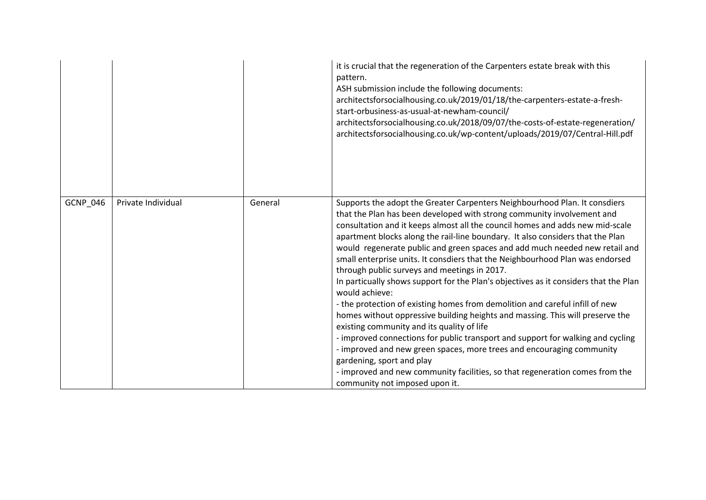|          |                    |         | it is crucial that the regeneration of the Carpenters estate break with this<br>pattern.<br>ASH submission include the following documents:<br>architectsforsocialhousing.co.uk/2019/01/18/the-carpenters-estate-a-fresh-<br>start-orbusiness-as-usual-at-newham-council/<br>architectsforsocialhousing.co.uk/2018/09/07/the-costs-of-estate-regeneration/<br>architectsforsocialhousing.co.uk/wp-content/uploads/2019/07/Central-Hill.pdf                                                                                                                                                                                                                                                                                                                                                                                                                                                                                                                                                                                                                                                                                                                                  |
|----------|--------------------|---------|-----------------------------------------------------------------------------------------------------------------------------------------------------------------------------------------------------------------------------------------------------------------------------------------------------------------------------------------------------------------------------------------------------------------------------------------------------------------------------------------------------------------------------------------------------------------------------------------------------------------------------------------------------------------------------------------------------------------------------------------------------------------------------------------------------------------------------------------------------------------------------------------------------------------------------------------------------------------------------------------------------------------------------------------------------------------------------------------------------------------------------------------------------------------------------|
| GCNP_046 | Private Individual | General | Supports the adopt the Greater Carpenters Neighbourhood Plan. It consdiers<br>that the Plan has been developed with strong community involvement and<br>consultation and it keeps almost all the council homes and adds new mid-scale<br>apartment blocks along the rail-line boundary. It also considers that the Plan<br>would regenerate public and green spaces and add much needed new retail and<br>small enterprise units. It consdiers that the Neighbourhood Plan was endorsed<br>through public surveys and meetings in 2017.<br>In particually shows support for the Plan's objectives as it considers that the Plan<br>would achieve:<br>- the protection of existing homes from demolition and careful infill of new<br>homes without oppressive building heights and massing. This will preserve the<br>existing community and its quality of life<br>- improved connections for public transport and support for walking and cycling<br>- improved and new green spaces, more trees and encouraging community<br>gardening, sport and play<br>- improved and new community facilities, so that regeneration comes from the<br>community not imposed upon it. |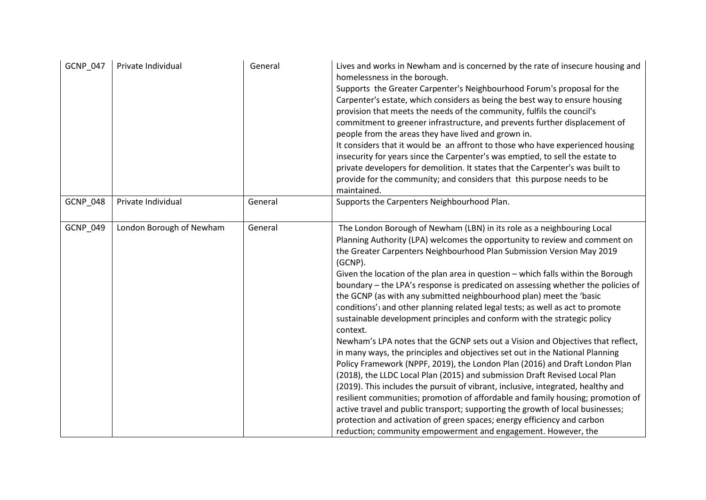| GCNP_047        | Private Individual       | General | Lives and works in Newham and is concerned by the rate of insecure housing and<br>homelessness in the borough.<br>Supports the Greater Carpenter's Neighbourhood Forum's proposal for the<br>Carpenter's estate, which considers as being the best way to ensure housing<br>provision that meets the needs of the community, fulfils the council's<br>commitment to greener infrastructure, and prevents further displacement of<br>people from the areas they have lived and grown in.<br>It considers that it would be an affront to those who have experienced housing<br>insecurity for years since the Carpenter's was emptied, to sell the estate to<br>private developers for demolition. It states that the Carpenter's was built to<br>provide for the community; and considers that this purpose needs to be<br>maintained.                                                                                                                                                                                                                                                                                                                                                                                                                                                                                                                                                                              |
|-----------------|--------------------------|---------|--------------------------------------------------------------------------------------------------------------------------------------------------------------------------------------------------------------------------------------------------------------------------------------------------------------------------------------------------------------------------------------------------------------------------------------------------------------------------------------------------------------------------------------------------------------------------------------------------------------------------------------------------------------------------------------------------------------------------------------------------------------------------------------------------------------------------------------------------------------------------------------------------------------------------------------------------------------------------------------------------------------------------------------------------------------------------------------------------------------------------------------------------------------------------------------------------------------------------------------------------------------------------------------------------------------------------------------------------------------------------------------------------------------------|
| <b>GCNP_048</b> | Private Individual       | General | Supports the Carpenters Neighbourhood Plan.                                                                                                                                                                                                                                                                                                                                                                                                                                                                                                                                                                                                                                                                                                                                                                                                                                                                                                                                                                                                                                                                                                                                                                                                                                                                                                                                                                        |
| GCNP_049        | London Borough of Newham | General | The London Borough of Newham (LBN) in its role as a neighbouring Local<br>Planning Authority (LPA) welcomes the opportunity to review and comment on<br>the Greater Carpenters Neighbourhood Plan Submission Version May 2019<br>(GCNP).<br>Given the location of the plan area in question - which falls within the Borough<br>boundary - the LPA's response is predicated on assessing whether the policies of<br>the GCNP (as with any submitted neighbourhood plan) meet the 'basic<br>conditions' <sub>1</sub> and other planning related legal tests; as well as act to promote<br>sustainable development principles and conform with the strategic policy<br>context.<br>Newham's LPA notes that the GCNP sets out a Vision and Objectives that reflect,<br>in many ways, the principles and objectives set out in the National Planning<br>Policy Framework (NPPF, 2019), the London Plan (2016) and Draft London Plan<br>(2018), the LLDC Local Plan (2015) and submission Draft Revised Local Plan<br>(2019). This includes the pursuit of vibrant, inclusive, integrated, healthy and<br>resilient communities; promotion of affordable and family housing; promotion of<br>active travel and public transport; supporting the growth of local businesses;<br>protection and activation of green spaces; energy efficiency and carbon<br>reduction; community empowerment and engagement. However, the |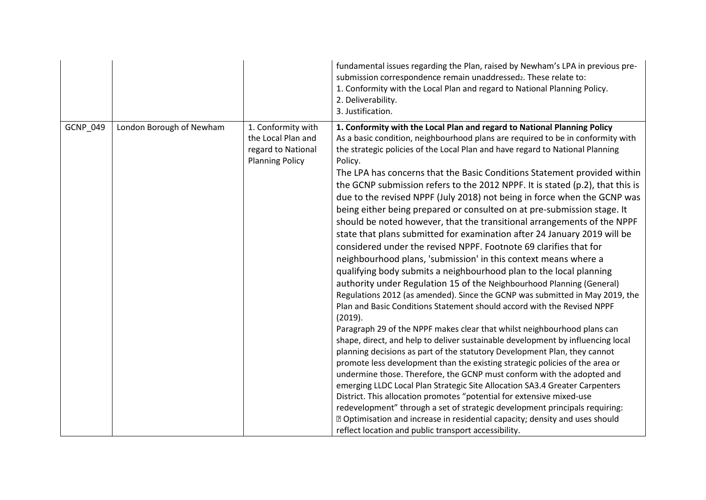|          |                          |                                                                                          | fundamental issues regarding the Plan, raised by Newham's LPA in previous pre-<br>submission correspondence remain unaddressed2. These relate to:<br>1. Conformity with the Local Plan and regard to National Planning Policy.<br>2. Deliverability.<br>3. Justification.                                                                                                                                                                                                                                                                                                                                                                                                                                                                                                                                                                                                                                                                                                                                                                                                                                                                                                                                                                                                                                                                                                                                                                                                                                                                                                                                                                                                                                                                                                                                                                                                                                                                                                                   |
|----------|--------------------------|------------------------------------------------------------------------------------------|---------------------------------------------------------------------------------------------------------------------------------------------------------------------------------------------------------------------------------------------------------------------------------------------------------------------------------------------------------------------------------------------------------------------------------------------------------------------------------------------------------------------------------------------------------------------------------------------------------------------------------------------------------------------------------------------------------------------------------------------------------------------------------------------------------------------------------------------------------------------------------------------------------------------------------------------------------------------------------------------------------------------------------------------------------------------------------------------------------------------------------------------------------------------------------------------------------------------------------------------------------------------------------------------------------------------------------------------------------------------------------------------------------------------------------------------------------------------------------------------------------------------------------------------------------------------------------------------------------------------------------------------------------------------------------------------------------------------------------------------------------------------------------------------------------------------------------------------------------------------------------------------------------------------------------------------------------------------------------------------|
| GCNP_049 | London Borough of Newham | 1. Conformity with<br>the Local Plan and<br>regard to National<br><b>Planning Policy</b> | 1. Conformity with the Local Plan and regard to National Planning Policy<br>As a basic condition, neighbourhood plans are required to be in conformity with<br>the strategic policies of the Local Plan and have regard to National Planning<br>Policy.<br>The LPA has concerns that the Basic Conditions Statement provided within<br>the GCNP submission refers to the 2012 NPPF. It is stated (p.2), that this is<br>due to the revised NPPF (July 2018) not being in force when the GCNP was<br>being either being prepared or consulted on at pre-submission stage. It<br>should be noted however, that the transitional arrangements of the NPPF<br>state that plans submitted for examination after 24 January 2019 will be<br>considered under the revised NPPF. Footnote 69 clarifies that for<br>neighbourhood plans, 'submission' in this context means where a<br>qualifying body submits a neighbourhood plan to the local planning<br>authority under Regulation 15 of the Neighbourhood Planning (General)<br>Regulations 2012 (as amended). Since the GCNP was submitted in May 2019, the<br>Plan and Basic Conditions Statement should accord with the Revised NPPF<br>(2019).<br>Paragraph 29 of the NPPF makes clear that whilst neighbourhood plans can<br>shape, direct, and help to deliver sustainable development by influencing local<br>planning decisions as part of the statutory Development Plan, they cannot<br>promote less development than the existing strategic policies of the area or<br>undermine those. Therefore, the GCNP must conform with the adopted and<br>emerging LLDC Local Plan Strategic Site Allocation SA3.4 Greater Carpenters<br>District. This allocation promotes "potential for extensive mixed-use<br>redevelopment" through a set of strategic development principals requiring:<br><b>D</b> Optimisation and increase in residential capacity; density and uses should<br>reflect location and public transport accessibility. |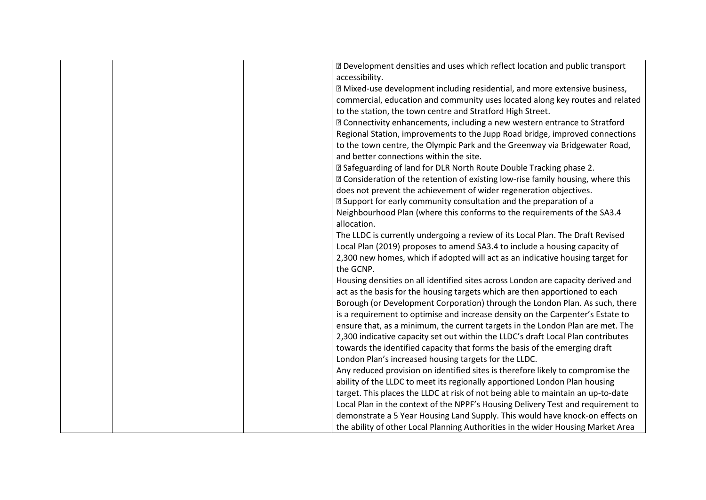| the GCNP. | X Development densities and uses which reflect location and public transport<br>accessibility.<br>Xan Mixed-use development including residential, and more extensive business,<br>commercial, education and community uses located along key routes and related<br>to the station, the town centre and Stratford High Street.<br><b>sqrt2 Connectivity enhancements, including a new western entrance to Stratford</b><br>Regional Station, improvements to the Jupp Road bridge, improved connections<br>to the town centre, the Olympic Park and the Greenway via Bridgewater Road,<br>and better connections within the site.<br><sup>2</sup> Safeguarding of land for DLR North Route Double Tracking phase 2.<br>X Consideration of the retention of existing low-rise family housing, where this<br>does not prevent the achievement of wider regeneration objectives.<br>■ Support for early community consultation and the preparation of a<br>Neighbourhood Plan (where this conforms to the requirements of the SA3.4<br>allocation.<br>The LLDC is currently undergoing a review of its Local Plan. The Draft Revised<br>Local Plan (2019) proposes to amend SA3.4 to include a housing capacity of<br>2,300 new homes, which if adopted will act as an indicative housing target for<br>Housing densities on all identified sites across London are capacity derived and |
|-----------|---------------------------------------------------------------------------------------------------------------------------------------------------------------------------------------------------------------------------------------------------------------------------------------------------------------------------------------------------------------------------------------------------------------------------------------------------------------------------------------------------------------------------------------------------------------------------------------------------------------------------------------------------------------------------------------------------------------------------------------------------------------------------------------------------------------------------------------------------------------------------------------------------------------------------------------------------------------------------------------------------------------------------------------------------------------------------------------------------------------------------------------------------------------------------------------------------------------------------------------------------------------------------------------------------------------------------------------------------------------------------------------|
|           |                                                                                                                                                                                                                                                                                                                                                                                                                                                                                                                                                                                                                                                                                                                                                                                                                                                                                                                                                                                                                                                                                                                                                                                                                                                                                                                                                                                       |
|           | act as the basis for the housing targets which are then apportioned to each                                                                                                                                                                                                                                                                                                                                                                                                                                                                                                                                                                                                                                                                                                                                                                                                                                                                                                                                                                                                                                                                                                                                                                                                                                                                                                           |
|           | Borough (or Development Corporation) through the London Plan. As such, there                                                                                                                                                                                                                                                                                                                                                                                                                                                                                                                                                                                                                                                                                                                                                                                                                                                                                                                                                                                                                                                                                                                                                                                                                                                                                                          |
|           | is a requirement to optimise and increase density on the Carpenter's Estate to<br>ensure that, as a minimum, the current targets in the London Plan are met. The                                                                                                                                                                                                                                                                                                                                                                                                                                                                                                                                                                                                                                                                                                                                                                                                                                                                                                                                                                                                                                                                                                                                                                                                                      |
|           | 2,300 indicative capacity set out within the LLDC's draft Local Plan contributes                                                                                                                                                                                                                                                                                                                                                                                                                                                                                                                                                                                                                                                                                                                                                                                                                                                                                                                                                                                                                                                                                                                                                                                                                                                                                                      |
|           | towards the identified capacity that forms the basis of the emerging draft                                                                                                                                                                                                                                                                                                                                                                                                                                                                                                                                                                                                                                                                                                                                                                                                                                                                                                                                                                                                                                                                                                                                                                                                                                                                                                            |
|           | London Plan's increased housing targets for the LLDC.                                                                                                                                                                                                                                                                                                                                                                                                                                                                                                                                                                                                                                                                                                                                                                                                                                                                                                                                                                                                                                                                                                                                                                                                                                                                                                                                 |
|           | Any reduced provision on identified sites is therefore likely to compromise the                                                                                                                                                                                                                                                                                                                                                                                                                                                                                                                                                                                                                                                                                                                                                                                                                                                                                                                                                                                                                                                                                                                                                                                                                                                                                                       |
|           | ability of the LLDC to meet its regionally apportioned London Plan housing                                                                                                                                                                                                                                                                                                                                                                                                                                                                                                                                                                                                                                                                                                                                                                                                                                                                                                                                                                                                                                                                                                                                                                                                                                                                                                            |
|           | target. This places the LLDC at risk of not being able to maintain an up-to-date                                                                                                                                                                                                                                                                                                                                                                                                                                                                                                                                                                                                                                                                                                                                                                                                                                                                                                                                                                                                                                                                                                                                                                                                                                                                                                      |
|           | Local Plan in the context of the NPPF's Housing Delivery Test and requirement to                                                                                                                                                                                                                                                                                                                                                                                                                                                                                                                                                                                                                                                                                                                                                                                                                                                                                                                                                                                                                                                                                                                                                                                                                                                                                                      |
|           | demonstrate a 5 Year Housing Land Supply. This would have knock-on effects on                                                                                                                                                                                                                                                                                                                                                                                                                                                                                                                                                                                                                                                                                                                                                                                                                                                                                                                                                                                                                                                                                                                                                                                                                                                                                                         |
|           | the ability of other Local Planning Authorities in the wider Housing Market Area                                                                                                                                                                                                                                                                                                                                                                                                                                                                                                                                                                                                                                                                                                                                                                                                                                                                                                                                                                                                                                                                                                                                                                                                                                                                                                      |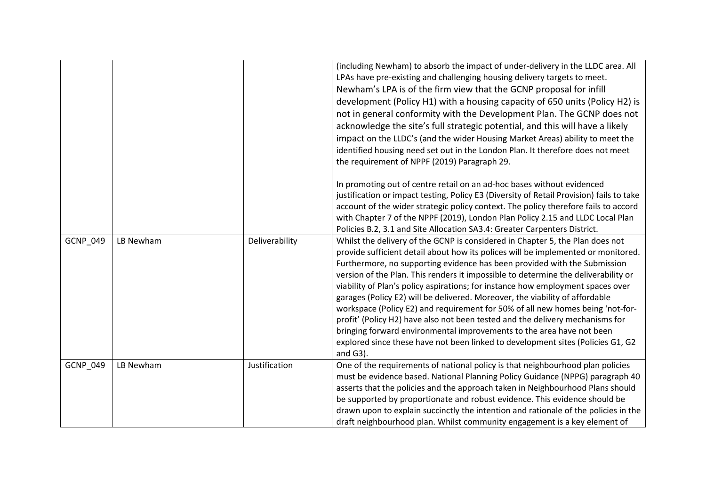|          |           |                | (including Newham) to absorb the impact of under-delivery in the LLDC area. All<br>LPAs have pre-existing and challenging housing delivery targets to meet.<br>Newham's LPA is of the firm view that the GCNP proposal for infill<br>development (Policy H1) with a housing capacity of 650 units (Policy H2) is<br>not in general conformity with the Development Plan. The GCNP does not<br>acknowledge the site's full strategic potential, and this will have a likely<br>impact on the LLDC's (and the wider Housing Market Areas) ability to meet the<br>identified housing need set out in the London Plan. It therefore does not meet<br>the requirement of NPPF (2019) Paragraph 29.                                                                                                                                                          |
|----------|-----------|----------------|--------------------------------------------------------------------------------------------------------------------------------------------------------------------------------------------------------------------------------------------------------------------------------------------------------------------------------------------------------------------------------------------------------------------------------------------------------------------------------------------------------------------------------------------------------------------------------------------------------------------------------------------------------------------------------------------------------------------------------------------------------------------------------------------------------------------------------------------------------|
|          |           |                | In promoting out of centre retail on an ad-hoc bases without evidenced<br>justification or impact testing, Policy E3 (Diversity of Retail Provision) fails to take<br>account of the wider strategic policy context. The policy therefore fails to accord<br>with Chapter 7 of the NPPF (2019), London Plan Policy 2.15 and LLDC Local Plan<br>Policies B.2, 3.1 and Site Allocation SA3.4: Greater Carpenters District.                                                                                                                                                                                                                                                                                                                                                                                                                               |
| GCNP_049 | LB Newham | Deliverability | Whilst the delivery of the GCNP is considered in Chapter 5, the Plan does not<br>provide sufficient detail about how its polices will be implemented or monitored.<br>Furthermore, no supporting evidence has been provided with the Submission<br>version of the Plan. This renders it impossible to determine the deliverability or<br>viability of Plan's policy aspirations; for instance how employment spaces over<br>garages (Policy E2) will be delivered. Moreover, the viability of affordable<br>workspace (Policy E2) and requirement for 50% of all new homes being 'not-for-<br>profit' (Policy H2) have also not been tested and the delivery mechanisms for<br>bringing forward environmental improvements to the area have not been<br>explored since these have not been linked to development sites (Policies G1, G2<br>and $G3$ ). |
| GCNP_049 | LB Newham | Justification  | One of the requirements of national policy is that neighbourhood plan policies<br>must be evidence based. National Planning Policy Guidance (NPPG) paragraph 40<br>asserts that the policies and the approach taken in Neighbourhood Plans should<br>be supported by proportionate and robust evidence. This evidence should be<br>drawn upon to explain succinctly the intention and rationale of the policies in the<br>draft neighbourhood plan. Whilst community engagement is a key element of                                                                                                                                                                                                                                                                                                                                                    |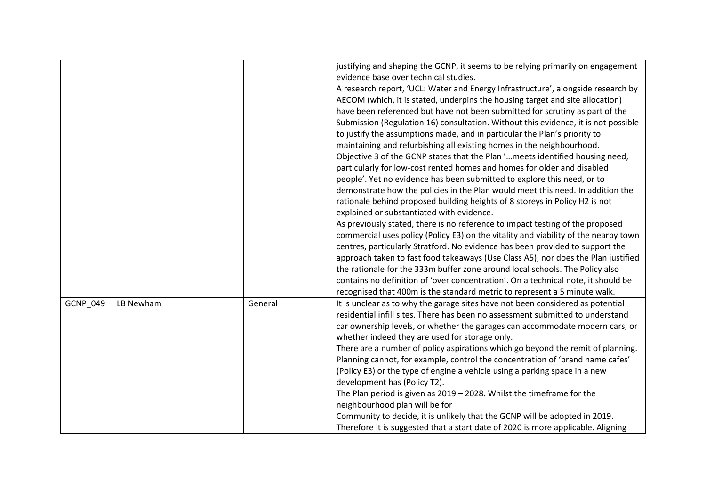|          |           |         | justifying and shaping the GCNP, it seems to be relying primarily on engagement<br>evidence base over technical studies.<br>A research report, 'UCL: Water and Energy Infrastructure', alongside research by<br>AECOM (which, it is stated, underpins the housing target and site allocation)<br>have been referenced but have not been submitted for scrutiny as part of the<br>Submission (Regulation 16) consultation. Without this evidence, it is not possible<br>to justify the assumptions made, and in particular the Plan's priority to<br>maintaining and refurbishing all existing homes in the neighbourhood.<br>Objective 3 of the GCNP states that the Plan ' meets identified housing need,<br>particularly for low-cost rented homes and homes for older and disabled<br>people'. Yet no evidence has been submitted to explore this need, or to<br>demonstrate how the policies in the Plan would meet this need. In addition the<br>rationale behind proposed building heights of 8 storeys in Policy H2 is not<br>explained or substantiated with evidence.<br>As previously stated, there is no reference to impact testing of the proposed<br>commercial uses policy (Policy E3) on the vitality and viability of the nearby town<br>centres, particularly Stratford. No evidence has been provided to support the<br>approach taken to fast food takeaways (Use Class A5), nor does the Plan justified<br>the rationale for the 333m buffer zone around local schools. The Policy also<br>contains no definition of 'over concentration'. On a technical note, it should be<br>recognised that 400m is the standard metric to represent a 5 minute walk. |
|----------|-----------|---------|--------------------------------------------------------------------------------------------------------------------------------------------------------------------------------------------------------------------------------------------------------------------------------------------------------------------------------------------------------------------------------------------------------------------------------------------------------------------------------------------------------------------------------------------------------------------------------------------------------------------------------------------------------------------------------------------------------------------------------------------------------------------------------------------------------------------------------------------------------------------------------------------------------------------------------------------------------------------------------------------------------------------------------------------------------------------------------------------------------------------------------------------------------------------------------------------------------------------------------------------------------------------------------------------------------------------------------------------------------------------------------------------------------------------------------------------------------------------------------------------------------------------------------------------------------------------------------------------------------------------------------------------------------------------------------|
| GCNP_049 | LB Newham | General | It is unclear as to why the garage sites have not been considered as potential<br>residential infill sites. There has been no assessment submitted to understand<br>car ownership levels, or whether the garages can accommodate modern cars, or<br>whether indeed they are used for storage only.<br>There are a number of policy aspirations which go beyond the remit of planning.<br>Planning cannot, for example, control the concentration of 'brand name cafes'<br>(Policy E3) or the type of engine a vehicle using a parking space in a new<br>development has (Policy T2).<br>The Plan period is given as $2019 - 2028$ . Whilst the timeframe for the<br>neighbourhood plan will be for<br>Community to decide, it is unlikely that the GCNP will be adopted in 2019.<br>Therefore it is suggested that a start date of 2020 is more applicable. Aligning                                                                                                                                                                                                                                                                                                                                                                                                                                                                                                                                                                                                                                                                                                                                                                                                           |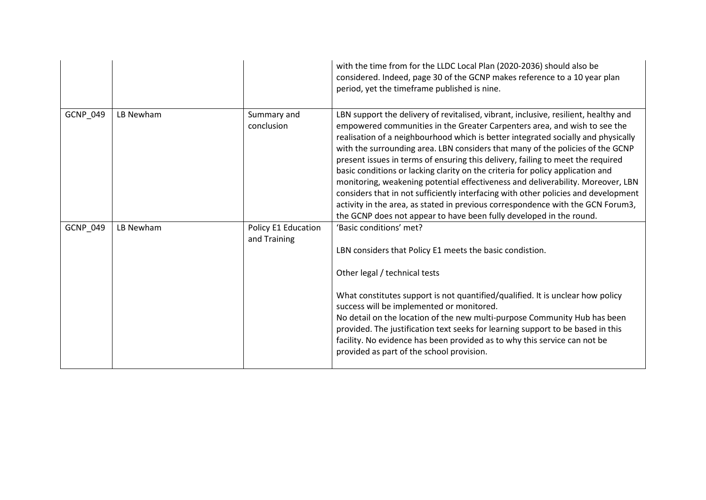|          |           |                                     | with the time from for the LLDC Local Plan (2020-2036) should also be<br>considered. Indeed, page 30 of the GCNP makes reference to a 10 year plan<br>period, yet the timeframe published is nine.                                                                                                                                                                                                                                                                                                                                                                                                                                                                                                                                                                                                                                              |
|----------|-----------|-------------------------------------|-------------------------------------------------------------------------------------------------------------------------------------------------------------------------------------------------------------------------------------------------------------------------------------------------------------------------------------------------------------------------------------------------------------------------------------------------------------------------------------------------------------------------------------------------------------------------------------------------------------------------------------------------------------------------------------------------------------------------------------------------------------------------------------------------------------------------------------------------|
| GCNP_049 | LB Newham | Summary and<br>conclusion           | LBN support the delivery of revitalised, vibrant, inclusive, resilient, healthy and<br>empowered communities in the Greater Carpenters area, and wish to see the<br>realisation of a neighbourhood which is better integrated socially and physically<br>with the surrounding area. LBN considers that many of the policies of the GCNP<br>present issues in terms of ensuring this delivery, failing to meet the required<br>basic conditions or lacking clarity on the criteria for policy application and<br>monitoring, weakening potential effectiveness and deliverability. Moreover, LBN<br>considers that in not sufficiently interfacing with other policies and development<br>activity in the area, as stated in previous correspondence with the GCN Forum3,<br>the GCNP does not appear to have been fully developed in the round. |
| GCNP_049 | LB Newham | Policy E1 Education<br>and Training | 'Basic conditions' met?<br>LBN considers that Policy E1 meets the basic condistion.<br>Other legal / technical tests<br>What constitutes support is not quantified/qualified. It is unclear how policy<br>success will be implemented or monitored.<br>No detail on the location of the new multi-purpose Community Hub has been<br>provided. The justification text seeks for learning support to be based in this<br>facility. No evidence has been provided as to why this service can not be<br>provided as part of the school provision.                                                                                                                                                                                                                                                                                                   |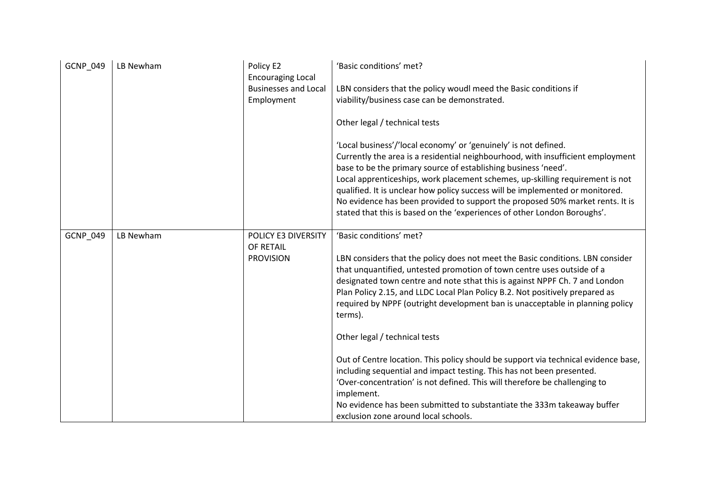| <b>GCNP 049</b> | LB Newham | Policy E2<br><b>Encouraging Local</b><br><b>Businesses and Local</b><br>Employment | 'Basic conditions' met?<br>LBN considers that the policy woudl meed the Basic conditions if<br>viability/business case can be demonstrated.<br>Other legal / technical tests<br>'Local business'/'local economy' or 'genuinely' is not defined.<br>Currently the area is a residential neighbourhood, with insufficient employment<br>base to be the primary source of establishing business 'need'.<br>Local apprenticeships, work placement schemes, up-skilling requirement is not<br>qualified. It is unclear how policy success will be implemented or monitored.<br>No evidence has been provided to support the proposed 50% market rents. It is<br>stated that this is based on the 'experiences of other London Boroughs'.                                                                                                                           |
|-----------------|-----------|------------------------------------------------------------------------------------|---------------------------------------------------------------------------------------------------------------------------------------------------------------------------------------------------------------------------------------------------------------------------------------------------------------------------------------------------------------------------------------------------------------------------------------------------------------------------------------------------------------------------------------------------------------------------------------------------------------------------------------------------------------------------------------------------------------------------------------------------------------------------------------------------------------------------------------------------------------|
| GCNP_049        | LB Newham | POLICY E3 DIVERSITY<br>OF RETAIL<br><b>PROVISION</b>                               | 'Basic conditions' met?<br>LBN considers that the policy does not meet the Basic conditions. LBN consider<br>that unquantified, untested promotion of town centre uses outside of a<br>designated town centre and note sthat this is against NPPF Ch. 7 and London<br>Plan Policy 2.15, and LLDC Local Plan Policy B.2. Not positively prepared as<br>required by NPPF (outright development ban is unacceptable in planning policy<br>terms).<br>Other legal / technical tests<br>Out of Centre location. This policy should be support via technical evidence base,<br>including sequential and impact testing. This has not been presented.<br>'Over-concentration' is not defined. This will therefore be challenging to<br>implement.<br>No evidence has been submitted to substantiate the 333m takeaway buffer<br>exclusion zone around local schools. |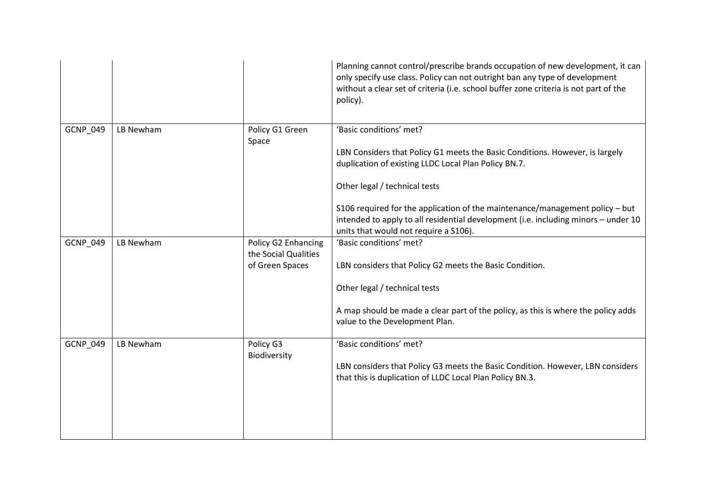|                 |           |                                                                | Planning cannot control/prescribe brands occupation of new development, it can<br>only specify use class. Policy can not outright ban any type of development<br>without a clear set of criteria (i.e. school buffer zone criteria is not part of the<br>policy). |
|-----------------|-----------|----------------------------------------------------------------|-------------------------------------------------------------------------------------------------------------------------------------------------------------------------------------------------------------------------------------------------------------------|
| <b>GCNP 049</b> | LB Newham | Policy G1 Green<br>Space                                       | 'Basic conditions' met?<br>LBN Considers that Policy G1 meets the Basic Conditions. However, is largely<br>duplication of existing LLDC Local Plan Policy BN.7.<br>Other legal / technical tests                                                                  |
|                 |           |                                                                | S106 required for the application of the maintenance/management policy - but<br>intended to apply to all residential development (i.e. including minors - under 10<br>units that would not require a S106).                                                       |
| GCNP_049        | LB Newham | Policy G2 Enhancing<br>the Social Qualities<br>of Green Spaces | 'Basic conditions' met?<br>LBN considers that Policy G2 meets the Basic Condition.<br>Other legal / technical tests<br>A map should be made a clear part of the policy, as this is where the policy adds<br>value to the Development Plan.                        |
| GCNP_049        | LB Newham | Policy G3<br>Biodiversity                                      | 'Basic conditions' met?<br>LBN considers that Policy G3 meets the Basic Condition. However, LBN considers<br>that this is duplication of LLDC Local Plan Policy BN.3.                                                                                             |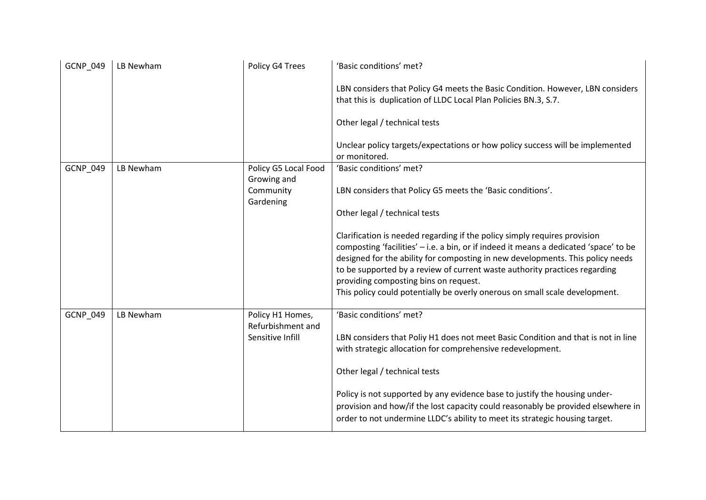| <b>GCNP 049</b> | LB Newham | Policy G4 Trees                       | 'Basic conditions' met?                                                                                                                                                                                                                                                                                                                                                                                                                                    |
|-----------------|-----------|---------------------------------------|------------------------------------------------------------------------------------------------------------------------------------------------------------------------------------------------------------------------------------------------------------------------------------------------------------------------------------------------------------------------------------------------------------------------------------------------------------|
|                 |           |                                       | LBN considers that Policy G4 meets the Basic Condition. However, LBN considers<br>that this is duplication of LLDC Local Plan Policies BN.3, S.7.                                                                                                                                                                                                                                                                                                          |
|                 |           |                                       | Other legal / technical tests                                                                                                                                                                                                                                                                                                                                                                                                                              |
|                 |           |                                       | Unclear policy targets/expectations or how policy success will be implemented<br>or monitored.                                                                                                                                                                                                                                                                                                                                                             |
| GCNP_049        | LB Newham | Policy G5 Local Food<br>Growing and   | 'Basic conditions' met?                                                                                                                                                                                                                                                                                                                                                                                                                                    |
|                 |           | Community<br>Gardening                | LBN considers that Policy G5 meets the 'Basic conditions'.                                                                                                                                                                                                                                                                                                                                                                                                 |
|                 |           |                                       | Other legal / technical tests                                                                                                                                                                                                                                                                                                                                                                                                                              |
|                 |           |                                       | Clarification is needed regarding if the policy simply requires provision<br>composting 'facilities' - i.e. a bin, or if indeed it means a dedicated 'space' to be<br>designed for the ability for composting in new developments. This policy needs<br>to be supported by a review of current waste authority practices regarding<br>providing composting bins on request.<br>This policy could potentially be overly onerous on small scale development. |
| <b>GCNP 049</b> | LB Newham | Policy H1 Homes,<br>Refurbishment and | 'Basic conditions' met?                                                                                                                                                                                                                                                                                                                                                                                                                                    |
|                 |           | Sensitive Infill                      | LBN considers that Poliy H1 does not meet Basic Condition and that is not in line<br>with strategic allocation for comprehensive redevelopment.                                                                                                                                                                                                                                                                                                            |
|                 |           |                                       | Other legal / technical tests                                                                                                                                                                                                                                                                                                                                                                                                                              |
|                 |           |                                       | Policy is not supported by any evidence base to justify the housing under-<br>provision and how/if the lost capacity could reasonably be provided elsewhere in<br>order to not undermine LLDC's ability to meet its strategic housing target.                                                                                                                                                                                                              |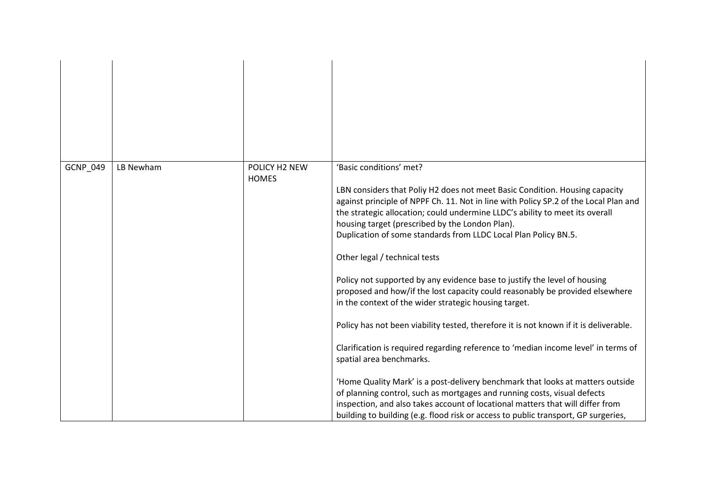| GCNP_049 | LB Newham | POLICY H2 NEW<br><b>HOMES</b> | 'Basic conditions' met?<br>LBN considers that Poliy H2 does not meet Basic Condition. Housing capacity<br>against principle of NPPF Ch. 11. Not in line with Policy SP.2 of the Local Plan and<br>the strategic allocation; could undermine LLDC's ability to meet its overall<br>housing target (prescribed by the London Plan).<br>Duplication of some standards from LLDC Local Plan Policy BN.5.<br>Other legal / technical tests                                                                                                                                                                                                                                                                                                                               |
|----------|-----------|-------------------------------|---------------------------------------------------------------------------------------------------------------------------------------------------------------------------------------------------------------------------------------------------------------------------------------------------------------------------------------------------------------------------------------------------------------------------------------------------------------------------------------------------------------------------------------------------------------------------------------------------------------------------------------------------------------------------------------------------------------------------------------------------------------------|
|          |           |                               | Policy not supported by any evidence base to justify the level of housing<br>proposed and how/if the lost capacity could reasonably be provided elsewhere<br>in the context of the wider strategic housing target.<br>Policy has not been viability tested, therefore it is not known if it is deliverable.<br>Clarification is required regarding reference to 'median income level' in terms of<br>spatial area benchmarks.<br>'Home Quality Mark' is a post-delivery benchmark that looks at matters outside<br>of planning control, such as mortgages and running costs, visual defects<br>inspection, and also takes account of locational matters that will differ from<br>building to building (e.g. flood risk or access to public transport, GP surgeries, |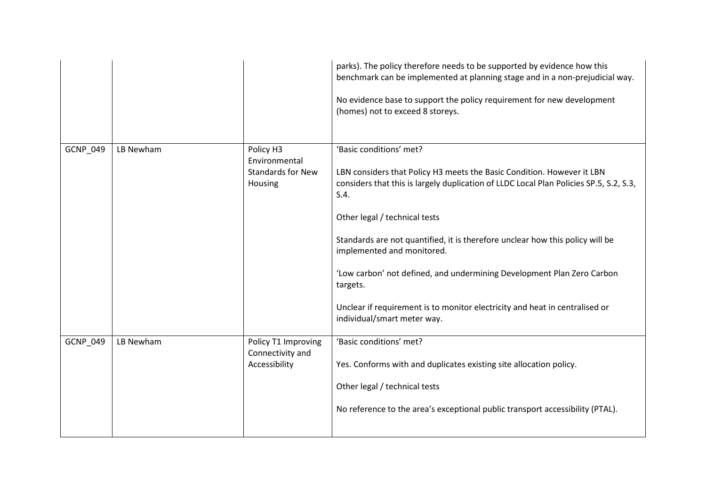|          |           |                                                                   | parks). The policy therefore needs to be supported by evidence how this<br>benchmark can be implemented at planning stage and in a non-prejudicial way.<br>No evidence base to support the policy requirement for new development<br>(homes) not to exceed 8 storeys.                                                                                                                                                                                                                                                                                   |
|----------|-----------|-------------------------------------------------------------------|---------------------------------------------------------------------------------------------------------------------------------------------------------------------------------------------------------------------------------------------------------------------------------------------------------------------------------------------------------------------------------------------------------------------------------------------------------------------------------------------------------------------------------------------------------|
| GCNP_049 | LB Newham | Policy H3<br>Environmental<br><b>Standards for New</b><br>Housing | 'Basic conditions' met?<br>LBN considers that Policy H3 meets the Basic Condition. However it LBN<br>considers that this is largely duplication of LLDC Local Plan Policies SP.5, S.2, S.3,<br>S.4.<br>Other legal / technical tests<br>Standards are not quantified, it is therefore unclear how this policy will be<br>implemented and monitored.<br>'Low carbon' not defined, and undermining Development Plan Zero Carbon<br>targets.<br>Unclear if requirement is to monitor electricity and heat in centralised or<br>individual/smart meter way. |
| GCNP_049 | LB Newham | Policy T1 Improving<br>Connectivity and<br>Accessibility          | 'Basic conditions' met?<br>Yes. Conforms with and duplicates existing site allocation policy.<br>Other legal / technical tests<br>No reference to the area's exceptional public transport accessibility (PTAL).                                                                                                                                                                                                                                                                                                                                         |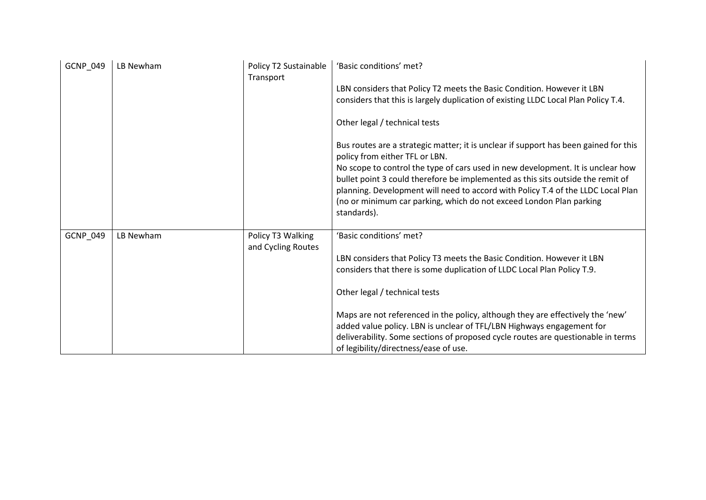| GCNP_049 | LB Newham | Policy T2 Sustainable<br>Transport      | 'Basic conditions' met?                                                                                                                                                                                                                                                                                                                                                                                                                                                                               |
|----------|-----------|-----------------------------------------|-------------------------------------------------------------------------------------------------------------------------------------------------------------------------------------------------------------------------------------------------------------------------------------------------------------------------------------------------------------------------------------------------------------------------------------------------------------------------------------------------------|
|          |           |                                         | LBN considers that Policy T2 meets the Basic Condition. However it LBN<br>considers that this is largely duplication of existing LLDC Local Plan Policy T.4.                                                                                                                                                                                                                                                                                                                                          |
|          |           |                                         | Other legal / technical tests                                                                                                                                                                                                                                                                                                                                                                                                                                                                         |
|          |           |                                         | Bus routes are a strategic matter; it is unclear if support has been gained for this<br>policy from either TFL or LBN.<br>No scope to control the type of cars used in new development. It is unclear how<br>bullet point 3 could therefore be implemented as this sits outside the remit of<br>planning. Development will need to accord with Policy T.4 of the LLDC Local Plan<br>(no or minimum car parking, which do not exceed London Plan parking<br>standards).                                |
| GCNP_049 | LB Newham | Policy T3 Walking<br>and Cycling Routes | 'Basic conditions' met?<br>LBN considers that Policy T3 meets the Basic Condition. However it LBN<br>considers that there is some duplication of LLDC Local Plan Policy T.9.<br>Other legal / technical tests<br>Maps are not referenced in the policy, although they are effectively the 'new'<br>added value policy. LBN is unclear of TFL/LBN Highways engagement for<br>deliverability. Some sections of proposed cycle routes are questionable in terms<br>of legibility/directness/ease of use. |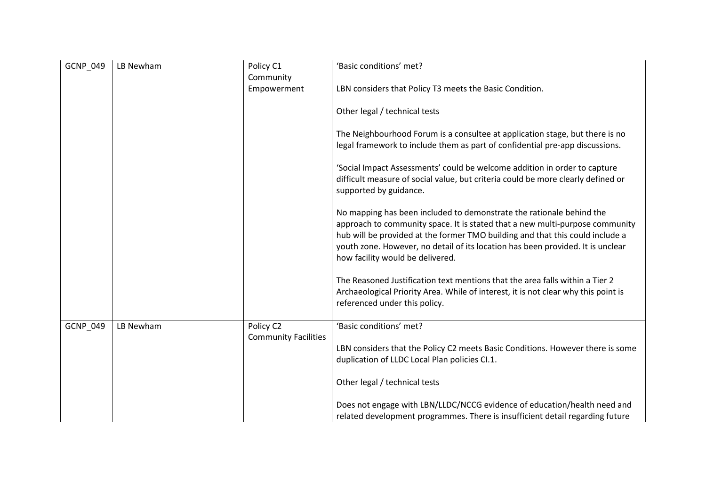| <b>GCNP 049</b> | LB Newham | Policy C1<br>Community                   | 'Basic conditions' met?                                                                                                                                                                                                                                                                                                                                      |
|-----------------|-----------|------------------------------------------|--------------------------------------------------------------------------------------------------------------------------------------------------------------------------------------------------------------------------------------------------------------------------------------------------------------------------------------------------------------|
|                 |           | Empowerment                              | LBN considers that Policy T3 meets the Basic Condition.                                                                                                                                                                                                                                                                                                      |
|                 |           |                                          | Other legal / technical tests                                                                                                                                                                                                                                                                                                                                |
|                 |           |                                          | The Neighbourhood Forum is a consultee at application stage, but there is no<br>legal framework to include them as part of confidential pre-app discussions.                                                                                                                                                                                                 |
|                 |           |                                          | 'Social Impact Assessments' could be welcome addition in order to capture<br>difficult measure of social value, but criteria could be more clearly defined or<br>supported by guidance.                                                                                                                                                                      |
|                 |           |                                          | No mapping has been included to demonstrate the rationale behind the<br>approach to community space. It is stated that a new multi-purpose community<br>hub will be provided at the former TMO building and that this could include a<br>youth zone. However, no detail of its location has been provided. It is unclear<br>how facility would be delivered. |
|                 |           |                                          | The Reasoned Justification text mentions that the area falls within a Tier 2<br>Archaeological Priority Area. While of interest, it is not clear why this point is<br>referenced under this policy.                                                                                                                                                          |
| GCNP_049        | LB Newham | Policy C2<br><b>Community Facilities</b> | 'Basic conditions' met?                                                                                                                                                                                                                                                                                                                                      |
|                 |           |                                          | LBN considers that the Policy C2 meets Basic Conditions. However there is some<br>duplication of LLDC Local Plan policies Cl.1.                                                                                                                                                                                                                              |
|                 |           |                                          | Other legal / technical tests                                                                                                                                                                                                                                                                                                                                |
|                 |           |                                          | Does not engage with LBN/LLDC/NCCG evidence of education/health need and<br>related development programmes. There is insufficient detail regarding future                                                                                                                                                                                                    |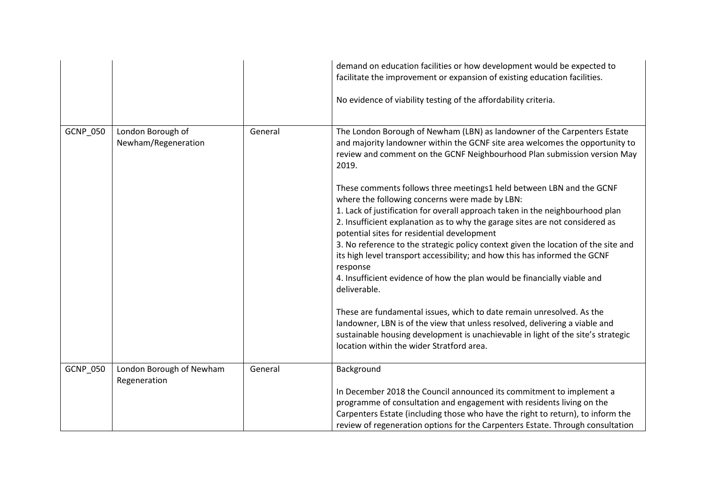|          |                                          |         | demand on education facilities or how development would be expected to<br>facilitate the improvement or expansion of existing education facilities.<br>No evidence of viability testing of the affordability criteria.                                                                                                                                                                                                                                                                                                                                                                                                                                                                                                                                                                                                                                                                                                                                                                                                                                                                                          |
|----------|------------------------------------------|---------|-----------------------------------------------------------------------------------------------------------------------------------------------------------------------------------------------------------------------------------------------------------------------------------------------------------------------------------------------------------------------------------------------------------------------------------------------------------------------------------------------------------------------------------------------------------------------------------------------------------------------------------------------------------------------------------------------------------------------------------------------------------------------------------------------------------------------------------------------------------------------------------------------------------------------------------------------------------------------------------------------------------------------------------------------------------------------------------------------------------------|
| GCNP_050 | London Borough of<br>Newham/Regeneration | General | The London Borough of Newham (LBN) as landowner of the Carpenters Estate<br>and majority landowner within the GCNF site area welcomes the opportunity to<br>review and comment on the GCNF Neighbourhood Plan submission version May<br>2019.<br>These comments follows three meetings1 held between LBN and the GCNF<br>where the following concerns were made by LBN:<br>1. Lack of justification for overall approach taken in the neighbourhood plan<br>2. Insufficient explanation as to why the garage sites are not considered as<br>potential sites for residential development<br>3. No reference to the strategic policy context given the location of the site and<br>its high level transport accessibility; and how this has informed the GCNF<br>response<br>4. Insufficient evidence of how the plan would be financially viable and<br>deliverable.<br>These are fundamental issues, which to date remain unresolved. As the<br>landowner, LBN is of the view that unless resolved, delivering a viable and<br>sustainable housing development is unachievable in light of the site's strategic |
|          |                                          |         | location within the wider Stratford area.                                                                                                                                                                                                                                                                                                                                                                                                                                                                                                                                                                                                                                                                                                                                                                                                                                                                                                                                                                                                                                                                       |
| GCNP_050 | London Borough of Newham<br>Regeneration | General | Background<br>In December 2018 the Council announced its commitment to implement a<br>programme of consultation and engagement with residents living on the                                                                                                                                                                                                                                                                                                                                                                                                                                                                                                                                                                                                                                                                                                                                                                                                                                                                                                                                                     |
|          |                                          |         | Carpenters Estate (including those who have the right to return), to inform the<br>review of regeneration options for the Carpenters Estate. Through consultation                                                                                                                                                                                                                                                                                                                                                                                                                                                                                                                                                                                                                                                                                                                                                                                                                                                                                                                                               |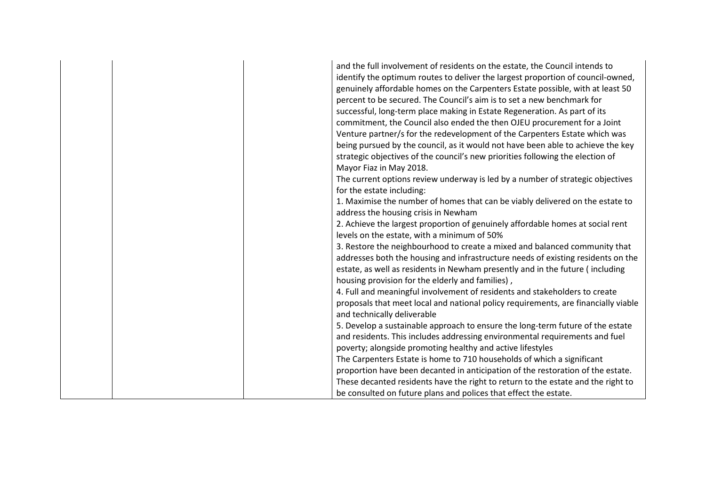|  | and the full involvement of residents on the estate, the Council intends to<br>identify the optimum routes to deliver the largest proportion of council-owned,<br>genuinely affordable homes on the Carpenters Estate possible, with at least 50<br>percent to be secured. The Council's aim is to set a new benchmark for<br>successful, long-term place making in Estate Regeneration. As part of its<br>commitment, the Council also ended the then OJEU procurement for a Joint<br>Venture partner/s for the redevelopment of the Carpenters Estate which was<br>being pursued by the council, as it would not have been able to achieve the key<br>strategic objectives of the council's new priorities following the election of<br>Mayor Fiaz in May 2018.<br>The current options review underway is led by a number of strategic objectives<br>for the estate including:<br>1. Maximise the number of homes that can be viably delivered on the estate to<br>address the housing crisis in Newham<br>2. Achieve the largest proportion of genuinely affordable homes at social rent<br>levels on the estate, with a minimum of 50%<br>3. Restore the neighbourhood to create a mixed and balanced community that<br>addresses both the housing and infrastructure needs of existing residents on the<br>estate, as well as residents in Newham presently and in the future (including<br>housing provision for the elderly and families),<br>4. Full and meaningful involvement of residents and stakeholders to create<br>proposals that meet local and national policy requirements, are financially viable<br>and technically deliverable<br>5. Develop a sustainable approach to ensure the long-term future of the estate<br>and residents. This includes addressing environmental requirements and fuel |
|--|-----------------------------------------------------------------------------------------------------------------------------------------------------------------------------------------------------------------------------------------------------------------------------------------------------------------------------------------------------------------------------------------------------------------------------------------------------------------------------------------------------------------------------------------------------------------------------------------------------------------------------------------------------------------------------------------------------------------------------------------------------------------------------------------------------------------------------------------------------------------------------------------------------------------------------------------------------------------------------------------------------------------------------------------------------------------------------------------------------------------------------------------------------------------------------------------------------------------------------------------------------------------------------------------------------------------------------------------------------------------------------------------------------------------------------------------------------------------------------------------------------------------------------------------------------------------------------------------------------------------------------------------------------------------------------------------------------------------------------------------------------------------------------------------------------------------------|
|  |                                                                                                                                                                                                                                                                                                                                                                                                                                                                                                                                                                                                                                                                                                                                                                                                                                                                                                                                                                                                                                                                                                                                                                                                                                                                                                                                                                                                                                                                                                                                                                                                                                                                                                                                                                                                                       |
|  | poverty; alongside promoting healthy and active lifestyles                                                                                                                                                                                                                                                                                                                                                                                                                                                                                                                                                                                                                                                                                                                                                                                                                                                                                                                                                                                                                                                                                                                                                                                                                                                                                                                                                                                                                                                                                                                                                                                                                                                                                                                                                            |
|  | The Carpenters Estate is home to 710 households of which a significant                                                                                                                                                                                                                                                                                                                                                                                                                                                                                                                                                                                                                                                                                                                                                                                                                                                                                                                                                                                                                                                                                                                                                                                                                                                                                                                                                                                                                                                                                                                                                                                                                                                                                                                                                |
|  | proportion have been decanted in anticipation of the restoration of the estate.                                                                                                                                                                                                                                                                                                                                                                                                                                                                                                                                                                                                                                                                                                                                                                                                                                                                                                                                                                                                                                                                                                                                                                                                                                                                                                                                                                                                                                                                                                                                                                                                                                                                                                                                       |
|  | These decanted residents have the right to return to the estate and the right to                                                                                                                                                                                                                                                                                                                                                                                                                                                                                                                                                                                                                                                                                                                                                                                                                                                                                                                                                                                                                                                                                                                                                                                                                                                                                                                                                                                                                                                                                                                                                                                                                                                                                                                                      |
|  | be consulted on future plans and polices that effect the estate.                                                                                                                                                                                                                                                                                                                                                                                                                                                                                                                                                                                                                                                                                                                                                                                                                                                                                                                                                                                                                                                                                                                                                                                                                                                                                                                                                                                                                                                                                                                                                                                                                                                                                                                                                      |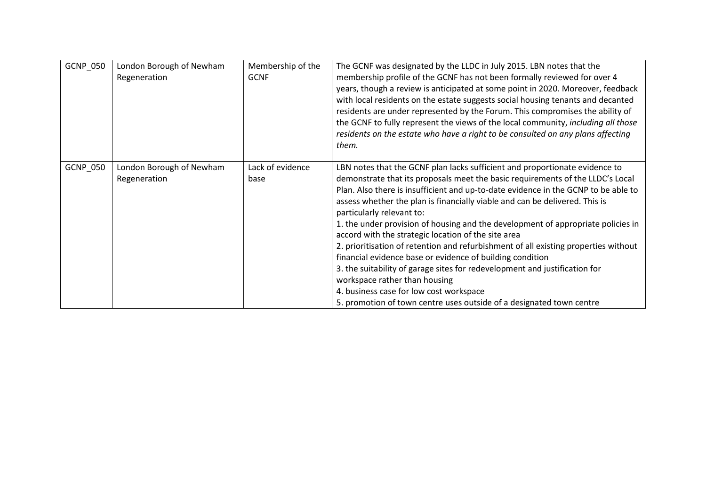| <b>GCNP 050</b> | London Borough of Newham<br>Regeneration | Membership of the<br><b>GCNF</b> | The GCNF was designated by the LLDC in July 2015. LBN notes that the<br>membership profile of the GCNF has not been formally reviewed for over 4<br>years, though a review is anticipated at some point in 2020. Moreover, feedback<br>with local residents on the estate suggests social housing tenants and decanted<br>residents are under represented by the Forum. This compromises the ability of<br>the GCNF to fully represent the views of the local community, including all those<br>residents on the estate who have a right to be consulted on any plans affecting<br>them.                                                                                                                                                                                                                                                                                                         |
|-----------------|------------------------------------------|----------------------------------|--------------------------------------------------------------------------------------------------------------------------------------------------------------------------------------------------------------------------------------------------------------------------------------------------------------------------------------------------------------------------------------------------------------------------------------------------------------------------------------------------------------------------------------------------------------------------------------------------------------------------------------------------------------------------------------------------------------------------------------------------------------------------------------------------------------------------------------------------------------------------------------------------|
| GCNP_050        | London Borough of Newham<br>Regeneration | Lack of evidence<br>base         | LBN notes that the GCNF plan lacks sufficient and proportionate evidence to<br>demonstrate that its proposals meet the basic requirements of the LLDC's Local<br>Plan. Also there is insufficient and up-to-date evidence in the GCNP to be able to<br>assess whether the plan is financially viable and can be delivered. This is<br>particularly relevant to:<br>1. the under provision of housing and the development of appropriate policies in<br>accord with the strategic location of the site area<br>2. prioritisation of retention and refurbishment of all existing properties without<br>financial evidence base or evidence of building condition<br>3. the suitability of garage sites for redevelopment and justification for<br>workspace rather than housing<br>4. business case for low cost workspace<br>5. promotion of town centre uses outside of a designated town centre |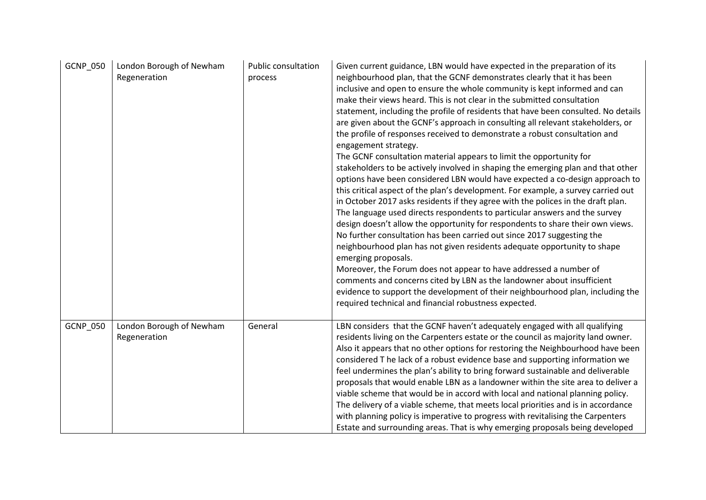| GCNP_050 | London Borough of Newham<br>Regeneration | <b>Public consultation</b><br>process | Given current guidance, LBN would have expected in the preparation of its<br>neighbourhood plan, that the GCNF demonstrates clearly that it has been<br>inclusive and open to ensure the whole community is kept informed and can<br>make their views heard. This is not clear in the submitted consultation<br>statement, including the profile of residents that have been consulted. No details<br>are given about the GCNF's approach in consulting all relevant stakeholders, or<br>the profile of responses received to demonstrate a robust consultation and<br>engagement strategy.<br>The GCNF consultation material appears to limit the opportunity for<br>stakeholders to be actively involved in shaping the emerging plan and that other<br>options have been considered LBN would have expected a co-design approach to<br>this critical aspect of the plan's development. For example, a survey carried out<br>in October 2017 asks residents if they agree with the polices in the draft plan.<br>The language used directs respondents to particular answers and the survey<br>design doesn't allow the opportunity for respondents to share their own views.<br>No further consultation has been carried out since 2017 suggesting the<br>neighbourhood plan has not given residents adequate opportunity to shape<br>emerging proposals.<br>Moreover, the Forum does not appear to have addressed a number of<br>comments and concerns cited by LBN as the landowner about insufficient<br>evidence to support the development of their neighbourhood plan, including the<br>required technical and financial robustness expected. |
|----------|------------------------------------------|---------------------------------------|--------------------------------------------------------------------------------------------------------------------------------------------------------------------------------------------------------------------------------------------------------------------------------------------------------------------------------------------------------------------------------------------------------------------------------------------------------------------------------------------------------------------------------------------------------------------------------------------------------------------------------------------------------------------------------------------------------------------------------------------------------------------------------------------------------------------------------------------------------------------------------------------------------------------------------------------------------------------------------------------------------------------------------------------------------------------------------------------------------------------------------------------------------------------------------------------------------------------------------------------------------------------------------------------------------------------------------------------------------------------------------------------------------------------------------------------------------------------------------------------------------------------------------------------------------------------------------------------------------------------------------------------------------|
| GCNP_050 | London Borough of Newham<br>Regeneration | General                               | LBN considers that the GCNF haven't adequately engaged with all qualifying<br>residents living on the Carpenters estate or the council as majority land owner.<br>Also it appears that no other options for restoring the Neighbourhood have been<br>considered T he lack of a robust evidence base and supporting information we<br>feel undermines the plan's ability to bring forward sustainable and deliverable<br>proposals that would enable LBN as a landowner within the site area to deliver a<br>viable scheme that would be in accord with local and national planning policy.<br>The delivery of a viable scheme, that meets local priorities and is in accordance<br>with planning policy is imperative to progress with revitalising the Carpenters<br>Estate and surrounding areas. That is why emerging proposals being developed                                                                                                                                                                                                                                                                                                                                                                                                                                                                                                                                                                                                                                                                                                                                                                                                     |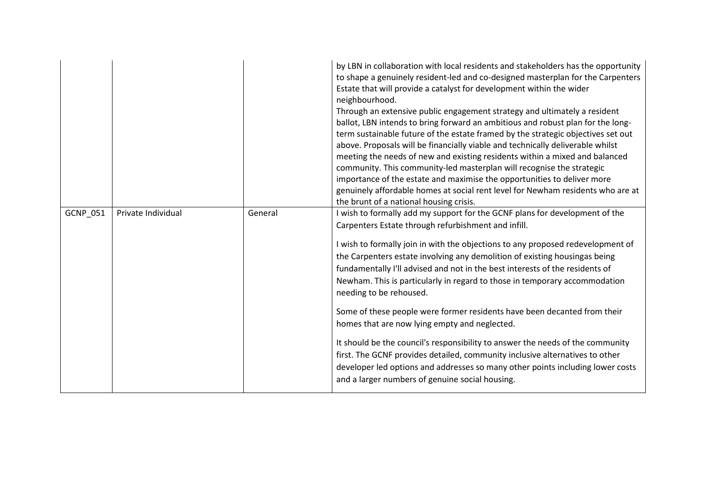|                 |                    |         | by LBN in collaboration with local residents and stakeholders has the opportunity<br>to shape a genuinely resident-led and co-designed masterplan for the Carpenters<br>Estate that will provide a catalyst for development within the wider<br>neighbourhood.<br>Through an extensive public engagement strategy and ultimately a resident<br>ballot, LBN intends to bring forward an ambitious and robust plan for the long-<br>term sustainable future of the estate framed by the strategic objectives set out<br>above. Proposals will be financially viable and technically deliverable whilst<br>meeting the needs of new and existing residents within a mixed and balanced<br>community. This community-led masterplan will recognise the strategic<br>importance of the estate and maximise the opportunities to deliver more<br>genuinely affordable homes at social rent level for Newham residents who are at<br>the brunt of a national housing crisis. |
|-----------------|--------------------|---------|-----------------------------------------------------------------------------------------------------------------------------------------------------------------------------------------------------------------------------------------------------------------------------------------------------------------------------------------------------------------------------------------------------------------------------------------------------------------------------------------------------------------------------------------------------------------------------------------------------------------------------------------------------------------------------------------------------------------------------------------------------------------------------------------------------------------------------------------------------------------------------------------------------------------------------------------------------------------------|
| <b>GCNP 051</b> | Private Individual | General | I wish to formally add my support for the GCNF plans for development of the<br>Carpenters Estate through refurbishment and infill.<br>I wish to formally join in with the objections to any proposed redevelopment of<br>the Carpenters estate involving any demolition of existing housingas being<br>fundamentally I'll advised and not in the best interests of the residents of<br>Newham. This is particularly in regard to those in temporary accommodation<br>needing to be rehoused.<br>Some of these people were former residents have been decanted from their<br>homes that are now lying empty and neglected.<br>It should be the council's responsibility to answer the needs of the community<br>first. The GCNF provides detailed, community inclusive alternatives to other<br>developer led options and addresses so many other points including lower costs<br>and a larger numbers of genuine social housing.                                      |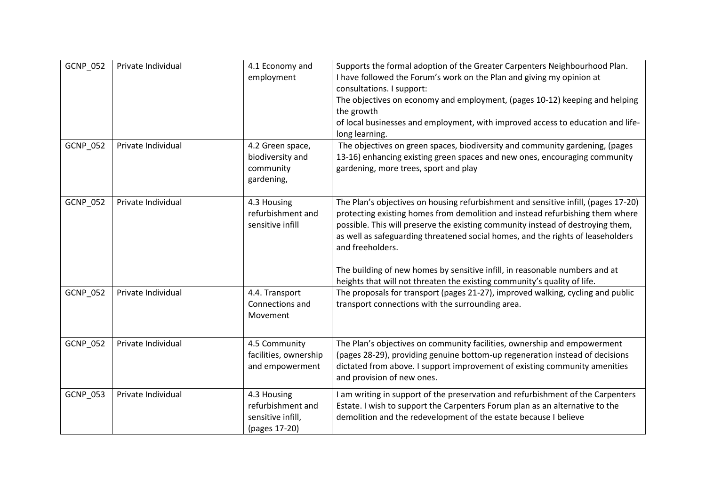| GCNP_052        | Private Individual | 4.1 Economy and<br>employment                                          | Supports the formal adoption of the Greater Carpenters Neighbourhood Plan.<br>I have followed the Forum's work on the Plan and giving my opinion at<br>consultations. I support:<br>The objectives on economy and employment, (pages 10-12) keeping and helping<br>the growth<br>of local businesses and employment, with improved access to education and life-<br>long learning.                                                                                                                                       |
|-----------------|--------------------|------------------------------------------------------------------------|--------------------------------------------------------------------------------------------------------------------------------------------------------------------------------------------------------------------------------------------------------------------------------------------------------------------------------------------------------------------------------------------------------------------------------------------------------------------------------------------------------------------------|
| GCNP_052        | Private Individual | 4.2 Green space,<br>biodiversity and<br>community<br>gardening,        | The objectives on green spaces, biodiversity and community gardening, (pages<br>13-16) enhancing existing green spaces and new ones, encouraging community<br>gardening, more trees, sport and play                                                                                                                                                                                                                                                                                                                      |
| GCNP_052        | Private Individual | 4.3 Housing<br>refurbishment and<br>sensitive infill                   | The Plan's objectives on housing refurbishment and sensitive infill, (pages 17-20)<br>protecting existing homes from demolition and instead refurbishing them where<br>possible. This will preserve the existing community instead of destroying them,<br>as well as safeguarding threatened social homes, and the rights of leaseholders<br>and freeholders.<br>The building of new homes by sensitive infill, in reasonable numbers and at<br>heights that will not threaten the existing community's quality of life. |
| GCNP_052        | Private Individual | 4.4. Transport<br>Connections and<br>Movement                          | The proposals for transport (pages 21-27), improved walking, cycling and public<br>transport connections with the surrounding area.                                                                                                                                                                                                                                                                                                                                                                                      |
| <b>GCNP 052</b> | Private Individual | 4.5 Community<br>facilities, ownership<br>and empowerment              | The Plan's objectives on community facilities, ownership and empowerment<br>(pages 28-29), providing genuine bottom-up regeneration instead of decisions<br>dictated from above. I support improvement of existing community amenities<br>and provision of new ones.                                                                                                                                                                                                                                                     |
| GCNP_053        | Private Individual | 4.3 Housing<br>refurbishment and<br>sensitive infill,<br>(pages 17-20) | I am writing in support of the preservation and refurbishment of the Carpenters<br>Estate. I wish to support the Carpenters Forum plan as an alternative to the<br>demolition and the redevelopment of the estate because I believe                                                                                                                                                                                                                                                                                      |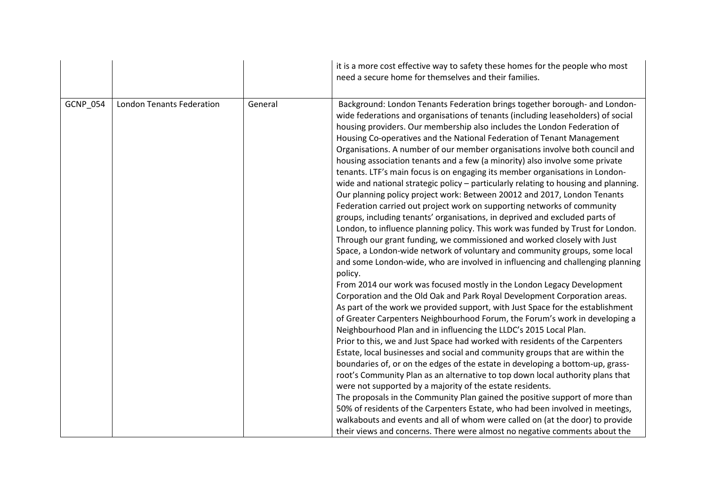|                 |                                  |         | it is a more cost effective way to safety these homes for the people who most<br>need a secure home for themselves and their families.                                                                                                                                                                                                                                                                                                                                                                                                                                                                                                                                                                                                                                                                                                                                                                                                                                                                                                                                                                                                                                                                                                                                                                                                                                                                                                                                                                                                                                                                                                                                                                                                                                                                                                                                                                                                                                                                                                                                                                                                                                                                                                                                                                                                                                   |
|-----------------|----------------------------------|---------|--------------------------------------------------------------------------------------------------------------------------------------------------------------------------------------------------------------------------------------------------------------------------------------------------------------------------------------------------------------------------------------------------------------------------------------------------------------------------------------------------------------------------------------------------------------------------------------------------------------------------------------------------------------------------------------------------------------------------------------------------------------------------------------------------------------------------------------------------------------------------------------------------------------------------------------------------------------------------------------------------------------------------------------------------------------------------------------------------------------------------------------------------------------------------------------------------------------------------------------------------------------------------------------------------------------------------------------------------------------------------------------------------------------------------------------------------------------------------------------------------------------------------------------------------------------------------------------------------------------------------------------------------------------------------------------------------------------------------------------------------------------------------------------------------------------------------------------------------------------------------------------------------------------------------------------------------------------------------------------------------------------------------------------------------------------------------------------------------------------------------------------------------------------------------------------------------------------------------------------------------------------------------------------------------------------------------------------------------------------------------|
| <b>GCNP_054</b> | <b>London Tenants Federation</b> | General | Background: London Tenants Federation brings together borough- and London-<br>wide federations and organisations of tenants (including leaseholders) of social<br>housing providers. Our membership also includes the London Federation of<br>Housing Co-operatives and the National Federation of Tenant Management<br>Organisations. A number of our member organisations involve both council and<br>housing association tenants and a few (a minority) also involve some private<br>tenants. LTF's main focus is on engaging its member organisations in London-<br>wide and national strategic policy - particularly relating to housing and planning.<br>Our planning policy project work: Between 20012 and 2017, London Tenants<br>Federation carried out project work on supporting networks of community<br>groups, including tenants' organisations, in deprived and excluded parts of<br>London, to influence planning policy. This work was funded by Trust for London.<br>Through our grant funding, we commissioned and worked closely with Just<br>Space, a London-wide network of voluntary and community groups, some local<br>and some London-wide, who are involved in influencing and challenging planning<br>policy.<br>From 2014 our work was focused mostly in the London Legacy Development<br>Corporation and the Old Oak and Park Royal Development Corporation areas.<br>As part of the work we provided support, with Just Space for the establishment<br>of Greater Carpenters Neighbourhood Forum, the Forum's work in developing a<br>Neighbourhood Plan and in influencing the LLDC's 2015 Local Plan.<br>Prior to this, we and Just Space had worked with residents of the Carpenters<br>Estate, local businesses and social and community groups that are within the<br>boundaries of, or on the edges of the estate in developing a bottom-up, grass-<br>root's Community Plan as an alternative to top down local authority plans that<br>were not supported by a majority of the estate residents.<br>The proposals in the Community Plan gained the positive support of more than<br>50% of residents of the Carpenters Estate, who had been involved in meetings,<br>walkabouts and events and all of whom were called on (at the door) to provide<br>their views and concerns. There were almost no negative comments about the |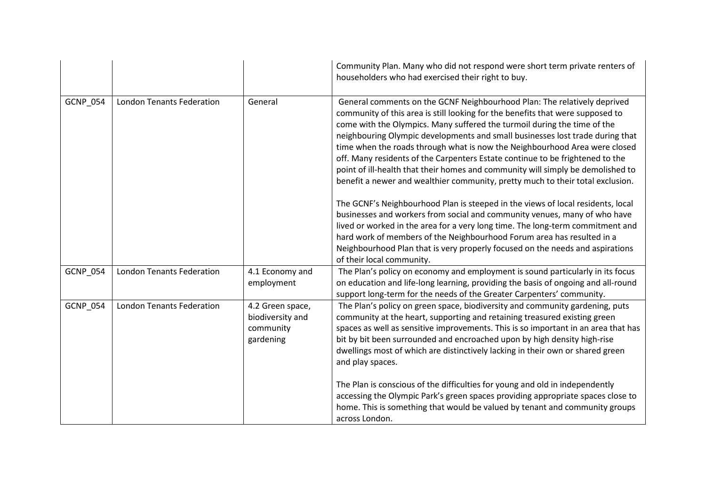|          |                                  |                                                                | Community Plan. Many who did not respond were short term private renters of<br>householders who had exercised their right to buy.                                                                                                                                                                                                                                                                                                                                                                                                                                                                                                                                                                                                              |
|----------|----------------------------------|----------------------------------------------------------------|------------------------------------------------------------------------------------------------------------------------------------------------------------------------------------------------------------------------------------------------------------------------------------------------------------------------------------------------------------------------------------------------------------------------------------------------------------------------------------------------------------------------------------------------------------------------------------------------------------------------------------------------------------------------------------------------------------------------------------------------|
| GCNP_054 | <b>London Tenants Federation</b> | General                                                        | General comments on the GCNF Neighbourhood Plan: The relatively deprived<br>community of this area is still looking for the benefits that were supposed to<br>come with the Olympics. Many suffered the turmoil during the time of the<br>neighbouring Olympic developments and small businesses lost trade during that<br>time when the roads through what is now the Neighbourhood Area were closed<br>off. Many residents of the Carpenters Estate continue to be frightened to the<br>point of ill-health that their homes and community will simply be demolished to<br>benefit a newer and wealthier community, pretty much to their total exclusion.<br>The GCNF's Neighbourhood Plan is steeped in the views of local residents, local |
|          |                                  |                                                                | businesses and workers from social and community venues, many of who have<br>lived or worked in the area for a very long time. The long-term commitment and<br>hard work of members of the Neighbourhood Forum area has resulted in a<br>Neighbourhood Plan that is very properly focused on the needs and aspirations                                                                                                                                                                                                                                                                                                                                                                                                                         |
|          |                                  |                                                                | of their local community.                                                                                                                                                                                                                                                                                                                                                                                                                                                                                                                                                                                                                                                                                                                      |
| GCNP_054 | <b>London Tenants Federation</b> | 4.1 Economy and<br>employment                                  | The Plan's policy on economy and employment is sound particularly in its focus<br>on education and life-long learning, providing the basis of ongoing and all-round<br>support long-term for the needs of the Greater Carpenters' community.                                                                                                                                                                                                                                                                                                                                                                                                                                                                                                   |
| GCNP_054 | <b>London Tenants Federation</b> | 4.2 Green space,<br>biodiversity and<br>community<br>gardening | The Plan's policy on green space, biodiversity and community gardening, puts<br>community at the heart, supporting and retaining treasured existing green<br>spaces as well as sensitive improvements. This is so important in an area that has<br>bit by bit been surrounded and encroached upon by high density high-rise<br>dwellings most of which are distinctively lacking in their own or shared green<br>and play spaces.                                                                                                                                                                                                                                                                                                              |
|          |                                  |                                                                | The Plan is conscious of the difficulties for young and old in independently<br>accessing the Olympic Park's green spaces providing appropriate spaces close to<br>home. This is something that would be valued by tenant and community groups<br>across London.                                                                                                                                                                                                                                                                                                                                                                                                                                                                               |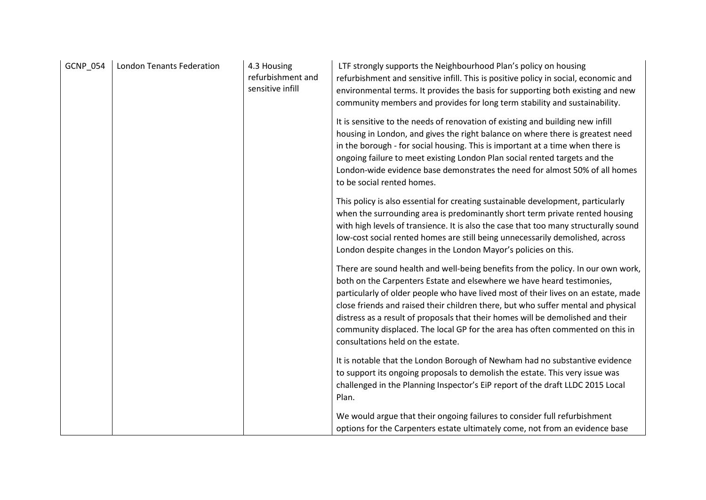| GCNP_054 | <b>London Tenants Federation</b> | 4.3 Housing<br>refurbishment and<br>sensitive infill | LTF strongly supports the Neighbourhood Plan's policy on housing<br>refurbishment and sensitive infill. This is positive policy in social, economic and<br>environmental terms. It provides the basis for supporting both existing and new<br>community members and provides for long term stability and sustainability.                                                                                                                                                                                                                       |
|----------|----------------------------------|------------------------------------------------------|------------------------------------------------------------------------------------------------------------------------------------------------------------------------------------------------------------------------------------------------------------------------------------------------------------------------------------------------------------------------------------------------------------------------------------------------------------------------------------------------------------------------------------------------|
|          |                                  |                                                      | It is sensitive to the needs of renovation of existing and building new infill<br>housing in London, and gives the right balance on where there is greatest need<br>in the borough - for social housing. This is important at a time when there is<br>ongoing failure to meet existing London Plan social rented targets and the<br>London-wide evidence base demonstrates the need for almost 50% of all homes<br>to be social rented homes.                                                                                                  |
|          |                                  |                                                      | This policy is also essential for creating sustainable development, particularly<br>when the surrounding area is predominantly short term private rented housing<br>with high levels of transience. It is also the case that too many structurally sound<br>low-cost social rented homes are still being unnecessarily demolished, across<br>London despite changes in the London Mayor's policies on this.                                                                                                                                    |
|          |                                  |                                                      | There are sound health and well-being benefits from the policy. In our own work,<br>both on the Carpenters Estate and elsewhere we have heard testimonies,<br>particularly of older people who have lived most of their lives on an estate, made<br>close friends and raised their children there, but who suffer mental and physical<br>distress as a result of proposals that their homes will be demolished and their<br>community displaced. The local GP for the area has often commented on this in<br>consultations held on the estate. |
|          |                                  |                                                      | It is notable that the London Borough of Newham had no substantive evidence<br>to support its ongoing proposals to demolish the estate. This very issue was<br>challenged in the Planning Inspector's EiP report of the draft LLDC 2015 Local<br>Plan.                                                                                                                                                                                                                                                                                         |
|          |                                  |                                                      | We would argue that their ongoing failures to consider full refurbishment<br>options for the Carpenters estate ultimately come, not from an evidence base                                                                                                                                                                                                                                                                                                                                                                                      |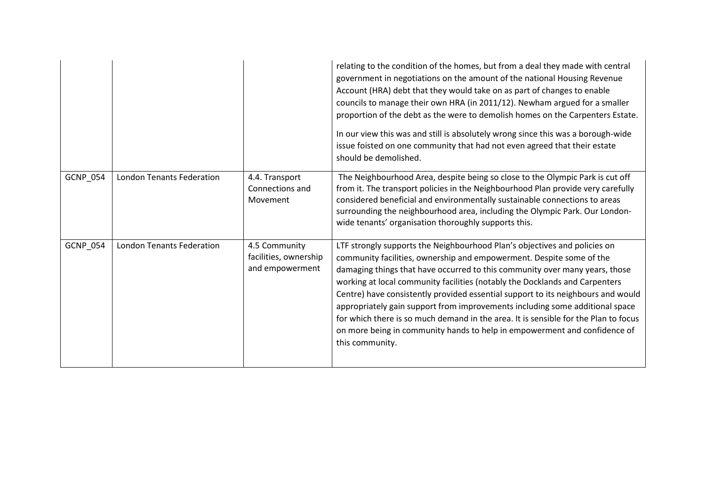|                 |                                  |                                                           | relating to the condition of the homes, but from a deal they made with central<br>government in negotiations on the amount of the national Housing Revenue<br>Account (HRA) debt that they would take on as part of changes to enable<br>councils to manage their own HRA (in 2011/12). Newham argued for a smaller<br>proportion of the debt as the were to demolish homes on the Carpenters Estate.<br>In our view this was and still is absolutely wrong since this was a borough-wide<br>issue foisted on one community that had not even agreed that their estate<br>should be demolished.                                                                            |
|-----------------|----------------------------------|-----------------------------------------------------------|----------------------------------------------------------------------------------------------------------------------------------------------------------------------------------------------------------------------------------------------------------------------------------------------------------------------------------------------------------------------------------------------------------------------------------------------------------------------------------------------------------------------------------------------------------------------------------------------------------------------------------------------------------------------------|
| <b>GCNP_054</b> | <b>London Tenants Federation</b> | 4.4. Transport<br>Connections and<br>Movement             | The Neighbourhood Area, despite being so close to the Olympic Park is cut off<br>from it. The transport policies in the Neighbourhood Plan provide very carefully<br>considered beneficial and environmentally sustainable connections to areas<br>surrounding the neighbourhood area, including the Olympic Park. Our London-<br>wide tenants' organisation thoroughly supports this.                                                                                                                                                                                                                                                                                     |
| <b>GCNP_054</b> | <b>London Tenants Federation</b> | 4.5 Community<br>facilities, ownership<br>and empowerment | LTF strongly supports the Neighbourhood Plan's objectives and policies on<br>community facilities, ownership and empowerment. Despite some of the<br>damaging things that have occurred to this community over many years, those<br>working at local community facilities (notably the Docklands and Carpenters<br>Centre) have consistently provided essential support to its neighbours and would<br>appropriately gain support from improvements including some additional space<br>for which there is so much demand in the area. It is sensible for the Plan to focus<br>on more being in community hands to help in empowerment and confidence of<br>this community. |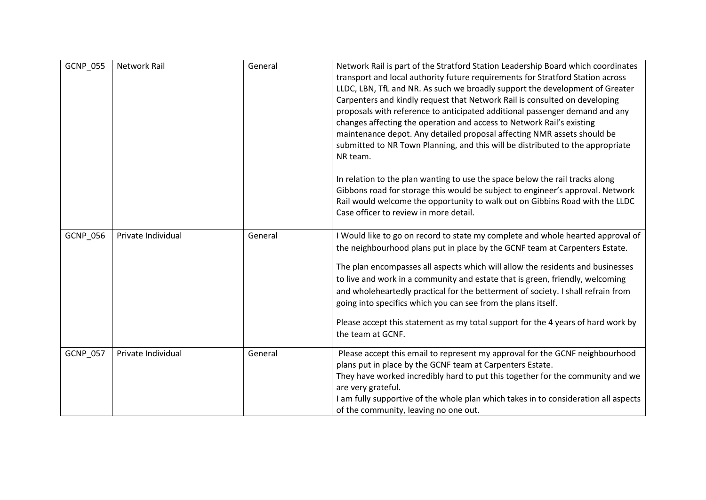| <b>GCNP 055</b> | Network Rail       | General | Network Rail is part of the Stratford Station Leadership Board which coordinates<br>transport and local authority future requirements for Stratford Station across<br>LLDC, LBN, TfL and NR. As such we broadly support the development of Greater<br>Carpenters and kindly request that Network Rail is consulted on developing<br>proposals with reference to anticipated additional passenger demand and any<br>changes affecting the operation and access to Network Rail's existing<br>maintenance depot. Any detailed proposal affecting NMR assets should be<br>submitted to NR Town Planning, and this will be distributed to the appropriate<br>NR team.<br>In relation to the plan wanting to use the space below the rail tracks along<br>Gibbons road for storage this would be subject to engineer's approval. Network<br>Rail would welcome the opportunity to walk out on Gibbins Road with the LLDC<br>Case officer to review in more detail. |
|-----------------|--------------------|---------|---------------------------------------------------------------------------------------------------------------------------------------------------------------------------------------------------------------------------------------------------------------------------------------------------------------------------------------------------------------------------------------------------------------------------------------------------------------------------------------------------------------------------------------------------------------------------------------------------------------------------------------------------------------------------------------------------------------------------------------------------------------------------------------------------------------------------------------------------------------------------------------------------------------------------------------------------------------|
| GCNP_056        | Private Individual | General | I Would like to go on record to state my complete and whole hearted approval of<br>the neighbourhood plans put in place by the GCNF team at Carpenters Estate.<br>The plan encompasses all aspects which will allow the residents and businesses<br>to live and work in a community and estate that is green, friendly, welcoming<br>and wholeheartedly practical for the betterment of society. I shall refrain from<br>going into specifics which you can see from the plans itself.<br>Please accept this statement as my total support for the 4 years of hard work by<br>the team at GCNF.                                                                                                                                                                                                                                                                                                                                                               |
| GCNP_057        | Private Individual | General | Please accept this email to represent my approval for the GCNF neighbourhood<br>plans put in place by the GCNF team at Carpenters Estate.<br>They have worked incredibly hard to put this together for the community and we<br>are very grateful.<br>I am fully supportive of the whole plan which takes in to consideration all aspects<br>of the community, leaving no one out.                                                                                                                                                                                                                                                                                                                                                                                                                                                                                                                                                                             |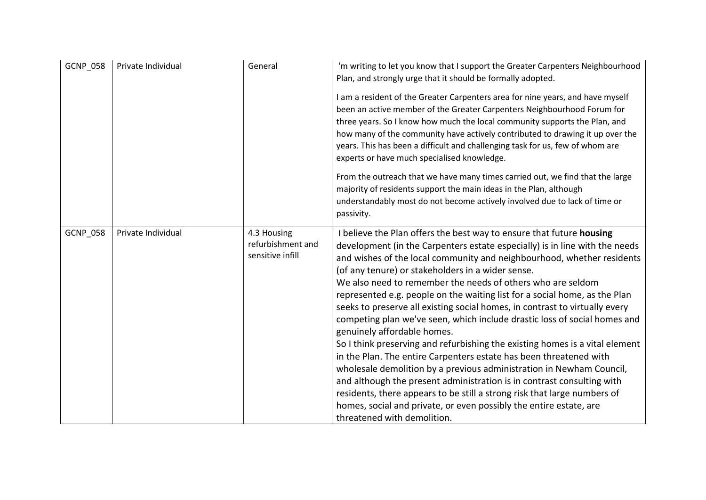| <b>GCNP 058</b> | Private Individual | General                                              | 'm writing to let you know that I support the Greater Carpenters Neighbourhood<br>Plan, and strongly urge that it should be formally adopted.                                                                                                                                                                                                                                                                                                                                                                                                                                                                                                                                                                                                                                                                                                                                                                                                                                                                                                                                                                       |
|-----------------|--------------------|------------------------------------------------------|---------------------------------------------------------------------------------------------------------------------------------------------------------------------------------------------------------------------------------------------------------------------------------------------------------------------------------------------------------------------------------------------------------------------------------------------------------------------------------------------------------------------------------------------------------------------------------------------------------------------------------------------------------------------------------------------------------------------------------------------------------------------------------------------------------------------------------------------------------------------------------------------------------------------------------------------------------------------------------------------------------------------------------------------------------------------------------------------------------------------|
|                 |                    |                                                      | I am a resident of the Greater Carpenters area for nine years, and have myself<br>been an active member of the Greater Carpenters Neighbourhood Forum for<br>three years. So I know how much the local community supports the Plan, and<br>how many of the community have actively contributed to drawing it up over the<br>years. This has been a difficult and challenging task for us, few of whom are<br>experts or have much specialised knowledge.                                                                                                                                                                                                                                                                                                                                                                                                                                                                                                                                                                                                                                                            |
|                 |                    |                                                      | From the outreach that we have many times carried out, we find that the large<br>majority of residents support the main ideas in the Plan, although                                                                                                                                                                                                                                                                                                                                                                                                                                                                                                                                                                                                                                                                                                                                                                                                                                                                                                                                                                 |
|                 |                    |                                                      | understandably most do not become actively involved due to lack of time or<br>passivity.                                                                                                                                                                                                                                                                                                                                                                                                                                                                                                                                                                                                                                                                                                                                                                                                                                                                                                                                                                                                                            |
| <b>GCNP 058</b> | Private Individual | 4.3 Housing<br>refurbishment and<br>sensitive infill | I believe the Plan offers the best way to ensure that future housing<br>development (in the Carpenters estate especially) is in line with the needs<br>and wishes of the local community and neighbourhood, whether residents<br>(of any tenure) or stakeholders in a wider sense.<br>We also need to remember the needs of others who are seldom<br>represented e.g. people on the waiting list for a social home, as the Plan<br>seeks to preserve all existing social homes, in contrast to virtually every<br>competing plan we've seen, which include drastic loss of social homes and<br>genuinely affordable homes.<br>So I think preserving and refurbishing the existing homes is a vital element<br>in the Plan. The entire Carpenters estate has been threatened with<br>wholesale demolition by a previous administration in Newham Council,<br>and although the present administration is in contrast consulting with<br>residents, there appears to be still a strong risk that large numbers of<br>homes, social and private, or even possibly the entire estate, are<br>threatened with demolition. |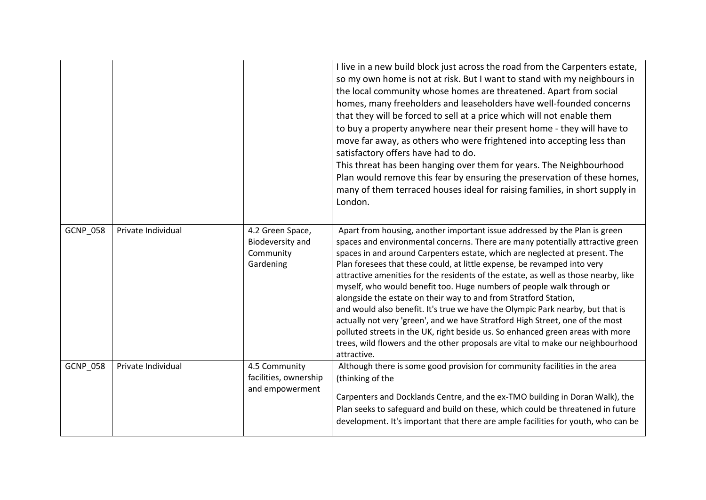|                 |                    |                                                                | I live in a new build block just across the road from the Carpenters estate,<br>so my own home is not at risk. But I want to stand with my neighbours in<br>the local community whose homes are threatened. Apart from social<br>homes, many freeholders and leaseholders have well-founded concerns<br>that they will be forced to sell at a price which will not enable them<br>to buy a property anywhere near their present home - they will have to<br>move far away, as others who were frightened into accepting less than<br>satisfactory offers have had to do.<br>This threat has been hanging over them for years. The Neighbourhood<br>Plan would remove this fear by ensuring the preservation of these homes,<br>many of them terraced houses ideal for raising families, in short supply in<br>London.                                                                                              |
|-----------------|--------------------|----------------------------------------------------------------|--------------------------------------------------------------------------------------------------------------------------------------------------------------------------------------------------------------------------------------------------------------------------------------------------------------------------------------------------------------------------------------------------------------------------------------------------------------------------------------------------------------------------------------------------------------------------------------------------------------------------------------------------------------------------------------------------------------------------------------------------------------------------------------------------------------------------------------------------------------------------------------------------------------------|
| <b>GCNP_058</b> | Private Individual | 4.2 Green Space,<br>Biodeversity and<br>Community<br>Gardening | Apart from housing, another important issue addressed by the Plan is green<br>spaces and environmental concerns. There are many potentially attractive green<br>spaces in and around Carpenters estate, which are neglected at present. The<br>Plan foresees that these could, at little expense, be revamped into very<br>attractive amenities for the residents of the estate, as well as those nearby, like<br>myself, who would benefit too. Huge numbers of people walk through or<br>alongside the estate on their way to and from Stratford Station,<br>and would also benefit. It's true we have the Olympic Park nearby, but that is<br>actually not very 'green', and we have Stratford High Street, one of the most<br>polluted streets in the UK, right beside us. So enhanced green areas with more<br>trees, wild flowers and the other proposals are vital to make our neighbourhood<br>attractive. |
| <b>GCNP_058</b> | Private Individual | 4.5 Community<br>facilities, ownership<br>and empowerment      | Although there is some good provision for community facilities in the area<br>(thinking of the<br>Carpenters and Docklands Centre, and the ex-TMO building in Doran Walk), the<br>Plan seeks to safeguard and build on these, which could be threatened in future<br>development. It's important that there are ample facilities for youth, who can be                                                                                                                                                                                                                                                                                                                                                                                                                                                                                                                                                             |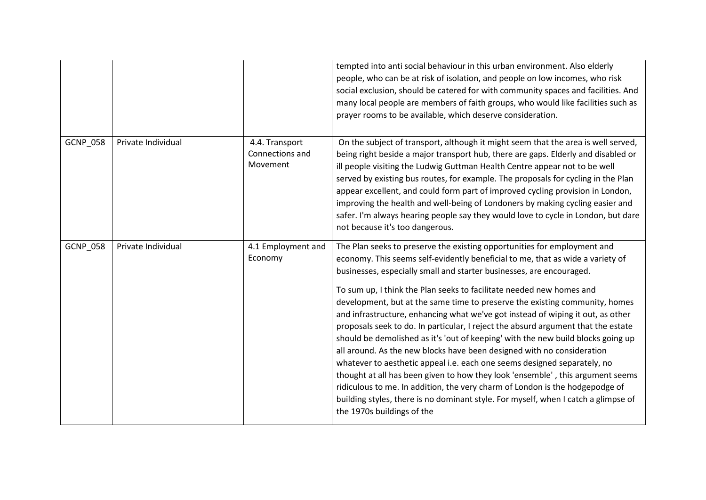|                 |                    |                                               | tempted into anti social behaviour in this urban environment. Also elderly<br>people, who can be at risk of isolation, and people on low incomes, who risk<br>social exclusion, should be catered for with community spaces and facilities. And<br>many local people are members of faith groups, who would like facilities such as<br>prayer rooms to be available, which deserve consideration.                                                                                                                                                                                                                                                                                                                                                                                                                                                                                                                                                                                                                                                                                                 |
|-----------------|--------------------|-----------------------------------------------|---------------------------------------------------------------------------------------------------------------------------------------------------------------------------------------------------------------------------------------------------------------------------------------------------------------------------------------------------------------------------------------------------------------------------------------------------------------------------------------------------------------------------------------------------------------------------------------------------------------------------------------------------------------------------------------------------------------------------------------------------------------------------------------------------------------------------------------------------------------------------------------------------------------------------------------------------------------------------------------------------------------------------------------------------------------------------------------------------|
| <b>GCNP_058</b> | Private Individual | 4.4. Transport<br>Connections and<br>Movement | On the subject of transport, although it might seem that the area is well served,<br>being right beside a major transport hub, there are gaps. Elderly and disabled or<br>ill people visiting the Ludwig Guttman Health Centre appear not to be well<br>served by existing bus routes, for example. The proposals for cycling in the Plan<br>appear excellent, and could form part of improved cycling provision in London,<br>improving the health and well-being of Londoners by making cycling easier and<br>safer. I'm always hearing people say they would love to cycle in London, but dare<br>not because it's too dangerous.                                                                                                                                                                                                                                                                                                                                                                                                                                                              |
| GCNP_058        | Private Individual | 4.1 Employment and<br>Economy                 | The Plan seeks to preserve the existing opportunities for employment and<br>economy. This seems self-evidently beneficial to me, that as wide a variety of<br>businesses, especially small and starter businesses, are encouraged.<br>To sum up, I think the Plan seeks to facilitate needed new homes and<br>development, but at the same time to preserve the existing community, homes<br>and infrastructure, enhancing what we've got instead of wiping it out, as other<br>proposals seek to do. In particular, I reject the absurd argument that the estate<br>should be demolished as it's 'out of keeping' with the new build blocks going up<br>all around. As the new blocks have been designed with no consideration<br>whatever to aesthetic appeal i.e. each one seems designed separately, no<br>thought at all has been given to how they look 'ensemble', this argument seems<br>ridiculous to me. In addition, the very charm of London is the hodgepodge of<br>building styles, there is no dominant style. For myself, when I catch a glimpse of<br>the 1970s buildings of the |